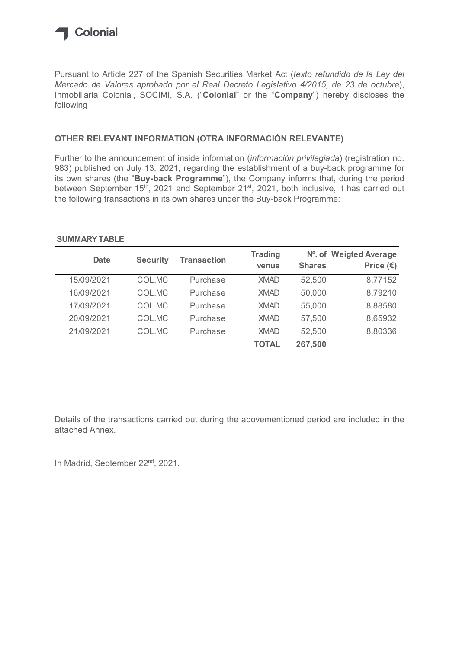

## OTHER RELEVANT INFORMATION (OTRA INFORMACIÓN RELEVANTE)

## SUMMARY TABLE

| Pursuant to Article 227 of the Spanish Securities Market Act (texto refundido de la Ley del<br>Mercado de Valores aprobado por el Real Decreto Legislativo 4/2015, de 23 de octubre),<br>Inmobiliaria Colonial, SOCIMI, S.A. ("Colonial" or the "Company") hereby discloses the<br>following  |                 |                    |                         |               |                                              |
|-----------------------------------------------------------------------------------------------------------------------------------------------------------------------------------------------------------------------------------------------------------------------------------------------|-----------------|--------------------|-------------------------|---------------|----------------------------------------------|
| OTHER RELEVANT INFORMATION (OTRA INFORMACIÓN RELEVANTE)                                                                                                                                                                                                                                       |                 |                    |                         |               |                                              |
| Further to the announcement of inside information ( <i>información privilegiada</i> ) (registration no.<br>983) published on July 13, 2021, regarding the establishment of a buy-back programme for<br>its own shares (the "Buy-back Programme"), the Company informs that, during the period |                 |                    |                         |               |                                              |
| between September 15 <sup>th</sup> , 2021 and September 21 <sup>st</sup> , 2021, both inclusive, it has carried out<br>the following transactions in its own shares under the Buy-back Programme:<br><b>SUMMARY TABLE</b>                                                                     |                 |                    |                         |               |                                              |
| <b>Date</b>                                                                                                                                                                                                                                                                                   | <b>Security</b> | <b>Transaction</b> | <b>Trading</b><br>venue | <b>Shares</b> | Nº. of Weigted Average<br>Price $(\epsilon)$ |
| 15/09/2021                                                                                                                                                                                                                                                                                    | COL.MC          | Purchase           | <b>XMAD</b>             | 52,500        | 8.77152                                      |
| 16/09/2021                                                                                                                                                                                                                                                                                    | COL.MC          | Purchase           | <b>XMAD</b>             | 50,000        | 8.79210                                      |
| 17/09/2021                                                                                                                                                                                                                                                                                    | COL.MC          | Purchase           | <b>XMAD</b>             | 55,000        | 8.88580                                      |
| 20/09/2021                                                                                                                                                                                                                                                                                    | COL.MC          | Purchase           | <b>XMAD</b>             | 57,500        | 8.65932                                      |
| 21/09/2021                                                                                                                                                                                                                                                                                    | COL.MC          | Purchase           | <b>XMAD</b>             | 52,500        | 8.80336                                      |

Details of the transactions carried out during the abovementioned period are included in the attached Annex.

In Madrid, September 22<sup>nd</sup>, 2021.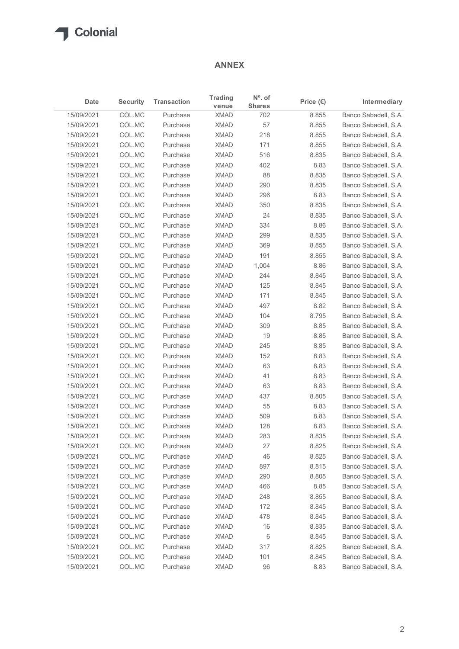

## ANNEX

|            |                 |                    | <b>ANNEX</b>         |                            |                    |                      |
|------------|-----------------|--------------------|----------------------|----------------------------|--------------------|----------------------|
| Date       | <b>Security</b> | <b>Transaction</b> | <b>Trading</b>       | $No$ . of<br><b>Shares</b> | Price $(\epsilon)$ | Intermediary         |
| 15/09/2021 | COL.MC          | Purchase           | venue<br><b>XMAD</b> | 702                        | 8.855              | Banco Sabadell, S.A. |
| 15/09/2021 | COL.MC          | Purchase           | <b>XMAD</b>          | 57                         | 8.855              | Banco Sabadell, S.A. |
| 15/09/2021 | COL.MC          | Purchase           | <b>XMAD</b>          | 218                        | 8.855              | Banco Sabadell, S.A. |
| 15/09/2021 | COL.MC          | Purchase           | <b>XMAD</b>          | 171                        | 8.855              | Banco Sabadell, S.A. |
| 15/09/2021 | COL.MC          | Purchase           | <b>XMAD</b>          | 516                        | 8.835              | Banco Sabadell, S.A. |
| 15/09/2021 | COL.MC          | Purchase           | <b>XMAD</b>          | 402                        | 8.83               | Banco Sabadell, S.A. |
| 15/09/2021 | COL.MC          | Purchase           | <b>XMAD</b>          | 88                         | 8.835              | Banco Sabadell, S.A. |
| 15/09/2021 | COL.MC          | Purchase           | <b>XMAD</b>          | 290                        | 8.835              | Banco Sabadell, S.A. |
| 15/09/2021 | COL.MC          | Purchase           | <b>XMAD</b>          | 296                        | 8.83               | Banco Sabadell, S.A. |
| 15/09/2021 | COL.MC          | Purchase           | <b>XMAD</b>          | 350                        | 8.835              | Banco Sabadell, S.A. |
| 15/09/2021 | COL.MC          | Purchase           | <b>XMAD</b>          | 24                         | 8.835              | Banco Sabadell, S.A. |
| 15/09/2021 | COL.MC          | Purchase           | <b>XMAD</b>          | 334                        | 8.86               | Banco Sabadell, S.A. |
| 15/09/2021 | COL.MC          | Purchase           | <b>XMAD</b>          | 299                        | 8.835              | Banco Sabadell, S.A. |
| 15/09/2021 | COL.MC          | Purchase           | <b>XMAD</b>          | 369                        | 8.855              | Banco Sabadell, S.A. |
| 15/09/2021 | COL.MC          | Purchase           | <b>XMAD</b>          | 191                        | 8.855              | Banco Sabadell, S.A. |
| 15/09/2021 | COL.MC          | Purchase           | <b>XMAD</b>          | 1,004                      | 8.86               | Banco Sabadell, S.A. |
| 15/09/2021 | COL.MC          | Purchase           | <b>XMAD</b>          | 244                        | 8.845              | Banco Sabadell, S.A. |
| 15/09/2021 | COL.MC          | Purchase           | <b>XMAD</b>          | 125                        | 8.845              | Banco Sabadell, S.A. |
| 15/09/2021 | COL.MC          | Purchase           | <b>XMAD</b>          | 171                        | 8.845              | Banco Sabadell, S.A. |
| 15/09/2021 | COL.MC          | Purchase           | <b>XMAD</b>          | 497                        | 8.82               | Banco Sabadell, S.A. |
| 15/09/2021 | COL.MC          | Purchase           | <b>XMAD</b>          | 104                        | 8.795              | Banco Sabadell, S.A. |
| 15/09/2021 | COL.MC          | Purchase           | <b>XMAD</b>          | 309                        | 8.85               | Banco Sabadell, S.A. |
| 15/09/2021 | COL.MC          | Purchase           | <b>XMAD</b>          | 19                         | 8.85               | Banco Sabadell, S.A. |
| 15/09/2021 | COL.MC          | Purchase           | <b>XMAD</b>          | 245                        | 8.85               | Banco Sabadell, S.A. |
| 15/09/2021 | COL.MC          | Purchase           | <b>XMAD</b>          | 152                        | 8.83               | Banco Sabadell, S.A. |
| 15/09/2021 | COL.MC          | Purchase           | <b>XMAD</b>          | 63                         | 8.83               | Banco Sabadell, S.A. |
| 15/09/2021 | COL.MC          | Purchase           | <b>XMAD</b>          | 41                         | 8.83               | Banco Sabadell, S.A. |
| 15/09/2021 | COL.MC          | Purchase           | <b>XMAD</b>          | 63                         | 8.83               | Banco Sabadell, S.A. |
| 15/09/2021 | COL.MC          | Purchase           | <b>XMAD</b>          | 437                        | 8.805              | Banco Sabadell, S.A. |
| 15/09/2021 | COL.MC          | Purchase           | <b>XMAD</b>          | 55                         | 8.83               | Banco Sabadell, S.A. |
| 15/09/2021 | COL.MC          | Purchase           | <b>XMAD</b>          | 509                        | 8.83               | Banco Sabadell, S.A. |
| 15/09/2021 | COL.MC          | Purchase           | <b>XMAD</b>          | 128                        | 8.83               | Banco Sabadell, S.A. |
| 15/09/2021 | COL.MC          | Purchase           | <b>XMAD</b>          | 283                        | 8.835              | Banco Sabadell, S.A. |
| 15/09/2021 | COL.MC          | Purchase           | <b>XMAD</b>          | 27                         | 8.825              | Banco Sabadell, S.A. |
| 15/09/2021 | COL.MC          | Purchase           | <b>XMAD</b>          | 46                         | 8.825              | Banco Sabadell, S.A. |
| 15/09/2021 | COL.MC          | Purchase           | <b>XMAD</b>          | 897                        | 8.815              | Banco Sabadell, S.A. |
| 15/09/2021 | COL.MC          | Purchase           | <b>XMAD</b>          | 290                        | 8.805              | Banco Sabadell, S.A. |
| 15/09/2021 | COL.MC          | Purchase           | <b>XMAD</b>          | 466                        | 8.85               | Banco Sabadell, S.A. |
| 15/09/2021 | COL.MC          | Purchase           | <b>XMAD</b>          | 248                        | 8.855              | Banco Sabadell, S.A. |
| 15/09/2021 | COL.MC          | Purchase           | <b>XMAD</b>          | 172                        | 8.845              | Banco Sabadell, S.A. |
| 15/09/2021 | COL.MC          | Purchase           | <b>XMAD</b>          | 478                        | 8.845              | Banco Sabadell, S.A. |
| 15/09/2021 | COL.MC          | Purchase           | <b>XMAD</b>          | 16                         | 8.835              | Banco Sabadell, S.A. |
| 15/09/2021 | COL.MC          | Purchase           | <b>XMAD</b>          | 6                          | 8.845              | Banco Sabadell, S.A. |
| 15/09/2021 | COL.MC          | Purchase           | <b>XMAD</b>          | 317                        | 8.825              | Banco Sabadell, S.A. |
|            | COL.MC          | Purchase           | <b>XMAD</b>          | 101                        | 8.845              | Banco Sabadell, S.A. |
| 15/09/2021 |                 |                    |                      |                            |                    |                      |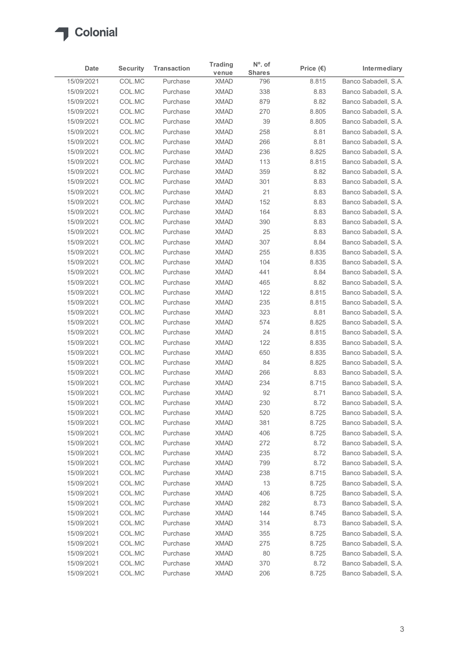

| Date                     | <b>Security</b>  | <b>Transaction</b>   | <b>Trading</b><br>venue    | N°. of<br><b>Shares</b> | Price $(\epsilon)$ | Intermediary                                 |
|--------------------------|------------------|----------------------|----------------------------|-------------------------|--------------------|----------------------------------------------|
| 15/09/2021               | COL.MC           | Purchase             | <b>XMAD</b>                | 796                     | 8.815              | Banco Sabadell, S.A.                         |
| 15/09/2021               | COL.MC           | Purchase             | <b>XMAD</b>                | 338                     | 8.83               | Banco Sabadell, S.A.                         |
| 15/09/2021               | COL.MC           | Purchase             | <b>XMAD</b>                | 879                     | 8.82               | Banco Sabadell, S.A.                         |
| 15/09/2021               | COL.MC           | Purchase             | <b>XMAD</b>                | 270                     | 8.805              | Banco Sabadell, S.A.                         |
| 15/09/2021               | COL.MC           | Purchase             | <b>XMAD</b>                | 39                      | 8.805              | Banco Sabadell, S.A.                         |
| 15/09/2021               | COL.MC           | Purchase             | <b>XMAD</b>                | 258                     | 8.81               | Banco Sabadell, S.A.                         |
| 15/09/2021               | COL.MC           | Purchase             | <b>XMAD</b>                | 266                     | 8.81               | Banco Sabadell, S.A.                         |
| 15/09/2021               | COL.MC           | Purchase             | <b>XMAD</b><br><b>XMAD</b> | 236<br>113              | 8.825              | Banco Sabadell, S.A.<br>Banco Sabadell, S.A. |
| 15/09/2021               | COL.MC           | Purchase             |                            |                         | 8.815              |                                              |
| 15/09/2021               | COL.MC<br>COL.MC | Purchase<br>Purchase | <b>XMAD</b><br><b>XMAD</b> | 359<br>301              | 8.82               | Banco Sabadell, S.A.<br>Banco Sabadell, S.A. |
| 15/09/2021<br>15/09/2021 | COL.MC           | Purchase             | <b>XMAD</b>                | 21                      | 8.83<br>8.83       | Banco Sabadell, S.A.                         |
| 15/09/2021               | COL.MC           | Purchase             | <b>XMAD</b>                | 152                     | 8.83               | Banco Sabadell, S.A.                         |
| 15/09/2021               | COL.MC           | Purchase             | XMAD                       | 164                     | 8.83               | Banco Sabadell, S.A.                         |
| 15/09/2021               | COL.MC           | Purchase             | <b>XMAD</b>                | 390                     | 8.83               | Banco Sabadell, S.A.                         |
| 15/09/2021               | COL.MC           | Purchase             | XMAD                       | 25                      | 8.83               | Banco Sabadell, S.A.                         |
| 15/09/2021               | COL.MC           | Purchase             | <b>XMAD</b>                | 307                     | 8.84               | Banco Sabadell, S.A.                         |
| 15/09/2021               | COL.MC           | Purchase             | <b>XMAD</b>                | 255                     | 8.835              | Banco Sabadell, S.A.                         |
| 15/09/2021               | COL.MC           | Purchase             | <b>XMAD</b>                | 104                     | 8.835              | Banco Sabadell, S.A.                         |
| 15/09/2021               | COL.MC           | Purchase             | <b>XMAD</b>                | 441                     | 8.84               | Banco Sabadell, S.A.                         |
| 15/09/2021               | COL.MC           | Purchase             | <b>XMAD</b>                | 465                     | 8.82               | Banco Sabadell, S.A.                         |
| 15/09/2021               | COL.MC           | Purchase             | XMAD                       | 122                     | 8.815              | Banco Sabadell, S.A.                         |
| 15/09/2021               | COL.MC           | Purchase             | <b>XMAD</b>                | 235                     | 8.815              | Banco Sabadell, S.A.                         |
| 15/09/2021               | COL.MC           | Purchase             | <b>XMAD</b>                | 323                     | 8.81               | Banco Sabadell, S.A.                         |
| 15/09/2021               | COL.MC           | Purchase             | <b>XMAD</b>                | 574                     | 8.825              | Banco Sabadell, S.A.                         |
| 15/09/2021               | COL.MC           | Purchase             | <b>XMAD</b>                | 24                      | 8.815              | Banco Sabadell, S.A.                         |
| 15/09/2021               | COL.MC           | Purchase             | <b>XMAD</b>                | 122                     | 8.835              | Banco Sabadell, S.A.                         |
| 15/09/2021               | COL.MC           | Purchase             | <b>XMAD</b>                | 650                     | 8.835              | Banco Sabadell, S.A.                         |
| 15/09/2021<br>15/09/2021 | COL.MC<br>COL.MC | Purchase<br>Purchase | <b>XMAD</b><br><b>XMAD</b> | 84<br>266               | 8.825<br>8.83      | Banco Sabadell, S.A.<br>Banco Sabadell, S.A. |
| 15/09/2021               | COL.MC           | Purchase             | <b>XMAD</b>                | 234                     | 8.715              | Banco Sabadell, S.A.                         |
| 15/09/2021               | COL.MC           | Purchase             | <b>XMAD</b>                | 92                      | 8.71               | Banco Sabadell, S.A.                         |
| 15/09/2021               | COL.MC           | Purchase             | <b>XMAD</b>                | 230                     | 8.72               | Banco Sabadell, S.A.                         |
| 15/09/2021               | COL.MC           | Purchase             | <b>XMAD</b>                | 520                     | 8.725              | Banco Sabadell, S.A.                         |
| 15/09/2021               | COL.MC           | Purchase             | <b>XMAD</b>                | 381                     | 8.725              | Banco Sabadell, S.A.                         |
| 15/09/2021               | COL.MC           | Purchase             | <b>XMAD</b>                | 406                     | 8.725              | Banco Sabadell, S.A.                         |
| 15/09/2021               | COL.MC           | Purchase             | <b>XMAD</b>                | 272                     | 8.72               | Banco Sabadell, S.A.                         |
| 15/09/2021               | COL.MC           | Purchase             | <b>XMAD</b>                | 235                     | 8.72               | Banco Sabadell, S.A.                         |
| 15/09/2021               | COL.MC           | Purchase             | <b>XMAD</b>                | 799                     | 8.72               | Banco Sabadell, S.A.                         |
| 15/09/2021               | COL.MC           | Purchase             | <b>XMAD</b>                | 238                     | 8.715              | Banco Sabadell, S.A.                         |
| 15/09/2021               | COL.MC           | Purchase             | <b>XMAD</b>                | 13                      | 8.725              | Banco Sabadell, S.A.                         |
| 15/09/2021               | COL.MC           | Purchase             | <b>XMAD</b>                | 406                     | 8.725              | Banco Sabadell, S.A.                         |
| 15/09/2021               | COL.MC           | Purchase             | <b>XMAD</b>                | 282                     | 8.73               | Banco Sabadell, S.A.                         |
| 15/09/2021               | COL.MC           | Purchase             | <b>XMAD</b>                | 144                     | 8.745              | Banco Sabadell, S.A.                         |
| 15/09/2021               | COL.MC           | Purchase             | <b>XMAD</b>                | 314                     | 8.73               | Banco Sabadell, S.A.                         |
| 15/09/2021               | COL.MC           | Purchase             | <b>XMAD</b>                | 355                     | 8.725              | Banco Sabadell, S.A.                         |
| 15/09/2021               | COL.MC           | Purchase             | <b>XMAD</b>                | 275                     | 8.725              | Banco Sabadell, S.A.                         |
| 15/09/2021               | COL.MC           | Purchase             | <b>XMAD</b>                | 80                      | 8.725              | Banco Sabadell, S.A.                         |
| 15/09/2021               | COL.MC           | Purchase             | <b>XMAD</b>                | 370                     | 8.72               | Banco Sabadell, S.A.                         |
| 15/09/2021               | COL.MC           | Purchase             | <b>XMAD</b>                | 206                     | 8.725              | Banco Sabadell, S.A.                         |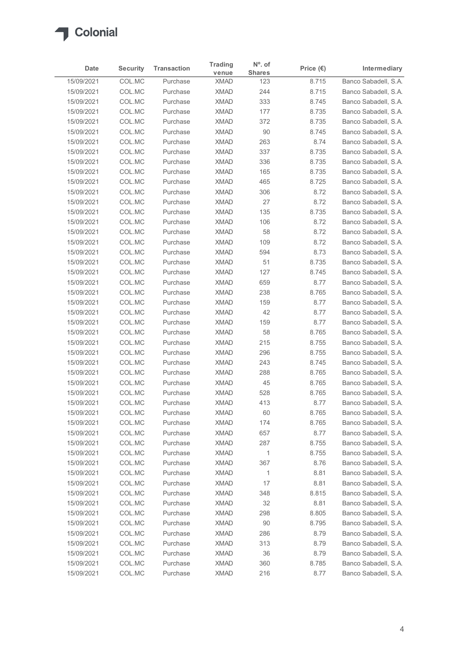

|                          |                  |                      | <b>Trading</b>             | $N^{\circ}$ . of |                    |                                              |
|--------------------------|------------------|----------------------|----------------------------|------------------|--------------------|----------------------------------------------|
| Date                     | <b>Security</b>  | <b>Transaction</b>   | venue                      | <b>Shares</b>    | Price $(\epsilon)$ | Intermediary<br>Banco Sabadell, S.A.         |
| 15/09/2021<br>15/09/2021 | COL.MC<br>COL.MC | Purchase<br>Purchase | <b>XMAD</b><br><b>XMAD</b> | 123<br>244       | 8.715<br>8.715     | Banco Sabadell, S.A.                         |
| 15/09/2021               | COL.MC           | Purchase             | <b>XMAD</b>                | 333              | 8.745              | Banco Sabadell, S.A.                         |
| 15/09/2021               | COL.MC           | Purchase             | <b>XMAD</b>                | 177              | 8.735              | Banco Sabadell, S.A.                         |
| 15/09/2021               | COL.MC           | Purchase             | <b>XMAD</b>                | 372              | 8.735              | Banco Sabadell, S.A.                         |
| 15/09/2021               | COL.MC           | Purchase             | <b>XMAD</b>                | $90\,$           | 8.745              | Banco Sabadell, S.A.                         |
| 15/09/2021               | COL.MC           | Purchase             | <b>XMAD</b>                | 263              | 8.74               | Banco Sabadell, S.A.                         |
| 15/09/2021<br>15/09/2021 | COL.MC<br>COL.MC | Purchase<br>Purchase | <b>XMAD</b><br><b>XMAD</b> | 337<br>336       | 8.735<br>8.735     | Banco Sabadell, S.A.<br>Banco Sabadell, S.A. |
| 15/09/2021               | COL.MC           | Purchase             | <b>XMAD</b>                | 165              | 8.735              | Banco Sabadell, S.A.                         |
| 15/09/2021               | COL.MC           | Purchase             | <b>XMAD</b>                | 465              | 8.725              | Banco Sabadell, S.A.                         |
| 15/09/2021               | COL.MC           | Purchase             | <b>XMAD</b>                | 306              | 8.72               | Banco Sabadell, S.A.                         |
| 15/09/2021               | COL.MC           | Purchase             | <b>XMAD</b>                | 27               | 8.72               | Banco Sabadell, S.A.                         |
| 15/09/2021               | COL.MC           | Purchase             | <b>XMAD</b>                | 135              | 8.735              | Banco Sabadell, S.A.                         |
| 15/09/2021<br>15/09/2021 | COL.MC<br>COL.MC | Purchase<br>Purchase | <b>XMAD</b><br><b>XMAD</b> | 106<br>58        | 8.72<br>8.72       | Banco Sabadell, S.A.<br>Banco Sabadell, S.A. |
| 15/09/2021               | COL.MC           | Purchase             | <b>XMAD</b>                | 109              | 8.72               | Banco Sabadell, S.A.                         |
| 15/09/2021               | COL.MC           | Purchase             | <b>XMAD</b>                | 594              | 8.73               | Banco Sabadell, S.A.                         |
| 15/09/2021               | COL.MC           | Purchase             | <b>XMAD</b>                | 51               | 8.735              | Banco Sabadell, S.A.                         |
| 15/09/2021               | COL.MC           | Purchase             | <b>XMAD</b>                | 127              | 8.745              | Banco Sabadell, S.A.                         |
| 15/09/2021               | COL.MC           | Purchase             | <b>XMAD</b>                | 659              | 8.77               | Banco Sabadell, S.A.                         |
| 15/09/2021               | COL.MC           | Purchase             | <b>XMAD</b>                | 238              | 8.765              | Banco Sabadell, S.A.                         |
| 15/09/2021               | COL.MC           | Purchase             | <b>XMAD</b>                | 159<br>42        | 8.77<br>8.77       | Banco Sabadell, S.A.                         |
| 15/09/2021<br>15/09/2021 | COL.MC<br>COL.MC | Purchase<br>Purchase | <b>XMAD</b><br><b>XMAD</b> | 159              | 8.77               | Banco Sabadell, S.A.<br>Banco Sabadell, S.A. |
| 15/09/2021               | COL.MC           | Purchase             | <b>XMAD</b>                | 58               | 8.765              | Banco Sabadell, S.A.                         |
| 15/09/2021               | COL.MC           | Purchase             | <b>XMAD</b>                | 215              | 8.755              | Banco Sabadell, S.A.                         |
| 15/09/2021               | COL.MC           | Purchase             | <b>XMAD</b>                | 296              | 8.755              | Banco Sabadell, S.A.                         |
| 15/09/2021               | COL.MC           | Purchase             | <b>XMAD</b>                | 243              | 8.745              | Banco Sabadell, S.A.                         |
| 15/09/2021               | COL.MC           | Purchase             | <b>XMAD</b>                | 288              | 8.765              | Banco Sabadell, S.A.                         |
| 15/09/2021               | COL.MC           | Purchase             | <b>XMAD</b>                | 45               | 8.765              | Banco Sabadell, S.A.                         |
| 15/09/2021<br>15/09/2021 | COL.MC<br>COL.MC | Purchase<br>Purchase | <b>XMAD</b><br><b>XMAD</b> | 528<br>413       | 8.765<br>8.77      | Banco Sabadell, S.A.<br>Banco Sabadell, S.A. |
| 15/09/2021               | COL.MC           | Purchase             | <b>XMAD</b>                | 60               | 8.765              | Banco Sabadell, S.A.                         |
| 15/09/2021               | COL.MC           | Purchase             | <b>XMAD</b>                | 174              | 8.765              | Banco Sabadell, S.A.                         |
| 15/09/2021               | COL.MC           | Purchase             | <b>XMAD</b>                | 657              | 8.77               | Banco Sabadell, S.A.                         |
| 15/09/2021               | COL.MC           | Purchase             | <b>XMAD</b>                | 287              | 8.755              | Banco Sabadell, S.A.                         |
| 15/09/2021               | COL.MC           | Purchase             | <b>XMAD</b>                | $\mathbf{1}$     | 8.755              | Banco Sabadell, S.A.                         |
| 15/09/2021               | COL.MC           | Purchase             | <b>XMAD</b>                | 367              | 8.76               | Banco Sabadell, S.A.                         |
| 15/09/2021               | COL.MC           | Purchase             | <b>XMAD</b>                | $\mathbf{1}$     | 8.81               | Banco Sabadell, S.A.                         |
| 15/09/2021<br>15/09/2021 | COL.MC           | Purchase<br>Purchase | <b>XMAD</b><br><b>XMAD</b> | 17               | 8.81<br>8.815      | Banco Sabadell, S.A.<br>Banco Sabadell, S.A. |
| 15/09/2021               | COL.MC<br>COL.MC | Purchase             | <b>XMAD</b>                | 348<br>32        | 8.81               | Banco Sabadell, S.A.                         |
| 15/09/2021               | COL.MC           | Purchase             | <b>XMAD</b>                | 298              | 8.805              | Banco Sabadell, S.A.                         |
| 15/09/2021               | COL.MC           | Purchase             | <b>XMAD</b>                | 90               | 8.795              | Banco Sabadell, S.A.                         |
| 15/09/2021               | COL.MC           | Purchase             | <b>XMAD</b>                | 286              | 8.79               | Banco Sabadell, S.A.                         |
| 15/09/2021               | COL.MC           | Purchase             | <b>XMAD</b>                | 313              | 8.79               | Banco Sabadell, S.A.                         |
| 15/09/2021               | COL.MC           | Purchase             | <b>XMAD</b>                | 36               | 8.79               | Banco Sabadell, S.A.                         |
| 15/09/2021               | COL.MC           | Purchase             | <b>XMAD</b>                | 360              | 8.785              | Banco Sabadell, S.A.                         |
| 15/09/2021               | COL.MC           | Purchase             | <b>XMAD</b>                | 216              | 8.77               | Banco Sabadell, S.A.                         |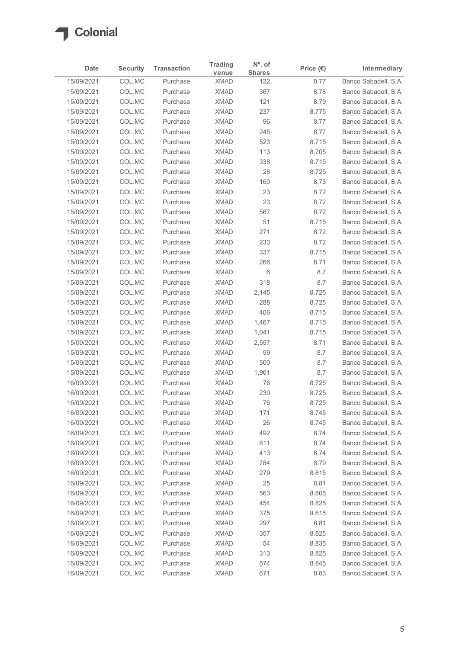

| Date<br>15/09/2021<br>15/09/2021<br>15/09/2021<br>15/09/2021<br>15/09/2021<br>15/09/2021<br>15/09/2021<br>15/09/2021<br>15/09/2021 | <b>Security</b><br>COL.MC<br>COL.MC<br>COL.MC | <b>Transaction</b>   |                            |                      | Price $(\epsilon)$ |                                              |
|------------------------------------------------------------------------------------------------------------------------------------|-----------------------------------------------|----------------------|----------------------------|----------------------|--------------------|----------------------------------------------|
|                                                                                                                                    |                                               | Purchase             | venue<br><b>XMAD</b>       | <b>Shares</b><br>122 | 8.77               | Intermediary<br>Banco Sabadell, S.A.         |
|                                                                                                                                    |                                               | Purchase             | <b>XMAD</b>                | 367                  | 8.78               | Banco Sabadell, S.A.                         |
|                                                                                                                                    |                                               | Purchase             | <b>XMAD</b>                | 121                  | 8.79               | Banco Sabadell, S.A.                         |
|                                                                                                                                    | COL.MC                                        | Purchase             | <b>XMAD</b>                | 237                  | 8.775              | Banco Sabadell, S.A.                         |
|                                                                                                                                    | COL.MC                                        | Purchase             | <b>XMAD</b>                | 96                   | 8.77               | Banco Sabadell, S.A.                         |
|                                                                                                                                    | COL.MC                                        | Purchase             | <b>XMAD</b>                | 245                  | 8.77               | Banco Sabadell, S.A.                         |
|                                                                                                                                    | COL.MC<br>COL.MC                              | Purchase<br>Purchase | <b>XMAD</b><br><b>XMAD</b> | 523<br>113           | 8.715<br>8.705     | Banco Sabadell, S.A.<br>Banco Sabadell, S.A. |
|                                                                                                                                    | COL.MC                                        | Purchase             | <b>XMAD</b>                | 338                  | 8.715              | Banco Sabadell, S.A.                         |
| 15/09/2021                                                                                                                         | COL.MC                                        | Purchase             | <b>XMAD</b>                | 28                   | 8.725              | Banco Sabadell, S.A.                         |
| 15/09/2021                                                                                                                         | COL.MC                                        | Purchase             | <b>XMAD</b>                | 160                  | 8.73               | Banco Sabadell, S.A.                         |
| 15/09/2021                                                                                                                         | COL.MC                                        | Purchase             | <b>XMAD</b>                | 23                   | 8.72               | Banco Sabadell, S.A.                         |
| 15/09/2021                                                                                                                         | COL.MC                                        | Purchase             | <b>XMAD</b>                | 23                   | 8.72               | Banco Sabadell, S.A.                         |
| 15/09/2021                                                                                                                         | COL.MC                                        | Purchase             | <b>XMAD</b>                | 567                  | 8.72               | Banco Sabadell, S.A.                         |
| 15/09/2021                                                                                                                         | COL.MC                                        | Purchase             | <b>XMAD</b>                | 51                   | 8.715              | Banco Sabadell, S.A.                         |
| 15/09/2021<br>15/09/2021                                                                                                           | COL.MC<br>COL.MC                              | Purchase<br>Purchase | XMAD<br><b>XMAD</b>        | 271<br>233           | 8.72<br>8.72       | Banco Sabadell, S.A.<br>Banco Sabadell, S.A. |
| 15/09/2021                                                                                                                         | COL.MC                                        | Purchase             | <b>XMAD</b>                | 337                  | 8.715              | Banco Sabadell, S.A.                         |
| 15/09/2021                                                                                                                         | COL.MC                                        | Purchase             | <b>XMAD</b>                | 266                  | 8.71               | Banco Sabadell, S.A.                         |
| 15/09/2021                                                                                                                         | COL.MC                                        | Purchase             | <b>XMAD</b>                | 6                    | 8.7                | Banco Sabadell, S.A.                         |
| 15/09/2021                                                                                                                         | COL.MC                                        | Purchase             | <b>XMAD</b>                | 318                  | 8.7                | Banco Sabadell, S.A.                         |
| 15/09/2021                                                                                                                         | COL.MC                                        | Purchase             | XMAD                       | 2,145                | 8.725              | Banco Sabadell, S.A.                         |
| 15/09/2021                                                                                                                         | COL.MC                                        | Purchase             | <b>XMAD</b>                | 288                  | 8.725              | Banco Sabadell, S.A.                         |
| 15/09/2021                                                                                                                         | COL.MC                                        | Purchase             | <b>XMAD</b>                | 406                  | 8.715              | Banco Sabadell, S.A.                         |
| 15/09/2021                                                                                                                         | COL.MC                                        | Purchase             | <b>XMAD</b>                | 1,467                | 8.715              | Banco Sabadell, S.A.                         |
| 15/09/2021<br>15/09/2021                                                                                                           | COL.MC<br>COL.MC                              | Purchase<br>Purchase | <b>XMAD</b><br><b>XMAD</b> | 1,041<br>2,557       | 8.715<br>8.71      | Banco Sabadell, S.A.<br>Banco Sabadell, S.A. |
| 15/09/2021                                                                                                                         | COL.MC                                        | Purchase             | <b>XMAD</b>                | 99                   | 8.7                | Banco Sabadell, S.A.                         |
| 15/09/2021                                                                                                                         | COL.MC                                        | Purchase             | <b>XMAD</b>                | 500                  | 8.7                | Banco Sabadell, S.A.                         |
| 15/09/2021                                                                                                                         | COL.MC                                        | Purchase             | <b>XMAD</b>                | 1,901                | 8.7                | Banco Sabadell, S.A.                         |
| 16/09/2021                                                                                                                         | COL.MC                                        | Purchase             | <b>XMAD</b>                | 76                   | 8.725              | Banco Sabadell, S.A.                         |
| 16/09/2021                                                                                                                         | COL.MC                                        | Purchase             | <b>XMAD</b>                | 230                  | 8.725              | Banco Sabadell, S.A.                         |
| 16/09/2021                                                                                                                         | COL.MC                                        | Purchase             | <b>XMAD</b>                | 76                   | 8.725              | Banco Sabadell, S.A.                         |
| 16/09/2021                                                                                                                         | COL.MC                                        | Purchase             | <b>XMAD</b>                | 171                  | 8.745              | Banco Sabadell, S.A.                         |
| 16/09/2021                                                                                                                         | COL.MC                                        | Purchase             | <b>XMAD</b>                | 26                   | 8.745              | Banco Sabadell, S.A.                         |
| 16/09/2021                                                                                                                         | COL.MC                                        | Purchase             | <b>XMAD</b>                | 492                  | 8.74               | Banco Sabadell, S.A.                         |
| 16/09/2021<br>16/09/2021                                                                                                           | COL.MC<br>COL.MC                              | Purchase<br>Purchase | <b>XMAD</b><br><b>XMAD</b> | 611<br>413           | 8.74<br>8.74       | Banco Sabadell, S.A.<br>Banco Sabadell, S.A. |
| 16/09/2021                                                                                                                         | COL.MC                                        | Purchase             | <b>XMAD</b>                | 784                  | 8.79               | Banco Sabadell, S.A.                         |
| 16/09/2021                                                                                                                         | COL.MC                                        | Purchase             | <b>XMAD</b>                | 279                  | 8.815              | Banco Sabadell, S.A.                         |
| 16/09/2021                                                                                                                         | COL.MC                                        | Purchase             | <b>XMAD</b>                | 25                   | 8.81               | Banco Sabadell, S.A.                         |
| 16/09/2021                                                                                                                         | COL.MC                                        | Purchase             | <b>XMAD</b>                | 563                  | 8.805              | Banco Sabadell, S.A.                         |
| 16/09/2021                                                                                                                         | COL.MC                                        | Purchase             | <b>XMAD</b>                | 454                  | 8.825              | Banco Sabadell, S.A.                         |
| 16/09/2021                                                                                                                         | COL.MC                                        | Purchase             | <b>XMAD</b>                | 375                  | 8.815              | Banco Sabadell, S.A.                         |
| 16/09/2021                                                                                                                         | COL.MC                                        | Purchase             | <b>XMAD</b>                | 297                  | 8.81               | Banco Sabadell, S.A.                         |
| 16/09/2021                                                                                                                         | COL.MC                                        | Purchase             | <b>XMAD</b>                | 357                  | 8.825              | Banco Sabadell, S.A.                         |
| 16/09/2021<br>16/09/2021                                                                                                           | COL.MC<br>COL.MC                              | Purchase<br>Purchase | <b>XMAD</b><br><b>XMAD</b> | 54<br>313            | 8.835<br>8.825     | Banco Sabadell, S.A.<br>Banco Sabadell, S.A. |
| 16/09/2021                                                                                                                         | COL.MC                                        | Purchase             | <b>XMAD</b>                | 574                  | 8.845              | Banco Sabadell, S.A.                         |
| 16/09/2021                                                                                                                         | COL.MC                                        | Purchase             | <b>XMAD</b>                | 671                  | 8.83               | Banco Sabadell, S.A.                         |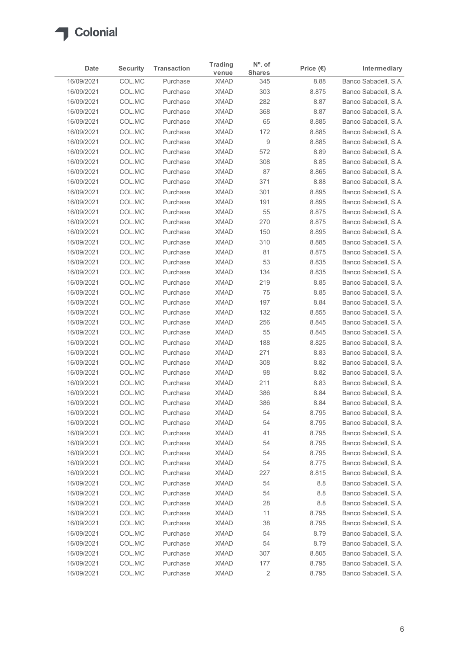

| Date<br>16/09/2021<br>16/09/2021<br>16/09/2021<br>16/09/2021<br>16/09/2021<br>16/09/2021<br>16/09/2021<br>16/09/2021<br>16/09/2021<br>16/09/2021<br>16/09/2021<br>16/09/2021<br>16/09/2021<br>16/09/2021<br>16/09/2021<br>16/09/2021<br>16/09/2021<br>16/09/2021<br>16/09/2021<br>16/09/2021<br>16/09/2021<br>16/09/2021<br>16/09/2021<br>16/09/2021<br>16/09/2021 | <b>Security</b><br>COL.MC<br>COL.MC<br>COL.MC<br>COL.MC<br>COL.MC<br>COL.MC<br>COL.MC<br>COL.MC<br>COL.MC<br>COL.MC<br>COL.MC<br>COL.MC<br>COL.MC<br>COL.MC<br>COL.MC<br>COL.MC<br>COL.MC<br>COL.MC<br>COL.MC | <b>Transaction</b><br>Purchase<br>Purchase<br>Purchase<br>Purchase<br>Purchase<br>Purchase<br>Purchase<br>Purchase<br>Purchase<br>Purchase<br>Purchase<br>Purchase<br>Purchase<br>Purchase<br>Purchase<br>Purchase<br>Purchase | <b>Trading</b><br>venue<br><b>XMAD</b><br><b>XMAD</b><br><b>XMAD</b><br><b>XMAD</b><br><b>XMAD</b><br><b>XMAD</b><br><b>XMAD</b><br><b>XMAD</b><br><b>XMAD</b><br><b>XMAD</b><br><b>XMAD</b><br><b>XMAD</b><br><b>XMAD</b><br>XMAD | $N^{\circ}$ . of<br><b>Shares</b><br>345<br>303<br>282<br>368<br>65<br>172<br>9<br>572<br>308<br>87<br>371 | Price $(\epsilon)$<br>8.88<br>8.875<br>8.87<br>8.87<br>8.885<br>8.885<br>8.885<br>8.89<br>8.85 | Intermediary<br>Banco Sabadell, S.A.<br>Banco Sabadell, S.A.<br>Banco Sabadell, S.A.<br>Banco Sabadell, S.A.<br>Banco Sabadell, S.A.<br>Banco Sabadell, S.A.<br>Banco Sabadell, S.A. |
|--------------------------------------------------------------------------------------------------------------------------------------------------------------------------------------------------------------------------------------------------------------------------------------------------------------------------------------------------------------------|---------------------------------------------------------------------------------------------------------------------------------------------------------------------------------------------------------------|--------------------------------------------------------------------------------------------------------------------------------------------------------------------------------------------------------------------------------|------------------------------------------------------------------------------------------------------------------------------------------------------------------------------------------------------------------------------------|------------------------------------------------------------------------------------------------------------|------------------------------------------------------------------------------------------------|--------------------------------------------------------------------------------------------------------------------------------------------------------------------------------------|
|                                                                                                                                                                                                                                                                                                                                                                    |                                                                                                                                                                                                               |                                                                                                                                                                                                                                |                                                                                                                                                                                                                                    |                                                                                                            |                                                                                                |                                                                                                                                                                                      |
|                                                                                                                                                                                                                                                                                                                                                                    |                                                                                                                                                                                                               |                                                                                                                                                                                                                                |                                                                                                                                                                                                                                    |                                                                                                            |                                                                                                |                                                                                                                                                                                      |
|                                                                                                                                                                                                                                                                                                                                                                    |                                                                                                                                                                                                               |                                                                                                                                                                                                                                |                                                                                                                                                                                                                                    |                                                                                                            |                                                                                                |                                                                                                                                                                                      |
|                                                                                                                                                                                                                                                                                                                                                                    |                                                                                                                                                                                                               |                                                                                                                                                                                                                                |                                                                                                                                                                                                                                    |                                                                                                            |                                                                                                |                                                                                                                                                                                      |
|                                                                                                                                                                                                                                                                                                                                                                    |                                                                                                                                                                                                               |                                                                                                                                                                                                                                |                                                                                                                                                                                                                                    |                                                                                                            |                                                                                                |                                                                                                                                                                                      |
|                                                                                                                                                                                                                                                                                                                                                                    |                                                                                                                                                                                                               |                                                                                                                                                                                                                                |                                                                                                                                                                                                                                    |                                                                                                            |                                                                                                |                                                                                                                                                                                      |
|                                                                                                                                                                                                                                                                                                                                                                    |                                                                                                                                                                                                               |                                                                                                                                                                                                                                |                                                                                                                                                                                                                                    |                                                                                                            |                                                                                                |                                                                                                                                                                                      |
|                                                                                                                                                                                                                                                                                                                                                                    |                                                                                                                                                                                                               |                                                                                                                                                                                                                                |                                                                                                                                                                                                                                    |                                                                                                            |                                                                                                | Banco Sabadell, S.A.                                                                                                                                                                 |
|                                                                                                                                                                                                                                                                                                                                                                    |                                                                                                                                                                                                               |                                                                                                                                                                                                                                |                                                                                                                                                                                                                                    |                                                                                                            | 8.865                                                                                          | Banco Sabadell, S.A.<br>Banco Sabadell, S.A.                                                                                                                                         |
|                                                                                                                                                                                                                                                                                                                                                                    |                                                                                                                                                                                                               |                                                                                                                                                                                                                                |                                                                                                                                                                                                                                    |                                                                                                            | 8.88                                                                                           | Banco Sabadell, S.A.                                                                                                                                                                 |
|                                                                                                                                                                                                                                                                                                                                                                    |                                                                                                                                                                                                               |                                                                                                                                                                                                                                |                                                                                                                                                                                                                                    | 301                                                                                                        | 8.895                                                                                          | Banco Sabadell, S.A.                                                                                                                                                                 |
|                                                                                                                                                                                                                                                                                                                                                                    |                                                                                                                                                                                                               |                                                                                                                                                                                                                                |                                                                                                                                                                                                                                    | 191                                                                                                        | 8.895                                                                                          | Banco Sabadell, S.A.                                                                                                                                                                 |
|                                                                                                                                                                                                                                                                                                                                                                    |                                                                                                                                                                                                               |                                                                                                                                                                                                                                |                                                                                                                                                                                                                                    | 55                                                                                                         | 8.875                                                                                          | Banco Sabadell, S.A.                                                                                                                                                                 |
|                                                                                                                                                                                                                                                                                                                                                                    |                                                                                                                                                                                                               |                                                                                                                                                                                                                                | XMAD                                                                                                                                                                                                                               | 270                                                                                                        | 8.875                                                                                          | Banco Sabadell, S.A.                                                                                                                                                                 |
|                                                                                                                                                                                                                                                                                                                                                                    |                                                                                                                                                                                                               |                                                                                                                                                                                                                                | <b>XMAD</b>                                                                                                                                                                                                                        | 150                                                                                                        | 8.895                                                                                          | Banco Sabadell, S.A.                                                                                                                                                                 |
|                                                                                                                                                                                                                                                                                                                                                                    |                                                                                                                                                                                                               |                                                                                                                                                                                                                                | <b>XMAD</b>                                                                                                                                                                                                                        | 310                                                                                                        | 8.885                                                                                          | Banco Sabadell, S.A.                                                                                                                                                                 |
|                                                                                                                                                                                                                                                                                                                                                                    |                                                                                                                                                                                                               | Purchase<br>Purchase                                                                                                                                                                                                           | <b>XMAD</b><br><b>XMAD</b>                                                                                                                                                                                                         | 81<br>53                                                                                                   | 8.875<br>8.835                                                                                 | Banco Sabadell, S.A.<br>Banco Sabadell, S.A.                                                                                                                                         |
|                                                                                                                                                                                                                                                                                                                                                                    | COL.MC                                                                                                                                                                                                        | Purchase                                                                                                                                                                                                                       | <b>XMAD</b>                                                                                                                                                                                                                        | 134                                                                                                        | 8.835                                                                                          | Banco Sabadell, S.A.                                                                                                                                                                 |
|                                                                                                                                                                                                                                                                                                                                                                    | COL.MC                                                                                                                                                                                                        | Purchase                                                                                                                                                                                                                       | <b>XMAD</b>                                                                                                                                                                                                                        | 219                                                                                                        | 8.85                                                                                           | Banco Sabadell, S.A.                                                                                                                                                                 |
|                                                                                                                                                                                                                                                                                                                                                                    | COL.MC                                                                                                                                                                                                        | Purchase                                                                                                                                                                                                                       | XMAD                                                                                                                                                                                                                               | 75                                                                                                         | 8.85                                                                                           | Banco Sabadell, S.A.                                                                                                                                                                 |
|                                                                                                                                                                                                                                                                                                                                                                    | COL.MC                                                                                                                                                                                                        | Purchase                                                                                                                                                                                                                       | <b>XMAD</b>                                                                                                                                                                                                                        | 197                                                                                                        | 8.84                                                                                           | Banco Sabadell, S.A.                                                                                                                                                                 |
|                                                                                                                                                                                                                                                                                                                                                                    | COL.MC                                                                                                                                                                                                        | Purchase                                                                                                                                                                                                                       | <b>XMAD</b>                                                                                                                                                                                                                        | 132                                                                                                        | 8.855                                                                                          | Banco Sabadell, S.A.                                                                                                                                                                 |
|                                                                                                                                                                                                                                                                                                                                                                    | COL.MC                                                                                                                                                                                                        | Purchase                                                                                                                                                                                                                       | <b>XMAD</b>                                                                                                                                                                                                                        | 256                                                                                                        | 8.845                                                                                          | Banco Sabadell, S.A.                                                                                                                                                                 |
| 16/09/2021                                                                                                                                                                                                                                                                                                                                                         | COL.MC                                                                                                                                                                                                        | Purchase                                                                                                                                                                                                                       | <b>XMAD</b>                                                                                                                                                                                                                        | 55                                                                                                         | 8.845                                                                                          | Banco Sabadell, S.A.                                                                                                                                                                 |
| 16/09/2021                                                                                                                                                                                                                                                                                                                                                         | COL.MC                                                                                                                                                                                                        | Purchase                                                                                                                                                                                                                       | <b>XMAD</b>                                                                                                                                                                                                                        | 188                                                                                                        | 8.825                                                                                          | Banco Sabadell, S.A.                                                                                                                                                                 |
| 16/09/2021<br>16/09/2021                                                                                                                                                                                                                                                                                                                                           | COL.MC<br>COL.MC                                                                                                                                                                                              | Purchase<br>Purchase                                                                                                                                                                                                           | <b>XMAD</b><br><b>XMAD</b>                                                                                                                                                                                                         | 271<br>308                                                                                                 | 8.83<br>8.82                                                                                   | Banco Sabadell, S.A.<br>Banco Sabadell, S.A.                                                                                                                                         |
| 16/09/2021                                                                                                                                                                                                                                                                                                                                                         | COL.MC                                                                                                                                                                                                        | Purchase                                                                                                                                                                                                                       | <b>XMAD</b>                                                                                                                                                                                                                        | 98                                                                                                         | 8.82                                                                                           | Banco Sabadell, S.A.                                                                                                                                                                 |
| 16/09/2021                                                                                                                                                                                                                                                                                                                                                         | COL.MC                                                                                                                                                                                                        | Purchase                                                                                                                                                                                                                       | <b>XMAD</b>                                                                                                                                                                                                                        | 211                                                                                                        | 8.83                                                                                           | Banco Sabadell, S.A.                                                                                                                                                                 |
| 16/09/2021                                                                                                                                                                                                                                                                                                                                                         | COL.MC                                                                                                                                                                                                        | Purchase                                                                                                                                                                                                                       | <b>XMAD</b>                                                                                                                                                                                                                        | 386                                                                                                        | 8.84                                                                                           | Banco Sabadell, S.A.                                                                                                                                                                 |
| 16/09/2021                                                                                                                                                                                                                                                                                                                                                         | COL.MC                                                                                                                                                                                                        | Purchase                                                                                                                                                                                                                       | <b>XMAD</b>                                                                                                                                                                                                                        | 386                                                                                                        | 8.84                                                                                           | Banco Sabadell, S.A.                                                                                                                                                                 |
| 16/09/2021                                                                                                                                                                                                                                                                                                                                                         | COL.MC                                                                                                                                                                                                        | Purchase                                                                                                                                                                                                                       | <b>XMAD</b>                                                                                                                                                                                                                        | 54                                                                                                         | 8.795                                                                                          | Banco Sabadell, S.A.                                                                                                                                                                 |
| 16/09/2021                                                                                                                                                                                                                                                                                                                                                         | COL.MC                                                                                                                                                                                                        | Purchase                                                                                                                                                                                                                       | <b>XMAD</b>                                                                                                                                                                                                                        | 54                                                                                                         | 8.795                                                                                          | Banco Sabadell, S.A.                                                                                                                                                                 |
| 16/09/2021                                                                                                                                                                                                                                                                                                                                                         | COL.MC                                                                                                                                                                                                        | Purchase                                                                                                                                                                                                                       | <b>XMAD</b>                                                                                                                                                                                                                        | 41                                                                                                         | 8.795                                                                                          | Banco Sabadell, S.A.                                                                                                                                                                 |
| 16/09/2021                                                                                                                                                                                                                                                                                                                                                         | COL.MC                                                                                                                                                                                                        | Purchase                                                                                                                                                                                                                       | <b>XMAD</b>                                                                                                                                                                                                                        | 54                                                                                                         | 8.795                                                                                          | Banco Sabadell, S.A.                                                                                                                                                                 |
| 16/09/2021                                                                                                                                                                                                                                                                                                                                                         | COL.MC                                                                                                                                                                                                        | Purchase                                                                                                                                                                                                                       | <b>XMAD</b>                                                                                                                                                                                                                        | 54                                                                                                         | 8.795<br>8.775                                                                                 | Banco Sabadell, S.A.                                                                                                                                                                 |
| 16/09/2021<br>16/09/2021                                                                                                                                                                                                                                                                                                                                           | COL.MC<br>COL.MC                                                                                                                                                                                              | Purchase<br>Purchase                                                                                                                                                                                                           | <b>XMAD</b><br><b>XMAD</b>                                                                                                                                                                                                         | 54<br>227                                                                                                  | 8.815                                                                                          | Banco Sabadell, S.A.<br>Banco Sabadell, S.A.                                                                                                                                         |
| 16/09/2021                                                                                                                                                                                                                                                                                                                                                         | COL.MC                                                                                                                                                                                                        | Purchase                                                                                                                                                                                                                       | <b>XMAD</b>                                                                                                                                                                                                                        | 54                                                                                                         | $8.8\,$                                                                                        | Banco Sabadell, S.A.                                                                                                                                                                 |
| 16/09/2021                                                                                                                                                                                                                                                                                                                                                         | COL.MC                                                                                                                                                                                                        | Purchase                                                                                                                                                                                                                       | <b>XMAD</b>                                                                                                                                                                                                                        | 54                                                                                                         | $8.8\,$                                                                                        | Banco Sabadell, S.A.                                                                                                                                                                 |
| 16/09/2021                                                                                                                                                                                                                                                                                                                                                         | COL.MC                                                                                                                                                                                                        | Purchase                                                                                                                                                                                                                       | <b>XMAD</b>                                                                                                                                                                                                                        | 28                                                                                                         | $8.8\,$                                                                                        | Banco Sabadell, S.A.                                                                                                                                                                 |
| 16/09/2021                                                                                                                                                                                                                                                                                                                                                         | COL.MC                                                                                                                                                                                                        | Purchase                                                                                                                                                                                                                       | <b>XMAD</b>                                                                                                                                                                                                                        | 11                                                                                                         | 8.795                                                                                          | Banco Sabadell, S.A.                                                                                                                                                                 |
| 16/09/2021                                                                                                                                                                                                                                                                                                                                                         | COL.MC                                                                                                                                                                                                        | Purchase                                                                                                                                                                                                                       | <b>XMAD</b>                                                                                                                                                                                                                        | 38                                                                                                         | 8.795                                                                                          | Banco Sabadell, S.A.                                                                                                                                                                 |
| 16/09/2021                                                                                                                                                                                                                                                                                                                                                         | COL.MC                                                                                                                                                                                                        | Purchase                                                                                                                                                                                                                       | <b>XMAD</b>                                                                                                                                                                                                                        | 54                                                                                                         | 8.79                                                                                           | Banco Sabadell, S.A.                                                                                                                                                                 |
| 16/09/2021                                                                                                                                                                                                                                                                                                                                                         | COL.MC                                                                                                                                                                                                        | Purchase                                                                                                                                                                                                                       | <b>XMAD</b>                                                                                                                                                                                                                        | 54                                                                                                         | 8.79                                                                                           | Banco Sabadell, S.A.                                                                                                                                                                 |
| 16/09/2021                                                                                                                                                                                                                                                                                                                                                         | COL.MC                                                                                                                                                                                                        | Purchase                                                                                                                                                                                                                       | <b>XMAD</b>                                                                                                                                                                                                                        | 307                                                                                                        | 8.805                                                                                          | Banco Sabadell, S.A.                                                                                                                                                                 |
| 16/09/2021<br>16/09/2021                                                                                                                                                                                                                                                                                                                                           | COLMC<br>COLMC                                                                                                                                                                                                | Purchase<br>Purchase                                                                                                                                                                                                           | <b>XMAD</b><br>XMAD                                                                                                                                                                                                                | 177<br>$\sqrt{2}$                                                                                          | 8.795<br>8.795                                                                                 | Banco Sabadell, S.A.<br>Banco Sabadell, S.A.                                                                                                                                         |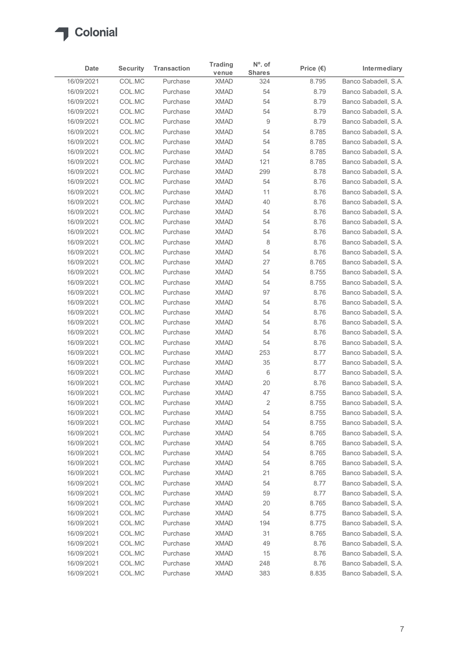

| COL.MC<br>Banco Sabadell, S.A.<br>8.795<br>Purchase<br><b>XMAD</b><br>324<br>COL.MC<br>54<br>8.79<br>Purchase<br><b>XMAD</b><br>COL.MC<br>54<br>Purchase<br><b>XMAD</b><br>8.79<br>COL.MC<br>Purchase<br><b>XMAD</b><br>54<br>8.79<br>COL.MC<br><b>XMAD</b><br>9<br>Purchase<br>8.79<br>COL.MC<br><b>XMAD</b><br>Purchase<br>54<br>8.785<br>COL.MC<br><b>XMAD</b><br>54<br>Purchase<br>8.785<br>COL.MC<br>Purchase<br><b>XMAD</b><br>54<br>8.785<br>121<br>16/09/2021<br>COL.MC<br><b>XMAD</b><br>8.785<br>Purchase<br>COL.MC<br><b>XMAD</b><br>299<br>Purchase<br>8.78<br>COL.MC<br><b>XMAD</b><br>54<br>16/09/2021<br>Purchase<br>8.76<br>COL.MC<br><b>XMAD</b><br>16/09/2021<br>Purchase<br>11<br>8.76<br><b>XMAD</b><br>40<br>8.76<br>16/09/2021<br>COL.MC<br>Purchase<br>54<br>16/09/2021<br>COL.MC<br><b>XMAD</b><br>8.76<br>Purchase<br><b>XMAD</b><br>16/09/2021<br>COL.MC<br>Purchase<br>54<br>8.76<br>COL.MC<br><b>XMAD</b><br>54<br>8.76<br>16/09/2021<br>Purchase<br>8<br>8.76<br>16/09/2021<br>COL.MC<br>Purchase<br><b>XMAD</b><br>COL.MC<br>54<br>8.76<br>16/09/2021<br>Purchase<br><b>XMAD</b><br>27<br>COL.MC<br>8.765<br>16/09/2021<br>Purchase<br><b>XMAD</b><br>54<br>16/09/2021<br>COL.MC<br>Purchase<br><b>XMAD</b><br>8.755<br>54<br>16/09/2021<br>COL.MC<br><b>XMAD</b><br>8.755<br>Purchase<br>COL.MC<br><b>XMAD</b><br>97<br>8.76<br>16/09/2021<br>Purchase<br>COL.MC<br>54<br>8.76<br>Purchase<br><b>XMAD</b><br>COL.MC<br>54<br>Purchase<br><b>XMAD</b><br>8.76<br>54<br>8.76<br>COL.MC<br><b>XMAD</b><br>Purchase<br>54<br>8.76<br>COL.MC<br>Purchase<br><b>XMAD</b><br>54<br>COL.MC<br>Purchase<br><b>XMAD</b><br>8.76<br>COL.MC<br><b>XMAD</b><br>253<br>8.77<br>Purchase<br>$35\,$<br>8.77<br>COL.MC<br>Purchase<br><b>XMAD</b><br>$6\,$<br>COL.MC<br>8.77<br>Purchase<br><b>XMAD</b><br>$20\,$<br>COL.MC<br>8.76<br>Purchase<br><b>XMAD</b><br>47<br>COL.MC<br>Purchase<br><b>XMAD</b><br>8.755<br>$\overline{2}$<br>8.755<br>COL.MC<br>Purchase<br><b>XMAD</b><br><b>XMAD</b><br>54<br>8.755<br>COL.MC<br>Purchase<br>COL.MC<br><b>XMAD</b><br>54<br>8.755<br>Purchase<br>COL.MC<br>54<br>8.765<br>Purchase<br><b>XMAD</b><br>54<br>COL.MC<br><b>XMAD</b><br>8.765<br>Purchase<br>54<br>8.765<br>COL.MC<br><b>XMAD</b><br>Purchase<br>COL.MC<br><b>XMAD</b><br>54<br>8.765<br>Purchase<br><b>XMAD</b><br>21<br>8.765<br>COL.MC<br>Purchase<br>COL.MC<br>54<br>8.77<br><b>XMAD</b><br>Purchase<br>COL.MC<br>59<br>8.77<br>Purchase<br><b>XMAD</b><br>20<br>COL.MC<br>Purchase<br><b>XMAD</b><br>8.765<br>54<br>16/09/2021<br>COL.MC<br><b>XMAD</b><br>8.775<br>Purchase<br>8.775<br>16/09/2021<br>COL.MC<br>Purchase<br><b>XMAD</b><br>194<br><b>XMAD</b><br>31<br>8.765<br>16/09/2021<br>COL.MC<br>Purchase | Date                     | <b>Security</b> | <b>Transaction</b> | <b>Trading</b><br>venue | N°. of<br><b>Shares</b> | Price $(\epsilon)$ | Intermediary |
|-----------------------------------------------------------------------------------------------------------------------------------------------------------------------------------------------------------------------------------------------------------------------------------------------------------------------------------------------------------------------------------------------------------------------------------------------------------------------------------------------------------------------------------------------------------------------------------------------------------------------------------------------------------------------------------------------------------------------------------------------------------------------------------------------------------------------------------------------------------------------------------------------------------------------------------------------------------------------------------------------------------------------------------------------------------------------------------------------------------------------------------------------------------------------------------------------------------------------------------------------------------------------------------------------------------------------------------------------------------------------------------------------------------------------------------------------------------------------------------------------------------------------------------------------------------------------------------------------------------------------------------------------------------------------------------------------------------------------------------------------------------------------------------------------------------------------------------------------------------------------------------------------------------------------------------------------------------------------------------------------------------------------------------------------------------------------------------------------------------------------------------------------------------------------------------------------------------------------------------------------------------------------------------------------------------------------------------------------------------------------------------------------------------------------------------------------------------------------------------------------------------------------------------------------------------------------------------------------------------------------------------------------------------------------------------------------------------------------------------------------|--------------------------|-----------------|--------------------|-------------------------|-------------------------|--------------------|--------------|
| Banco Sabadell, S.A.<br>Banco Sabadell, S.A.<br>Banco Sabadell, S.A.<br>Banco Sabadell, S.A.<br>Banco Sabadell, S.A.<br>Banco Sabadell, S.A.<br>Banco Sabadell, S.A.<br>Banco Sabadell, S.A.<br>Banco Sabadell, S.A.<br>Banco Sabadell, S.A.<br>Banco Sabadell, S.A.<br>Banco Sabadell, S.A.<br>Banco Sabadell, S.A.<br>Banco Sabadell, S.A.<br>Banco Sabadell, S.A.<br>Banco Sabadell, S.A.<br>Banco Sabadell, S.A.<br>Banco Sabadell, S.A.<br>Banco Sabadell, S.A.<br>Banco Sabadell, S.A.<br>Banco Sabadell, S.A.<br>Banco Sabadell, S.A.<br>Banco Sabadell, S.A.<br>Banco Sabadell, S.A.<br>Banco Sabadell, S.A.<br>Banco Sabadell, S.A.<br>Banco Sabadell, S.A.<br>Banco Sabadell, S.A.<br>Banco Sabadell, S.A.<br>Banco Sabadell, S.A.<br>Banco Sabadell, S.A.<br>Banco Sabadell, S.A.<br>Banco Sabadell, S.A.<br>Banco Sabadell, S.A.<br>Banco Sabadell, S.A.<br>Banco Sabadell, S.A.<br>Banco Sabadell, S.A.<br>Banco Sabadell, S.A.<br>Banco Sabadell, S.A.<br>Banco Sabadell, S.A.<br>Banco Sabadell, S.A.<br>Banco Sabadell, S.A.<br>Banco Sabadell, S.A.<br>Banco Sabadell, S.A.<br>Banco Sabadell, S.A.<br>Banco Sabadell, S.A.                                                                                                                                                                                                                                                                                                                                                                                                                                                                                                                                                                                                                                                                                                                                                                                                                                                                                                                                                                                                                                                                                                                                                                                                                                                                                                                                                                                                                                                                                                                                                                                                  | 16/09/2021               |                 |                    |                         |                         |                    |              |
|                                                                                                                                                                                                                                                                                                                                                                                                                                                                                                                                                                                                                                                                                                                                                                                                                                                                                                                                                                                                                                                                                                                                                                                                                                                                                                                                                                                                                                                                                                                                                                                                                                                                                                                                                                                                                                                                                                                                                                                                                                                                                                                                                                                                                                                                                                                                                                                                                                                                                                                                                                                                                                                                                                                                               | 16/09/2021               |                 |                    |                         |                         |                    |              |
|                                                                                                                                                                                                                                                                                                                                                                                                                                                                                                                                                                                                                                                                                                                                                                                                                                                                                                                                                                                                                                                                                                                                                                                                                                                                                                                                                                                                                                                                                                                                                                                                                                                                                                                                                                                                                                                                                                                                                                                                                                                                                                                                                                                                                                                                                                                                                                                                                                                                                                                                                                                                                                                                                                                                               | 16/09/2021               |                 |                    |                         |                         |                    |              |
|                                                                                                                                                                                                                                                                                                                                                                                                                                                                                                                                                                                                                                                                                                                                                                                                                                                                                                                                                                                                                                                                                                                                                                                                                                                                                                                                                                                                                                                                                                                                                                                                                                                                                                                                                                                                                                                                                                                                                                                                                                                                                                                                                                                                                                                                                                                                                                                                                                                                                                                                                                                                                                                                                                                                               | 16/09/2021               |                 |                    |                         |                         |                    |              |
|                                                                                                                                                                                                                                                                                                                                                                                                                                                                                                                                                                                                                                                                                                                                                                                                                                                                                                                                                                                                                                                                                                                                                                                                                                                                                                                                                                                                                                                                                                                                                                                                                                                                                                                                                                                                                                                                                                                                                                                                                                                                                                                                                                                                                                                                                                                                                                                                                                                                                                                                                                                                                                                                                                                                               | 16/09/2021               |                 |                    |                         |                         |                    |              |
|                                                                                                                                                                                                                                                                                                                                                                                                                                                                                                                                                                                                                                                                                                                                                                                                                                                                                                                                                                                                                                                                                                                                                                                                                                                                                                                                                                                                                                                                                                                                                                                                                                                                                                                                                                                                                                                                                                                                                                                                                                                                                                                                                                                                                                                                                                                                                                                                                                                                                                                                                                                                                                                                                                                                               | 16/09/2021               |                 |                    |                         |                         |                    |              |
|                                                                                                                                                                                                                                                                                                                                                                                                                                                                                                                                                                                                                                                                                                                                                                                                                                                                                                                                                                                                                                                                                                                                                                                                                                                                                                                                                                                                                                                                                                                                                                                                                                                                                                                                                                                                                                                                                                                                                                                                                                                                                                                                                                                                                                                                                                                                                                                                                                                                                                                                                                                                                                                                                                                                               | 16/09/2021               |                 |                    |                         |                         |                    |              |
|                                                                                                                                                                                                                                                                                                                                                                                                                                                                                                                                                                                                                                                                                                                                                                                                                                                                                                                                                                                                                                                                                                                                                                                                                                                                                                                                                                                                                                                                                                                                                                                                                                                                                                                                                                                                                                                                                                                                                                                                                                                                                                                                                                                                                                                                                                                                                                                                                                                                                                                                                                                                                                                                                                                                               | 16/09/2021               |                 |                    |                         |                         |                    |              |
|                                                                                                                                                                                                                                                                                                                                                                                                                                                                                                                                                                                                                                                                                                                                                                                                                                                                                                                                                                                                                                                                                                                                                                                                                                                                                                                                                                                                                                                                                                                                                                                                                                                                                                                                                                                                                                                                                                                                                                                                                                                                                                                                                                                                                                                                                                                                                                                                                                                                                                                                                                                                                                                                                                                                               |                          |                 |                    |                         |                         |                    |              |
|                                                                                                                                                                                                                                                                                                                                                                                                                                                                                                                                                                                                                                                                                                                                                                                                                                                                                                                                                                                                                                                                                                                                                                                                                                                                                                                                                                                                                                                                                                                                                                                                                                                                                                                                                                                                                                                                                                                                                                                                                                                                                                                                                                                                                                                                                                                                                                                                                                                                                                                                                                                                                                                                                                                                               | 16/09/2021               |                 |                    |                         |                         |                    |              |
|                                                                                                                                                                                                                                                                                                                                                                                                                                                                                                                                                                                                                                                                                                                                                                                                                                                                                                                                                                                                                                                                                                                                                                                                                                                                                                                                                                                                                                                                                                                                                                                                                                                                                                                                                                                                                                                                                                                                                                                                                                                                                                                                                                                                                                                                                                                                                                                                                                                                                                                                                                                                                                                                                                                                               |                          |                 |                    |                         |                         |                    |              |
|                                                                                                                                                                                                                                                                                                                                                                                                                                                                                                                                                                                                                                                                                                                                                                                                                                                                                                                                                                                                                                                                                                                                                                                                                                                                                                                                                                                                                                                                                                                                                                                                                                                                                                                                                                                                                                                                                                                                                                                                                                                                                                                                                                                                                                                                                                                                                                                                                                                                                                                                                                                                                                                                                                                                               |                          |                 |                    |                         |                         |                    |              |
|                                                                                                                                                                                                                                                                                                                                                                                                                                                                                                                                                                                                                                                                                                                                                                                                                                                                                                                                                                                                                                                                                                                                                                                                                                                                                                                                                                                                                                                                                                                                                                                                                                                                                                                                                                                                                                                                                                                                                                                                                                                                                                                                                                                                                                                                                                                                                                                                                                                                                                                                                                                                                                                                                                                                               |                          |                 |                    |                         |                         |                    |              |
|                                                                                                                                                                                                                                                                                                                                                                                                                                                                                                                                                                                                                                                                                                                                                                                                                                                                                                                                                                                                                                                                                                                                                                                                                                                                                                                                                                                                                                                                                                                                                                                                                                                                                                                                                                                                                                                                                                                                                                                                                                                                                                                                                                                                                                                                                                                                                                                                                                                                                                                                                                                                                                                                                                                                               |                          |                 |                    |                         |                         |                    |              |
|                                                                                                                                                                                                                                                                                                                                                                                                                                                                                                                                                                                                                                                                                                                                                                                                                                                                                                                                                                                                                                                                                                                                                                                                                                                                                                                                                                                                                                                                                                                                                                                                                                                                                                                                                                                                                                                                                                                                                                                                                                                                                                                                                                                                                                                                                                                                                                                                                                                                                                                                                                                                                                                                                                                                               |                          |                 |                    |                         |                         |                    |              |
|                                                                                                                                                                                                                                                                                                                                                                                                                                                                                                                                                                                                                                                                                                                                                                                                                                                                                                                                                                                                                                                                                                                                                                                                                                                                                                                                                                                                                                                                                                                                                                                                                                                                                                                                                                                                                                                                                                                                                                                                                                                                                                                                                                                                                                                                                                                                                                                                                                                                                                                                                                                                                                                                                                                                               |                          |                 |                    |                         |                         |                    |              |
|                                                                                                                                                                                                                                                                                                                                                                                                                                                                                                                                                                                                                                                                                                                                                                                                                                                                                                                                                                                                                                                                                                                                                                                                                                                                                                                                                                                                                                                                                                                                                                                                                                                                                                                                                                                                                                                                                                                                                                                                                                                                                                                                                                                                                                                                                                                                                                                                                                                                                                                                                                                                                                                                                                                                               |                          |                 |                    |                         |                         |                    |              |
|                                                                                                                                                                                                                                                                                                                                                                                                                                                                                                                                                                                                                                                                                                                                                                                                                                                                                                                                                                                                                                                                                                                                                                                                                                                                                                                                                                                                                                                                                                                                                                                                                                                                                                                                                                                                                                                                                                                                                                                                                                                                                                                                                                                                                                                                                                                                                                                                                                                                                                                                                                                                                                                                                                                                               |                          |                 |                    |                         |                         |                    |              |
|                                                                                                                                                                                                                                                                                                                                                                                                                                                                                                                                                                                                                                                                                                                                                                                                                                                                                                                                                                                                                                                                                                                                                                                                                                                                                                                                                                                                                                                                                                                                                                                                                                                                                                                                                                                                                                                                                                                                                                                                                                                                                                                                                                                                                                                                                                                                                                                                                                                                                                                                                                                                                                                                                                                                               |                          |                 |                    |                         |                         |                    |              |
|                                                                                                                                                                                                                                                                                                                                                                                                                                                                                                                                                                                                                                                                                                                                                                                                                                                                                                                                                                                                                                                                                                                                                                                                                                                                                                                                                                                                                                                                                                                                                                                                                                                                                                                                                                                                                                                                                                                                                                                                                                                                                                                                                                                                                                                                                                                                                                                                                                                                                                                                                                                                                                                                                                                                               |                          |                 |                    |                         |                         |                    |              |
|                                                                                                                                                                                                                                                                                                                                                                                                                                                                                                                                                                                                                                                                                                                                                                                                                                                                                                                                                                                                                                                                                                                                                                                                                                                                                                                                                                                                                                                                                                                                                                                                                                                                                                                                                                                                                                                                                                                                                                                                                                                                                                                                                                                                                                                                                                                                                                                                                                                                                                                                                                                                                                                                                                                                               |                          |                 |                    |                         |                         |                    |              |
|                                                                                                                                                                                                                                                                                                                                                                                                                                                                                                                                                                                                                                                                                                                                                                                                                                                                                                                                                                                                                                                                                                                                                                                                                                                                                                                                                                                                                                                                                                                                                                                                                                                                                                                                                                                                                                                                                                                                                                                                                                                                                                                                                                                                                                                                                                                                                                                                                                                                                                                                                                                                                                                                                                                                               | 16/09/2021               |                 |                    |                         |                         |                    |              |
|                                                                                                                                                                                                                                                                                                                                                                                                                                                                                                                                                                                                                                                                                                                                                                                                                                                                                                                                                                                                                                                                                                                                                                                                                                                                                                                                                                                                                                                                                                                                                                                                                                                                                                                                                                                                                                                                                                                                                                                                                                                                                                                                                                                                                                                                                                                                                                                                                                                                                                                                                                                                                                                                                                                                               | 16/09/2021               |                 |                    |                         |                         |                    |              |
|                                                                                                                                                                                                                                                                                                                                                                                                                                                                                                                                                                                                                                                                                                                                                                                                                                                                                                                                                                                                                                                                                                                                                                                                                                                                                                                                                                                                                                                                                                                                                                                                                                                                                                                                                                                                                                                                                                                                                                                                                                                                                                                                                                                                                                                                                                                                                                                                                                                                                                                                                                                                                                                                                                                                               | 16/09/2021               |                 |                    |                         |                         |                    |              |
|                                                                                                                                                                                                                                                                                                                                                                                                                                                                                                                                                                                                                                                                                                                                                                                                                                                                                                                                                                                                                                                                                                                                                                                                                                                                                                                                                                                                                                                                                                                                                                                                                                                                                                                                                                                                                                                                                                                                                                                                                                                                                                                                                                                                                                                                                                                                                                                                                                                                                                                                                                                                                                                                                                                                               | 16/09/2021               |                 |                    |                         |                         |                    |              |
|                                                                                                                                                                                                                                                                                                                                                                                                                                                                                                                                                                                                                                                                                                                                                                                                                                                                                                                                                                                                                                                                                                                                                                                                                                                                                                                                                                                                                                                                                                                                                                                                                                                                                                                                                                                                                                                                                                                                                                                                                                                                                                                                                                                                                                                                                                                                                                                                                                                                                                                                                                                                                                                                                                                                               | 16/09/2021               |                 |                    |                         |                         |                    |              |
|                                                                                                                                                                                                                                                                                                                                                                                                                                                                                                                                                                                                                                                                                                                                                                                                                                                                                                                                                                                                                                                                                                                                                                                                                                                                                                                                                                                                                                                                                                                                                                                                                                                                                                                                                                                                                                                                                                                                                                                                                                                                                                                                                                                                                                                                                                                                                                                                                                                                                                                                                                                                                                                                                                                                               | 16/09/2021               |                 |                    |                         |                         |                    |              |
|                                                                                                                                                                                                                                                                                                                                                                                                                                                                                                                                                                                                                                                                                                                                                                                                                                                                                                                                                                                                                                                                                                                                                                                                                                                                                                                                                                                                                                                                                                                                                                                                                                                                                                                                                                                                                                                                                                                                                                                                                                                                                                                                                                                                                                                                                                                                                                                                                                                                                                                                                                                                                                                                                                                                               | 16/09/2021               |                 |                    |                         |                         |                    |              |
|                                                                                                                                                                                                                                                                                                                                                                                                                                                                                                                                                                                                                                                                                                                                                                                                                                                                                                                                                                                                                                                                                                                                                                                                                                                                                                                                                                                                                                                                                                                                                                                                                                                                                                                                                                                                                                                                                                                                                                                                                                                                                                                                                                                                                                                                                                                                                                                                                                                                                                                                                                                                                                                                                                                                               | 16/09/2021               |                 |                    |                         |                         |                    |              |
|                                                                                                                                                                                                                                                                                                                                                                                                                                                                                                                                                                                                                                                                                                                                                                                                                                                                                                                                                                                                                                                                                                                                                                                                                                                                                                                                                                                                                                                                                                                                                                                                                                                                                                                                                                                                                                                                                                                                                                                                                                                                                                                                                                                                                                                                                                                                                                                                                                                                                                                                                                                                                                                                                                                                               | 16/09/2021               |                 |                    |                         |                         |                    |              |
|                                                                                                                                                                                                                                                                                                                                                                                                                                                                                                                                                                                                                                                                                                                                                                                                                                                                                                                                                                                                                                                                                                                                                                                                                                                                                                                                                                                                                                                                                                                                                                                                                                                                                                                                                                                                                                                                                                                                                                                                                                                                                                                                                                                                                                                                                                                                                                                                                                                                                                                                                                                                                                                                                                                                               | 16/09/2021               |                 |                    |                         |                         |                    |              |
|                                                                                                                                                                                                                                                                                                                                                                                                                                                                                                                                                                                                                                                                                                                                                                                                                                                                                                                                                                                                                                                                                                                                                                                                                                                                                                                                                                                                                                                                                                                                                                                                                                                                                                                                                                                                                                                                                                                                                                                                                                                                                                                                                                                                                                                                                                                                                                                                                                                                                                                                                                                                                                                                                                                                               | 16/09/2021               |                 |                    |                         |                         |                    |              |
|                                                                                                                                                                                                                                                                                                                                                                                                                                                                                                                                                                                                                                                                                                                                                                                                                                                                                                                                                                                                                                                                                                                                                                                                                                                                                                                                                                                                                                                                                                                                                                                                                                                                                                                                                                                                                                                                                                                                                                                                                                                                                                                                                                                                                                                                                                                                                                                                                                                                                                                                                                                                                                                                                                                                               | 16/09/2021               |                 |                    |                         |                         |                    |              |
|                                                                                                                                                                                                                                                                                                                                                                                                                                                                                                                                                                                                                                                                                                                                                                                                                                                                                                                                                                                                                                                                                                                                                                                                                                                                                                                                                                                                                                                                                                                                                                                                                                                                                                                                                                                                                                                                                                                                                                                                                                                                                                                                                                                                                                                                                                                                                                                                                                                                                                                                                                                                                                                                                                                                               | 16/09/2021               |                 |                    |                         |                         |                    |              |
|                                                                                                                                                                                                                                                                                                                                                                                                                                                                                                                                                                                                                                                                                                                                                                                                                                                                                                                                                                                                                                                                                                                                                                                                                                                                                                                                                                                                                                                                                                                                                                                                                                                                                                                                                                                                                                                                                                                                                                                                                                                                                                                                                                                                                                                                                                                                                                                                                                                                                                                                                                                                                                                                                                                                               | 16/09/2021               |                 |                    |                         |                         |                    |              |
|                                                                                                                                                                                                                                                                                                                                                                                                                                                                                                                                                                                                                                                                                                                                                                                                                                                                                                                                                                                                                                                                                                                                                                                                                                                                                                                                                                                                                                                                                                                                                                                                                                                                                                                                                                                                                                                                                                                                                                                                                                                                                                                                                                                                                                                                                                                                                                                                                                                                                                                                                                                                                                                                                                                                               | 16/09/2021               |                 |                    |                         |                         |                    |              |
|                                                                                                                                                                                                                                                                                                                                                                                                                                                                                                                                                                                                                                                                                                                                                                                                                                                                                                                                                                                                                                                                                                                                                                                                                                                                                                                                                                                                                                                                                                                                                                                                                                                                                                                                                                                                                                                                                                                                                                                                                                                                                                                                                                                                                                                                                                                                                                                                                                                                                                                                                                                                                                                                                                                                               | 16/09/2021               |                 |                    |                         |                         |                    |              |
|                                                                                                                                                                                                                                                                                                                                                                                                                                                                                                                                                                                                                                                                                                                                                                                                                                                                                                                                                                                                                                                                                                                                                                                                                                                                                                                                                                                                                                                                                                                                                                                                                                                                                                                                                                                                                                                                                                                                                                                                                                                                                                                                                                                                                                                                                                                                                                                                                                                                                                                                                                                                                                                                                                                                               | 16/09/2021               |                 |                    |                         |                         |                    |              |
|                                                                                                                                                                                                                                                                                                                                                                                                                                                                                                                                                                                                                                                                                                                                                                                                                                                                                                                                                                                                                                                                                                                                                                                                                                                                                                                                                                                                                                                                                                                                                                                                                                                                                                                                                                                                                                                                                                                                                                                                                                                                                                                                                                                                                                                                                                                                                                                                                                                                                                                                                                                                                                                                                                                                               | 16/09/2021               |                 |                    |                         |                         |                    |              |
|                                                                                                                                                                                                                                                                                                                                                                                                                                                                                                                                                                                                                                                                                                                                                                                                                                                                                                                                                                                                                                                                                                                                                                                                                                                                                                                                                                                                                                                                                                                                                                                                                                                                                                                                                                                                                                                                                                                                                                                                                                                                                                                                                                                                                                                                                                                                                                                                                                                                                                                                                                                                                                                                                                                                               | 16/09/2021               |                 |                    |                         |                         |                    |              |
|                                                                                                                                                                                                                                                                                                                                                                                                                                                                                                                                                                                                                                                                                                                                                                                                                                                                                                                                                                                                                                                                                                                                                                                                                                                                                                                                                                                                                                                                                                                                                                                                                                                                                                                                                                                                                                                                                                                                                                                                                                                                                                                                                                                                                                                                                                                                                                                                                                                                                                                                                                                                                                                                                                                                               | 16/09/2021               |                 |                    |                         |                         |                    |              |
|                                                                                                                                                                                                                                                                                                                                                                                                                                                                                                                                                                                                                                                                                                                                                                                                                                                                                                                                                                                                                                                                                                                                                                                                                                                                                                                                                                                                                                                                                                                                                                                                                                                                                                                                                                                                                                                                                                                                                                                                                                                                                                                                                                                                                                                                                                                                                                                                                                                                                                                                                                                                                                                                                                                                               | 16/09/2021               |                 |                    |                         |                         |                    |              |
|                                                                                                                                                                                                                                                                                                                                                                                                                                                                                                                                                                                                                                                                                                                                                                                                                                                                                                                                                                                                                                                                                                                                                                                                                                                                                                                                                                                                                                                                                                                                                                                                                                                                                                                                                                                                                                                                                                                                                                                                                                                                                                                                                                                                                                                                                                                                                                                                                                                                                                                                                                                                                                                                                                                                               |                          |                 |                    |                         |                         |                    |              |
|                                                                                                                                                                                                                                                                                                                                                                                                                                                                                                                                                                                                                                                                                                                                                                                                                                                                                                                                                                                                                                                                                                                                                                                                                                                                                                                                                                                                                                                                                                                                                                                                                                                                                                                                                                                                                                                                                                                                                                                                                                                                                                                                                                                                                                                                                                                                                                                                                                                                                                                                                                                                                                                                                                                                               |                          |                 |                    |                         |                         |                    |              |
|                                                                                                                                                                                                                                                                                                                                                                                                                                                                                                                                                                                                                                                                                                                                                                                                                                                                                                                                                                                                                                                                                                                                                                                                                                                                                                                                                                                                                                                                                                                                                                                                                                                                                                                                                                                                                                                                                                                                                                                                                                                                                                                                                                                                                                                                                                                                                                                                                                                                                                                                                                                                                                                                                                                                               |                          |                 |                    |                         |                         |                    |              |
|                                                                                                                                                                                                                                                                                                                                                                                                                                                                                                                                                                                                                                                                                                                                                                                                                                                                                                                                                                                                                                                                                                                                                                                                                                                                                                                                                                                                                                                                                                                                                                                                                                                                                                                                                                                                                                                                                                                                                                                                                                                                                                                                                                                                                                                                                                                                                                                                                                                                                                                                                                                                                                                                                                                                               | 16/09/2021               | COL.MC          | Purchase           | <b>XMAD</b>             | 49                      | 8.76               |              |
| 15<br>8.76<br>Banco Sabadell, S.A.<br>COL.MC<br>Purchase<br><b>XMAD</b><br>COL.MC<br>Purchase<br><b>XMAD</b><br>248<br>8.76<br>Banco Sabadell, S.A.                                                                                                                                                                                                                                                                                                                                                                                                                                                                                                                                                                                                                                                                                                                                                                                                                                                                                                                                                                                                                                                                                                                                                                                                                                                                                                                                                                                                                                                                                                                                                                                                                                                                                                                                                                                                                                                                                                                                                                                                                                                                                                                                                                                                                                                                                                                                                                                                                                                                                                                                                                                           | 16/09/2021<br>16/09/2021 |                 |                    |                         |                         |                    |              |
| COL.MC<br><b>XMAD</b><br>383<br>8.835<br>Banco Sabadell, S.A.<br>16/09/2021<br>Purchase                                                                                                                                                                                                                                                                                                                                                                                                                                                                                                                                                                                                                                                                                                                                                                                                                                                                                                                                                                                                                                                                                                                                                                                                                                                                                                                                                                                                                                                                                                                                                                                                                                                                                                                                                                                                                                                                                                                                                                                                                                                                                                                                                                                                                                                                                                                                                                                                                                                                                                                                                                                                                                                       |                          |                 |                    |                         |                         |                    |              |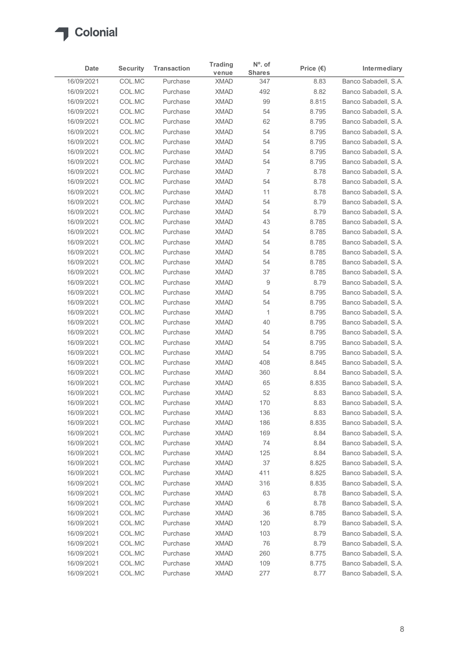

|                          |                           |                                | <b>Trading</b>             | $N^{\circ}$ . of     |                            |                                              |
|--------------------------|---------------------------|--------------------------------|----------------------------|----------------------|----------------------------|----------------------------------------------|
| Date<br>16/09/2021       | <b>Security</b><br>COL.MC | <b>Transaction</b><br>Purchase | venue<br><b>XMAD</b>       | <b>Shares</b><br>347 | Price $(\epsilon)$<br>8.83 | Intermediary<br>Banco Sabadell, S.A.         |
| 16/09/2021               | COL.MC                    | Purchase                       | <b>XMAD</b>                | 492                  | 8.82                       | Banco Sabadell, S.A.                         |
| 16/09/2021               | COL.MC                    | Purchase                       | <b>XMAD</b>                | 99                   | 8.815                      | Banco Sabadell, S.A.                         |
| 16/09/2021               | COL.MC                    | Purchase                       | <b>XMAD</b>                | 54                   | 8.795                      | Banco Sabadell, S.A.                         |
| 16/09/2021               | COL.MC                    | Purchase                       | <b>XMAD</b>                | 62                   | 8.795                      | Banco Sabadell, S.A.                         |
| 16/09/2021               | COL.MC                    | Purchase                       | <b>XMAD</b>                | 54                   | 8.795                      | Banco Sabadell, S.A.                         |
| 16/09/2021               | COL.MC                    | Purchase                       | <b>XMAD</b>                | 54                   | 8.795                      | Banco Sabadell, S.A.                         |
| 16/09/2021<br>16/09/2021 | COL.MC<br>COL.MC          | Purchase<br>Purchase           | <b>XMAD</b><br><b>XMAD</b> | 54<br>54             | 8.795<br>8.795             | Banco Sabadell, S.A.<br>Banco Sabadell, S.A. |
| 16/09/2021               | COL.MC                    | Purchase                       | <b>XMAD</b>                | 7                    | 8.78                       | Banco Sabadell, S.A.                         |
| 16/09/2021               | COL.MC                    | Purchase                       | <b>XMAD</b>                | 54                   | 8.78                       | Banco Sabadell, S.A.                         |
| 16/09/2021               | COL.MC                    | Purchase                       | <b>XMAD</b>                | 11                   | 8.78                       | Banco Sabadell, S.A.                         |
| 16/09/2021               | COL.MC                    | Purchase                       | <b>XMAD</b>                | 54                   | 8.79                       | Banco Sabadell, S.A.                         |
| 16/09/2021               | COL.MC                    | Purchase                       | <b>XMAD</b>                | 54                   | 8.79                       | Banco Sabadell, S.A.                         |
| 16/09/2021<br>16/09/2021 | COL.MC<br>COL.MC          | Purchase<br>Purchase           | <b>XMAD</b><br><b>XMAD</b> | 43<br>54             | 8.785<br>8.785             | Banco Sabadell, S.A.<br>Banco Sabadell, S.A. |
| 16/09/2021               | COL.MC                    | Purchase                       | <b>XMAD</b>                | 54                   | 8.785                      | Banco Sabadell, S.A.                         |
| 16/09/2021               | COL.MC                    | Purchase                       | <b>XMAD</b>                | 54                   | 8.785                      | Banco Sabadell, S.A.                         |
| 16/09/2021               | COL.MC                    | Purchase                       | <b>XMAD</b>                | 54                   | 8.785                      | Banco Sabadell, S.A.                         |
| 16/09/2021               | COL.MC                    | Purchase                       | <b>XMAD</b>                | 37                   | 8.785                      | Banco Sabadell, S.A.                         |
| 16/09/2021               | COL.MC                    | Purchase                       | <b>XMAD</b>                | 9                    | 8.79                       | Banco Sabadell, S.A.                         |
| 16/09/2021               | COL.MC                    | Purchase                       | XMAD                       | 54                   | 8.795                      | Banco Sabadell, S.A.                         |
| 16/09/2021<br>16/09/2021 | COL.MC<br>COL.MC          | Purchase<br>Purchase           | <b>XMAD</b><br><b>XMAD</b> | 54<br>1              | 8.795<br>8.795             | Banco Sabadell, S.A.<br>Banco Sabadell, S.A. |
| 16/09/2021               | COL.MC                    | Purchase                       | <b>XMAD</b>                | 40                   | 8.795                      | Banco Sabadell, S.A.                         |
| 16/09/2021               | COL.MC                    | Purchase                       | <b>XMAD</b>                | 54                   | 8.795                      | Banco Sabadell, S.A.                         |
| 16/09/2021               | COL.MC                    | Purchase                       | <b>XMAD</b>                | 54                   | 8.795                      | Banco Sabadell, S.A.                         |
| 16/09/2021               | COL.MC                    | Purchase                       | <b>XMAD</b>                | 54                   | 8.795                      | Banco Sabadell, S.A.                         |
| 16/09/2021               | COL.MC                    | Purchase                       | <b>XMAD</b>                | 408                  | 8.845                      | Banco Sabadell, S.A.                         |
| 16/09/2021               | COL.MC                    | Purchase                       | <b>XMAD</b>                | 360                  | 8.84                       | Banco Sabadell, S.A.                         |
| 16/09/2021               | COL.MC                    | Purchase                       | <b>XMAD</b>                | 65                   | 8.835                      | Banco Sabadell, S.A.                         |
| 16/09/2021<br>16/09/2021 | COL.MC<br>COL.MC          | Purchase<br>Purchase           | <b>XMAD</b><br><b>XMAD</b> | 52<br>170            | 8.83<br>8.83               | Banco Sabadell, S.A.<br>Banco Sabadell, S.A. |
| 16/09/2021               | COL.MC                    | Purchase                       | <b>XMAD</b>                | 136                  | 8.83                       | Banco Sabadell, S.A.                         |
| 16/09/2021               | COL.MC                    | Purchase                       | <b>XMAD</b>                | 186                  | 8.835                      | Banco Sabadell, S.A.                         |
| 16/09/2021               | COL.MC                    | Purchase                       | <b>XMAD</b>                | 169                  | 8.84                       | Banco Sabadell, S.A.                         |
| 16/09/2021               | COL.MC                    | Purchase                       | <b>XMAD</b>                | 74                   | 8.84                       | Banco Sabadell, S.A.                         |
| 16/09/2021               | COL.MC                    | Purchase                       | <b>XMAD</b>                | 125                  | 8.84                       | Banco Sabadell, S.A.                         |
| 16/09/2021               | COL.MC                    | Purchase                       | <b>XMAD</b>                | 37                   | 8.825                      | Banco Sabadell, S.A.                         |
| 16/09/2021               | COL.MC                    | Purchase                       | <b>XMAD</b>                | 411                  | 8.825<br>8.835             | Banco Sabadell, S.A.                         |
| 16/09/2021<br>16/09/2021 | COL.MC<br>COL.MC          | Purchase<br>Purchase           | <b>XMAD</b><br><b>XMAD</b> | 316<br>63            | 8.78                       | Banco Sabadell, S.A.<br>Banco Sabadell, S.A. |
| 16/09/2021               | COL.MC                    | Purchase                       | <b>XMAD</b>                | 6                    | 8.78                       | Banco Sabadell, S.A.                         |
| 16/09/2021               | COL.MC                    | Purchase                       | <b>XMAD</b>                | 36                   | 8.785                      | Banco Sabadell, S.A.                         |
| 16/09/2021               | COL.MC                    | Purchase                       | <b>XMAD</b>                | 120                  | 8.79                       | Banco Sabadell, S.A.                         |
| 16/09/2021               | COL.MC                    | Purchase                       | <b>XMAD</b>                | 103                  | 8.79                       | Banco Sabadell, S.A.                         |
| 16/09/2021               | COL.MC                    | Purchase                       | <b>XMAD</b>                | 76                   | 8.79                       | Banco Sabadell, S.A.                         |
| 16/09/2021               | COL.MC                    | Purchase                       | <b>XMAD</b>                | 260                  | 8.775                      | Banco Sabadell, S.A.                         |
| 16/09/2021               | COL.MC                    | Purchase                       | <b>XMAD</b>                | 109                  | 8.775                      | Banco Sabadell, S.A.                         |
| 16/09/2021               | COL.MC                    | Purchase                       | <b>XMAD</b>                | 277                  | 8.77                       | Banco Sabadell, S.A.                         |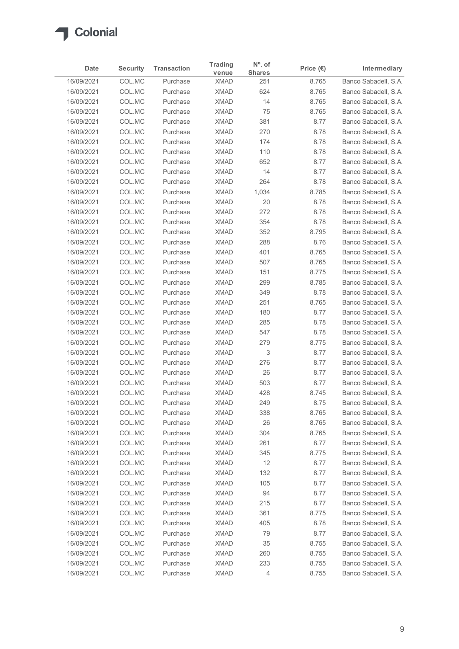

|                          |                           |                      | <b>Trading</b>             | $No$ . of      |                    |                                              |
|--------------------------|---------------------------|----------------------|----------------------------|----------------|--------------------|----------------------------------------------|
| Date                     | <b>Security</b><br>COL.MC | <b>Transaction</b>   | venue                      | <b>Shares</b>  | Price $(\epsilon)$ | Intermediary<br>Banco Sabadell, S.A.         |
| 16/09/2021<br>16/09/2021 | COL.MC                    | Purchase<br>Purchase | <b>XMAD</b><br><b>XMAD</b> | 251<br>624     | 8.765<br>8.765     | Banco Sabadell, S.A.                         |
| 16/09/2021               | COL.MC                    | Purchase             | <b>XMAD</b>                | 14             | 8.765              | Banco Sabadell, S.A.                         |
| 16/09/2021               | COL.MC                    | Purchase             | <b>XMAD</b>                | 75             | 8.765              | Banco Sabadell, S.A.                         |
| 16/09/2021               | COL.MC                    | Purchase             | <b>XMAD</b>                | 381            | 8.77               | Banco Sabadell, S.A.                         |
| 16/09/2021               | COL.MC                    | Purchase             | <b>XMAD</b>                | 270            | 8.78               | Banco Sabadell, S.A.                         |
| 16/09/2021               | COL.MC                    | Purchase             | <b>XMAD</b>                | 174            | 8.78               | Banco Sabadell, S.A.                         |
| 16/09/2021               | COL.MC                    | Purchase             | <b>XMAD</b>                | 110            | 8.78               | Banco Sabadell, S.A.                         |
| 16/09/2021<br>16/09/2021 | COL.MC<br>COL.MC          | Purchase<br>Purchase | <b>XMAD</b><br><b>XMAD</b> | 652<br>14      | 8.77<br>8.77       | Banco Sabadell, S.A.<br>Banco Sabadell, S.A. |
| 16/09/2021               | COL.MC                    | Purchase             | <b>XMAD</b>                | 264            | 8.78               | Banco Sabadell, S.A.                         |
| 16/09/2021               | COL.MC                    | Purchase             | <b>XMAD</b>                | 1,034          | 8.785              | Banco Sabadell, S.A.                         |
| 16/09/2021               | COL.MC                    | Purchase             | <b>XMAD</b>                | 20             | 8.78               | Banco Sabadell, S.A.                         |
| 16/09/2021               | COL.MC                    | Purchase             | XMAD                       | 272            | 8.78               | Banco Sabadell, S.A.                         |
| 16/09/2021               | COL.MC                    | Purchase             | <b>XMAD</b>                | 354            | 8.78               | Banco Sabadell, S.A.                         |
| 16/09/2021               | COL.MC                    | Purchase             | <b>XMAD</b>                | 352            | 8.795              | Banco Sabadell, S.A.                         |
| 16/09/2021               | COL.MC                    | Purchase             | <b>XMAD</b>                | 288            | 8.76               | Banco Sabadell, S.A.                         |
| 16/09/2021               | COL.MC                    | Purchase             | <b>XMAD</b>                | 401            | 8.765              | Banco Sabadell, S.A.                         |
| 16/09/2021<br>16/09/2021 | COL.MC<br>COL.MC          | Purchase<br>Purchase | <b>XMAD</b><br><b>XMAD</b> | 507<br>151     | 8.765<br>8.775     | Banco Sabadell, S.A.<br>Banco Sabadell, S.A. |
| 16/09/2021               | COL.MC                    | Purchase             | <b>XMAD</b>                | 299            | 8.785              | Banco Sabadell, S.A.                         |
| 16/09/2021               | COL.MC                    | Purchase             | <b>XMAD</b>                | 349            | 8.78               | Banco Sabadell, S.A.                         |
| 16/09/2021               | COL.MC                    | Purchase             | <b>XMAD</b>                | 251            | 8.765              | Banco Sabadell, S.A.                         |
| 16/09/2021               | COL.MC                    | Purchase             | <b>XMAD</b>                | 180            | 8.77               | Banco Sabadell, S.A.                         |
| 16/09/2021               | COL.MC                    | Purchase             | <b>XMAD</b>                | 285            | 8.78               | Banco Sabadell, S.A.                         |
| 16/09/2021               | COL.MC                    | Purchase             | <b>XMAD</b>                | 547            | 8.78               | Banco Sabadell, S.A.                         |
| 16/09/2021               | COL.MC                    | Purchase             | <b>XMAD</b>                | 279            | 8.775              | Banco Sabadell, S.A.                         |
| 16/09/2021               | COL.MC                    | Purchase             | XMAD                       | 3              | 8.77               | Banco Sabadell, S.A.                         |
| 16/09/2021               | COL.MC                    | Purchase             | <b>XMAD</b>                | 276            | 8.77               | Banco Sabadell, S.A.                         |
| 16/09/2021<br>16/09/2021 | COL.MC<br>COL.MC          | Purchase<br>Purchase | <b>XMAD</b><br><b>XMAD</b> | 26<br>503      | 8.77<br>8.77       | Banco Sabadell, S.A.<br>Banco Sabadell, S.A. |
| 16/09/2021               | COL.MC                    | Purchase             | <b>XMAD</b>                | 428            | 8.745              | Banco Sabadell, S.A.                         |
| 16/09/2021               | COL.MC                    | Purchase             | <b>XMAD</b>                | 249            | 8.75               | Banco Sabadell, S.A.                         |
| 16/09/2021               | COL.MC                    | Purchase             | <b>XMAD</b>                | 338            | 8.765              | Banco Sabadell, S.A.                         |
| 16/09/2021               | COL.MC                    | Purchase             | <b>XMAD</b>                | 26             | 8.765              | Banco Sabadell, S.A.                         |
| 16/09/2021               | COL.MC                    | Purchase             | <b>XMAD</b>                | 304            | 8.765              | Banco Sabadell, S.A.                         |
| 16/09/2021               | COL.MC                    | Purchase             | <b>XMAD</b>                | 261            | 8.77               | Banco Sabadell, S.A.                         |
| 16/09/2021               | COL.MC                    | Purchase             | <b>XMAD</b>                | 345            | 8.775              | Banco Sabadell, S.A.                         |
| 16/09/2021               | COL.MC                    | Purchase             | <b>XMAD</b>                | 12             | 8.77               | Banco Sabadell, S.A.                         |
| 16/09/2021<br>16/09/2021 | COL.MC<br>COL.MC          | Purchase<br>Purchase | <b>XMAD</b><br><b>XMAD</b> | 132<br>105     | 8.77<br>8.77       | Banco Sabadell, S.A.<br>Banco Sabadell, S.A. |
| 16/09/2021               | COL.MC                    | Purchase             | <b>XMAD</b>                | 94             | 8.77               | Banco Sabadell, S.A.                         |
| 16/09/2021               | COL.MC                    | Purchase             | <b>XMAD</b>                | 215            | 8.77               | Banco Sabadell, S.A.                         |
| 16/09/2021               | COL.MC                    | Purchase             | <b>XMAD</b>                | 361            | 8.775              | Banco Sabadell, S.A.                         |
| 16/09/2021               | COL.MC                    | Purchase             | <b>XMAD</b>                | 405            | 8.78               | Banco Sabadell, S.A.                         |
| 16/09/2021               | COL.MC                    | Purchase             | <b>XMAD</b>                | 79             | 8.77               | Banco Sabadell, S.A.                         |
| 16/09/2021               | COL.MC                    | Purchase             | <b>XMAD</b>                | $35\,$         | 8.755              | Banco Sabadell, S.A.                         |
| 16/09/2021               | COL.MC                    | Purchase             | <b>XMAD</b>                | 260            | 8.755              | Banco Sabadell, S.A.                         |
| 16/09/2021               | COL.MC                    | Purchase             | XMAD                       | 233            | 8.755              | Banco Sabadell, S.A.                         |
| 16/09/2021               | COLMC                     | Purchase             | <b>XMAD</b>                | $\overline{4}$ | 8.755              | Banco Sabadell, S.A.                         |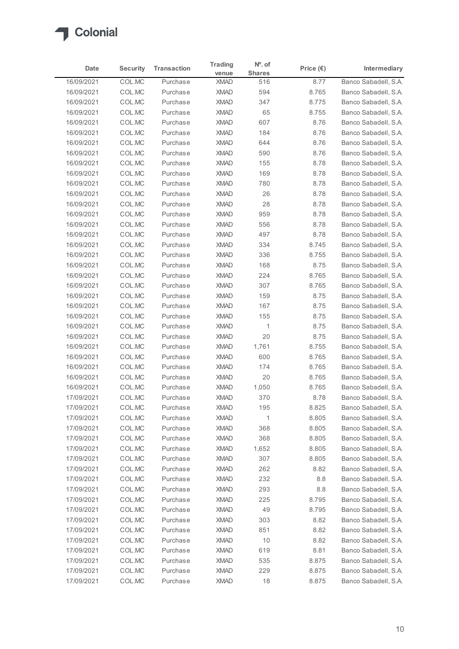

|                          |                  |                      |                              | $No$ . of     |                    |                                              |
|--------------------------|------------------|----------------------|------------------------------|---------------|--------------------|----------------------------------------------|
| Date                     | <b>Security</b>  | <b>Transaction</b>   | <b>Trading</b><br>venue      | <b>Shares</b> | Price $(\epsilon)$ | Intermediary                                 |
| 16/09/2021               | COL.MC           | Purchase             | <b>XMAD</b>                  | 516           | 8.77               | Banco Sabadell, S.A.                         |
| 16/09/2021               | COL.MC           | Purchase             | <b>XMAD</b>                  | 594           | 8.765              | Banco Sabadell, S.A.                         |
| 16/09/2021               | COL.MC           | Purchase             | <b>XMAD</b>                  | 347           | 8.775              | Banco Sabadell, S.A.                         |
| 16/09/2021               | COL.MC           | Purchase             | <b>XMAD</b>                  | 65            | 8.755              | Banco Sabadell, S.A.                         |
| 16/09/2021<br>16/09/2021 | COL.MC<br>COL.MC | Purchase<br>Purchase | <b>XMAD</b><br><b>XMAD</b>   | 607           | 8.76<br>8.76       | Banco Sabadell, S.A.<br>Banco Sabadell, S.A. |
| 16/09/2021               | COL.MC           | Purchase             | <b>XMAD</b>                  | 184<br>644    | 8.76               | Banco Sabadell, S.A.                         |
| 16/09/2021               | COL.MC           | Purchase             | <b>XMAD</b>                  | 590           | 8.76               | Banco Sabadell, S.A.                         |
| 16/09/2021               | COL.MC           | Purchase             | <b>XMAD</b>                  | 155           | 8.78               | Banco Sabadell, S.A.                         |
| 16/09/2021               | COL.MC           | Purchase             | <b>XMAD</b>                  | 169           | 8.78               | Banco Sabadell, S.A.                         |
| 16/09/2021               | COL.MC           | Purchase             | <b>XMAD</b>                  | 780           | 8.78               | Banco Sabadell, S.A.                         |
| 16/09/2021               | COL.MC           | Purchase             | <b>XMAD</b>                  | 26            | 8.78               | Banco Sabadell, S.A.                         |
| 16/09/2021               | COL.MC           | Purchase             | <b>XMAD</b>                  | 28            | 8.78               | Banco Sabadell, S.A.                         |
| 16/09/2021               | COL.MC           | Purchase             | XMAD                         | 959           | 8.78               | Banco Sabadell, S.A.                         |
| 16/09/2021               | COL.MC           | Purchase             | <b>XMAD</b>                  | 556           | 8.78               | Banco Sabadell, S.A.                         |
| 16/09/2021               | COL.MC           | Purchase             | <b>XMAD</b>                  | 497           | 8.78               | Banco Sabadell, S.A.<br>Banco Sabadell, S.A. |
| 16/09/2021<br>16/09/2021 | COL.MC<br>COL.MC | Purchase<br>Purchase | <b>XMAD</b><br><b>XMAD</b>   | 334<br>336    | 8.745<br>8.755     | Banco Sabadell, S.A.                         |
| 16/09/2021               | COL.MC           | Purchase             | <b>XMAD</b>                  | 168           | 8.75               | Banco Sabadell, S.A.                         |
| 16/09/2021               | COL.MC           | Purchase             | <b>XMAD</b>                  | 224           | 8.765              | Banco Sabadell, S.A.                         |
| 16/09/2021               | COL.MC           | Purchase             | <b>XMAD</b>                  | 307           | 8.765              | Banco Sabadell, S.A.                         |
| 16/09/2021               | COL.MC           | Purchase             | <b>XMAD</b>                  | 159           | 8.75               | Banco Sabadell, S.A.                         |
| 16/09/2021               | COL.MC           | Purchase             | <b>XMAD</b>                  | 167           | 8.75               | Banco Sabadell, S.A.                         |
| 16/09/2021               | COL.MC           | Purchase             | <b>XMAD</b>                  | 155           | 8.75               | Banco Sabadell, S.A.                         |
| 16/09/2021               | COL.MC           | Purchase             | <b>XMAD</b>                  | $\mathbf{1}$  | 8.75               | Banco Sabadell, S.A.                         |
| 16/09/2021               | COL.MC           | Purchase             | <b>XMAD</b>                  | 20            | 8.75               | Banco Sabadell, S.A.                         |
| 16/09/2021               | COL.MC           | Purchase             | <b>XMAD</b>                  | 1,761         | 8.755              | Banco Sabadell, S.A.                         |
| 16/09/2021<br>16/09/2021 | COL.MC<br>COL.MC | Purchase<br>Purchase | <b>XMAD</b><br><b>XMAD</b>   | 600<br>174    | 8.765<br>8.765     | Banco Sabadell, S.A.<br>Banco Sabadell, S.A. |
| 16/09/2021               | COL.MC           | Purchase             | <b>XMAD</b>                  | 20            | 8.765              | Banco Sabadell, S.A.                         |
| 16/09/2021               | COL.MC           | Purchase             | <b>XMAD</b>                  | 1,050         | 8.765              | Banco Sabadell, S.A.                         |
| 17/09/2021               | COL.MC           | Purchase             | <b>XMAD</b>                  | 370           | 8.78               | Banco Sabadell, S.A.                         |
| 17/09/2021               | COL.MC           | Purchase             | <b>XMAD</b>                  | 195           | 8.825              | Banco Sabadell, S.A.                         |
| 17/09/2021               | COL.MC           | Purchase             | <b>XMAD</b>                  | $\mathbf{1}$  | 8.805              | Banco Sabadell, S.A.                         |
| 17/09/2021               | COL.MC           | Purchase             | <b>XMAD</b>                  | 368           | 8.805              | Banco Sabadell, S.A.                         |
| 17/09/2021               | COL.MC           | Purchase             | <b>XMAD</b>                  | 368           | 8.805              | Banco Sabadell, S.A.                         |
| 17/09/2021               | COL.MC           | Purchase             | <b>XMAD</b>                  | 1,652         | 8.805              | Banco Sabadell, S.A.                         |
| 17/09/2021               | COL.MC           | Purchase             | <b>XMAD</b>                  | 307           | 8.805              | Banco Sabadell, S.A.                         |
| 17/09/2021               | COL.MC           | Purchase             | <b>XMAD</b>                  | 262           | 8.82               | Banco Sabadell, S.A.                         |
| 17/09/2021               | COL.MC           | Purchase             | <b>XMAD</b>                  | 232           | 8.8                | Banco Sabadell, S.A.                         |
| 17/09/2021               | COL.MC           | Purchase             | <b>XMAD</b>                  | 293           | $8.8\,$            | Banco Sabadell, S.A.                         |
| 17/09/2021               | COL.MC           | Purchase             | <b>XMAD</b>                  | 225           | 8.795              | Banco Sabadell, S.A.                         |
| 17/09/2021               | COL.MC           | Purchase<br>Purchase | <b>XMAD</b><br><b>XMAD</b>   | 49            | 8.795              | Banco Sabadell, S.A.<br>Banco Sabadell, S.A. |
| 17/09/2021<br>17/09/2021 | COL.MC<br>COL.MC | Purchase             | <b>XMAD</b>                  | 303<br>851    | 8.82<br>8.82       | Banco Sabadell, S.A.                         |
| 17/09/2021               | COL.MC           | Purchase             | <b>XMAD</b>                  | 10            | 8.82               | Banco Sabadell, S.A.                         |
| 17/09/2021               | COL.MC           | Purchase             | <b>XMAD</b>                  | 619           | 8.81               | Banco Sabadell, S.A.                         |
| 17/09/2021               | COL.MC           | Purchase             | $\boldsymbol{\mathsf{XMAD}}$ | 535           | 8.875              | Banco Sabadell, S.A.                         |
|                          | COL.MC           | Purchase             | <b>XMAD</b>                  | 229           | 8.875              | Banco Sabadell, S.A.                         |
| 17/09/2021               |                  |                      | <b>XMAD</b>                  | 18            | 8.875              | Banco Sabadell, S.A.                         |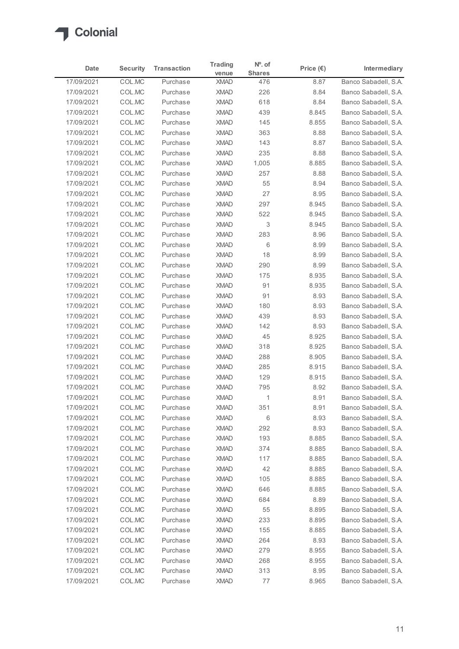

|                          |                  |                      |                              | $No$ . of     |                    |                                              |
|--------------------------|------------------|----------------------|------------------------------|---------------|--------------------|----------------------------------------------|
| Date                     | <b>Security</b>  | <b>Transaction</b>   | <b>Trading</b><br>venue      | <b>Shares</b> | Price $(\epsilon)$ | Intermediary                                 |
| 17/09/2021               | COL.MC           | Purchase             | <b>XMAD</b>                  | 476           | 8.87               | Banco Sabadell, S.A.                         |
| 17/09/2021               | COL.MC           | Purchase             | <b>XMAD</b>                  | 226           | 8.84               | Banco Sabadell, S.A.                         |
| 17/09/2021               | COL.MC           | Purchase             | <b>XMAD</b>                  | 618           | 8.84               | Banco Sabadell, S.A.                         |
| 17/09/2021               | COL.MC           | Purchase             | <b>XMAD</b>                  | 439           | 8.845              | Banco Sabadell, S.A.                         |
| 17/09/2021<br>17/09/2021 | COL.MC           | Purchase<br>Purchase | <b>XMAD</b><br><b>XMAD</b>   | 145           | 8.855              | Banco Sabadell, S.A.<br>Banco Sabadell, S.A. |
| 17/09/2021               | COL.MC<br>COL.MC | Purchase             | <b>XMAD</b>                  | 363<br>143    | 8.88<br>8.87       | Banco Sabadell, S.A.                         |
| 17/09/2021               | COL.MC           | Purchase             | <b>XMAD</b>                  | 235           | 8.88               | Banco Sabadell, S.A.                         |
| 17/09/2021               | COL.MC           | Purchase             | <b>XMAD</b>                  | 1,005         | 8.885              | Banco Sabadell, S.A.                         |
| 17/09/2021               | COL.MC           | Purchase             | <b>XMAD</b>                  | 257           | 8.88               | Banco Sabadell, S.A.                         |
| 17/09/2021               | COL.MC           | Purchase             | <b>XMAD</b>                  | 55            | 8.94               | Banco Sabadell, S.A.                         |
| 17/09/2021               | COL.MC           | Purchase             | <b>XMAD</b>                  | 27            | 8.95               | Banco Sabadell, S.A.                         |
| 17/09/2021               | COL.MC           | Purchase             | <b>XMAD</b>                  | 297           | 8.945              | Banco Sabadell, S.A.                         |
| 17/09/2021               | COL.MC           | Purchase             | XMAD                         | 522           | 8.945              | Banco Sabadell, S.A.                         |
| 17/09/2021<br>17/09/2021 | COL.MC<br>COL.MC | Purchase<br>Purchase | <b>XMAD</b><br><b>XMAD</b>   | 3<br>283      | 8.945<br>8.96      | Banco Sabadell, S.A.<br>Banco Sabadell, S.A. |
| 17/09/2021               | COL.MC           | Purchase             | <b>XMAD</b>                  | 6             | 8.99               | Banco Sabadell, S.A.                         |
| 17/09/2021               | COL.MC           | Purchase             | <b>XMAD</b>                  | 18            | 8.99               | Banco Sabadell, S.A.                         |
| 17/09/2021               | COL.MC           | Purchase             | <b>XMAD</b>                  | 290           | 8.99               | Banco Sabadell, S.A.                         |
| 17/09/2021               | COL.MC           | Purchase             | <b>XMAD</b>                  | 175           | 8.935              | Banco Sabadell, S.A.                         |
| 17/09/2021               | COL.MC           | Purchase             | <b>XMAD</b>                  | 91            | 8.935              | Banco Sabadell, S.A.                         |
| 17/09/2021               | COL.MC           | Purchase             | <b>XMAD</b>                  | 91            | 8.93               | Banco Sabadell, S.A.                         |
| 17/09/2021               | COL.MC           | Purchase             | <b>XMAD</b>                  | 180           | 8.93               | Banco Sabadell, S.A.                         |
| 17/09/2021               | COL.MC           | Purchase             | <b>XMAD</b>                  | 439           | 8.93               | Banco Sabadell, S.A.                         |
| 17/09/2021               | COL.MC           | Purchase             | <b>XMAD</b>                  | 142           | 8.93               | Banco Sabadell, S.A.                         |
| 17/09/2021               | COL.MC           | Purchase             | <b>XMAD</b>                  | 45<br>318     | 8.925<br>8.925     | Banco Sabadell, S.A.                         |
| 17/09/2021<br>17/09/2021 | COL.MC<br>COL.MC | Purchase<br>Purchase | <b>XMAD</b><br><b>XMAD</b>   | 288           | 8.905              | Banco Sabadell, S.A.<br>Banco Sabadell, S.A. |
| 17/09/2021               | COL.MC           | Purchase             | <b>XMAD</b>                  | 285           | 8.915              | Banco Sabadell, S.A.                         |
| 17/09/2021               | COL.MC           | Purchase             | <b>XMAD</b>                  | 129           | 8.915              | Banco Sabadell, S.A.                         |
| 17/09/2021               | COL.MC           | Purchase             | <b>XMAD</b>                  | 795           | 8.92               | Banco Sabadell, S.A.                         |
| 17/09/2021               | COL.MC           | Purchase             | <b>XMAD</b>                  | $\mathbf{1}$  | 8.91               | Banco Sabadell, S.A.                         |
| 17/09/2021               | COL.MC           | Purchase             | <b>XMAD</b>                  | 351           | 8.91               | Banco Sabadell, S.A.                         |
| 17/09/2021               | COL.MC           | Purchase             | <b>XMAD</b>                  | 6             | 8.93               | Banco Sabadell, S.A.                         |
| 17/09/2021               | COL.MC           | Purchase             | <b>XMAD</b>                  | 292           | 8.93               | Banco Sabadell, S.A.                         |
| 17/09/2021               | COL.MC           | Purchase             | <b>XMAD</b>                  | 193           | 8.885              | Banco Sabadell, S.A.                         |
| 17/09/2021               | COL.MC           | Purchase             | <b>XMAD</b>                  | 374           | 8.885              | Banco Sabadell, S.A.                         |
| 17/09/2021               | COL.MC           | Purchase             | <b>XMAD</b>                  | 117           | 8.885              | Banco Sabadell, S.A.                         |
| 17/09/2021<br>17/09/2021 | COL.MC<br>COL.MC | Purchase<br>Purchase | <b>XMAD</b><br><b>XMAD</b>   | 42<br>105     | 8.885<br>8.885     | Banco Sabadell, S.A.<br>Banco Sabadell, S.A. |
| 17/09/2021               | COL.MC           | Purchase             | <b>XMAD</b>                  | 646           | 8.885              | Banco Sabadell, S.A.                         |
| 17/09/2021               | COL.MC           | Purchase             | <b>XMAD</b>                  | 684           | 8.89               | Banco Sabadell, S.A.                         |
| 17/09/2021               | COL.MC           | Purchase             | <b>XMAD</b>                  | 55            | 8.895              | Banco Sabadell, S.A.                         |
| 17/09/2021               | COL.MC           | Purchase             | <b>XMAD</b>                  | 233           | 8.895              | Banco Sabadell, S.A.                         |
| 17/09/2021               | COL.MC           | Purchase             | <b>XMAD</b>                  | 155           | 8.885              | Banco Sabadell, S.A.                         |
| 17/09/2021               | COL.MC           | Purchase             | <b>XMAD</b>                  | 264           | 8.93               | Banco Sabadell, S.A.                         |
| 17/09/2021               | COL.MC           | Purchase             | <b>XMAD</b>                  | 279           | 8.955              | Banco Sabadell, S.A.                         |
| 17/09/2021               | COL.MC           | Purchase             | $\boldsymbol{\mathsf{XMAD}}$ | 268           | 8.955              | Banco Sabadell, S.A.                         |
| 17/09/2021               | COL.MC           | Purchase             | <b>XMAD</b>                  | 313           | 8.95               | Banco Sabadell, S.A.                         |
| 17/09/2021               | COLMC            | Purchase             | <b>XMAD</b>                  | 77            | 8.965              | Banco Sabadell, S.A.                         |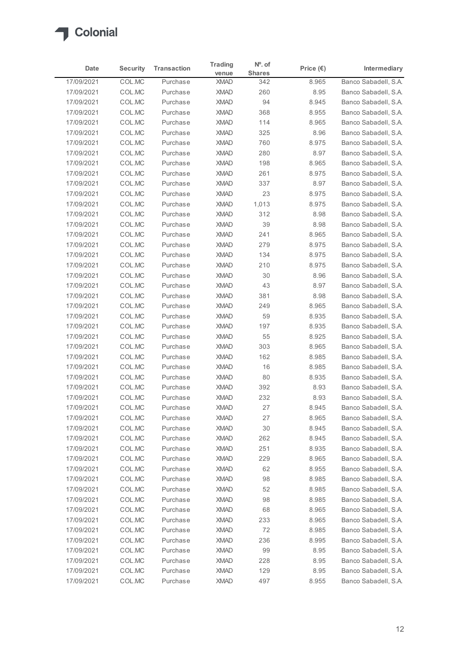

| Date<br>17/09/2021<br>17/09/2021<br>17/09/2021<br>17/09/2021<br>17/09/2021<br>17/09/2021<br>17/09/2021<br>17/09/2021<br>17/09/2021<br>17/09/2021<br>17/09/2021<br>17/09/2021<br>17/09/2021<br>17/09/2021<br>17/09/2021<br>17/09/2021<br>17/09/2021<br>17/09/2021<br>17/09/2021<br>17/09/2021 | <b>Security</b><br>COL.MC<br>COL.MC<br>COL.MC<br>COL.MC<br>COL.MC<br>COL.MC<br>COL.MC<br>COL.MC<br>COL.MC<br>COL.MC<br>COL.MC<br>COL.MC<br>COL.MC<br>COL.MC<br>COL.MC | <b>Transaction</b><br>Purchase<br>Purchase<br>Purchase<br>Purchase<br>Purchase<br>Purchase<br>Purchase<br>Purchase<br>Purchase<br>Purchase<br>Purchase<br>Purchase<br>Purchase | <b>Trading</b><br>venue<br><b>XMAD</b><br><b>XMAD</b><br><b>XMAD</b><br><b>XMAD</b><br><b>XMAD</b><br><b>XMAD</b><br><b>XMAD</b><br><b>XMAD</b><br><b>XMAD</b><br><b>XMAD</b> | $No$ . of<br><b>Shares</b><br>342<br>260<br>94<br>368<br>114<br>325<br>760 | Price $(\epsilon)$<br>8.965<br>8.95<br>8.945<br>8.955<br>8.965<br>8.96 | Intermediary<br>Banco Sabadell, S.A.<br>Banco Sabadell, S.A.<br>Banco Sabadell, S.A.<br>Banco Sabadell, S.A.<br>Banco Sabadell, S.A. |
|----------------------------------------------------------------------------------------------------------------------------------------------------------------------------------------------------------------------------------------------------------------------------------------------|-----------------------------------------------------------------------------------------------------------------------------------------------------------------------|--------------------------------------------------------------------------------------------------------------------------------------------------------------------------------|-------------------------------------------------------------------------------------------------------------------------------------------------------------------------------|----------------------------------------------------------------------------|------------------------------------------------------------------------|--------------------------------------------------------------------------------------------------------------------------------------|
|                                                                                                                                                                                                                                                                                              |                                                                                                                                                                       |                                                                                                                                                                                |                                                                                                                                                                               |                                                                            |                                                                        |                                                                                                                                      |
|                                                                                                                                                                                                                                                                                              |                                                                                                                                                                       |                                                                                                                                                                                |                                                                                                                                                                               |                                                                            |                                                                        |                                                                                                                                      |
|                                                                                                                                                                                                                                                                                              |                                                                                                                                                                       |                                                                                                                                                                                |                                                                                                                                                                               |                                                                            |                                                                        |                                                                                                                                      |
|                                                                                                                                                                                                                                                                                              |                                                                                                                                                                       |                                                                                                                                                                                |                                                                                                                                                                               |                                                                            |                                                                        |                                                                                                                                      |
|                                                                                                                                                                                                                                                                                              |                                                                                                                                                                       |                                                                                                                                                                                |                                                                                                                                                                               |                                                                            |                                                                        |                                                                                                                                      |
|                                                                                                                                                                                                                                                                                              |                                                                                                                                                                       |                                                                                                                                                                                |                                                                                                                                                                               |                                                                            |                                                                        | Banco Sabadell, S.A.                                                                                                                 |
|                                                                                                                                                                                                                                                                                              |                                                                                                                                                                       |                                                                                                                                                                                |                                                                                                                                                                               |                                                                            | 8.975                                                                  | Banco Sabadell, S.A.                                                                                                                 |
|                                                                                                                                                                                                                                                                                              |                                                                                                                                                                       |                                                                                                                                                                                |                                                                                                                                                                               | 280                                                                        | 8.97                                                                   | Banco Sabadell, S.A.                                                                                                                 |
|                                                                                                                                                                                                                                                                                              |                                                                                                                                                                       |                                                                                                                                                                                |                                                                                                                                                                               | 198                                                                        | 8.965                                                                  | Banco Sabadell, S.A.                                                                                                                 |
|                                                                                                                                                                                                                                                                                              |                                                                                                                                                                       |                                                                                                                                                                                |                                                                                                                                                                               | 261                                                                        | 8.975                                                                  | Banco Sabadell, S.A.                                                                                                                 |
|                                                                                                                                                                                                                                                                                              |                                                                                                                                                                       |                                                                                                                                                                                | <b>XMAD</b>                                                                                                                                                                   | 337                                                                        | 8.97                                                                   | Banco Sabadell, S.A.                                                                                                                 |
|                                                                                                                                                                                                                                                                                              |                                                                                                                                                                       |                                                                                                                                                                                | <b>XMAD</b>                                                                                                                                                                   | 23                                                                         | 8.975                                                                  | Banco Sabadell, S.A.                                                                                                                 |
|                                                                                                                                                                                                                                                                                              |                                                                                                                                                                       |                                                                                                                                                                                | <b>XMAD</b>                                                                                                                                                                   | 1,013                                                                      | 8.975                                                                  | Banco Sabadell, S.A.                                                                                                                 |
|                                                                                                                                                                                                                                                                                              |                                                                                                                                                                       | Purchase<br>Purchase                                                                                                                                                           | XMAD<br><b>XMAD</b>                                                                                                                                                           | 312<br>39                                                                  | 8.98<br>8.98                                                           | Banco Sabadell, S.A.<br>Banco Sabadell, S.A.                                                                                         |
|                                                                                                                                                                                                                                                                                              | COL.MC                                                                                                                                                                | Purchase                                                                                                                                                                       | <b>XMAD</b>                                                                                                                                                                   | 241                                                                        | 8.965                                                                  | Banco Sabadell, S.A.                                                                                                                 |
|                                                                                                                                                                                                                                                                                              | COL.MC                                                                                                                                                                | Purchase                                                                                                                                                                       | <b>XMAD</b>                                                                                                                                                                   | 279                                                                        | 8.975                                                                  | Banco Sabadell, S.A.                                                                                                                 |
|                                                                                                                                                                                                                                                                                              | COL.MC                                                                                                                                                                | Purchase                                                                                                                                                                       | <b>XMAD</b>                                                                                                                                                                   | 134                                                                        | 8.975                                                                  | Banco Sabadell, S.A.                                                                                                                 |
|                                                                                                                                                                                                                                                                                              | COL.MC                                                                                                                                                                | Purchase                                                                                                                                                                       | <b>XMAD</b>                                                                                                                                                                   | 210                                                                        | 8.975                                                                  | Banco Sabadell, S.A.                                                                                                                 |
|                                                                                                                                                                                                                                                                                              | COL.MC                                                                                                                                                                | Purchase                                                                                                                                                                       | <b>XMAD</b>                                                                                                                                                                   | 30                                                                         | 8.96                                                                   | Banco Sabadell, S.A.                                                                                                                 |
| 17/09/2021                                                                                                                                                                                                                                                                                   | COL.MC                                                                                                                                                                | Purchase                                                                                                                                                                       | <b>XMAD</b>                                                                                                                                                                   | 43                                                                         | 8.97                                                                   | Banco Sabadell, S.A.                                                                                                                 |
| 17/09/2021                                                                                                                                                                                                                                                                                   | COL.MC                                                                                                                                                                | Purchase                                                                                                                                                                       | <b>XMAD</b>                                                                                                                                                                   | 381                                                                        | 8.98                                                                   | Banco Sabadell, S.A.                                                                                                                 |
| 17/09/2021                                                                                                                                                                                                                                                                                   | COL.MC                                                                                                                                                                | Purchase                                                                                                                                                                       | <b>XMAD</b>                                                                                                                                                                   | 249                                                                        | 8.965                                                                  | Banco Sabadell, S.A.                                                                                                                 |
| 17/09/2021                                                                                                                                                                                                                                                                                   | COL.MC                                                                                                                                                                | Purchase                                                                                                                                                                       | <b>XMAD</b>                                                                                                                                                                   | 59                                                                         | 8.935                                                                  | Banco Sabadell, S.A.                                                                                                                 |
| 17/09/2021<br>17/09/2021                                                                                                                                                                                                                                                                     | COL.MC                                                                                                                                                                | Purchase<br>Purchase                                                                                                                                                           | <b>XMAD</b><br><b>XMAD</b>                                                                                                                                                    | 197<br>55                                                                  | 8.935<br>8.925                                                         | Banco Sabadell, S.A.<br>Banco Sabadell, S.A.                                                                                         |
| 17/09/2021                                                                                                                                                                                                                                                                                   | COL.MC<br>COL.MC                                                                                                                                                      | Purchase                                                                                                                                                                       | <b>XMAD</b>                                                                                                                                                                   | 303                                                                        | 8.965                                                                  | Banco Sabadell, S.A.                                                                                                                 |
| 17/09/2021                                                                                                                                                                                                                                                                                   | COL.MC                                                                                                                                                                | Purchase                                                                                                                                                                       | <b>XMAD</b>                                                                                                                                                                   | 162                                                                        | 8.985                                                                  | Banco Sabadell, S.A.                                                                                                                 |
| 17/09/2021                                                                                                                                                                                                                                                                                   | COL.MC                                                                                                                                                                | Purchase                                                                                                                                                                       | <b>XMAD</b>                                                                                                                                                                   | 16                                                                         | 8.985                                                                  | Banco Sabadell, S.A.                                                                                                                 |
| 17/09/2021                                                                                                                                                                                                                                                                                   | COL.MC                                                                                                                                                                | Purchase                                                                                                                                                                       | <b>XMAD</b>                                                                                                                                                                   | 80                                                                         | 8.935                                                                  | Banco Sabadell, S.A.                                                                                                                 |
| 17/09/2021                                                                                                                                                                                                                                                                                   | COL.MC                                                                                                                                                                | Purchase                                                                                                                                                                       | <b>XMAD</b>                                                                                                                                                                   | 392                                                                        | 8.93                                                                   | Banco Sabadell, S.A.                                                                                                                 |
| 17/09/2021                                                                                                                                                                                                                                                                                   | COL.MC                                                                                                                                                                | Purchase                                                                                                                                                                       | <b>XMAD</b>                                                                                                                                                                   | 232                                                                        | 8.93                                                                   | Banco Sabadell, S.A.                                                                                                                 |
| 17/09/2021                                                                                                                                                                                                                                                                                   | COL.MC                                                                                                                                                                | Purchase                                                                                                                                                                       | <b>XMAD</b>                                                                                                                                                                   | 27                                                                         | 8.945                                                                  | Banco Sabadell, S.A.                                                                                                                 |
| 17/09/2021                                                                                                                                                                                                                                                                                   | COL.MC                                                                                                                                                                | Purchase                                                                                                                                                                       | <b>XMAD</b>                                                                                                                                                                   | 27                                                                         | 8.965                                                                  | Banco Sabadell, S.A.                                                                                                                 |
| 17/09/2021                                                                                                                                                                                                                                                                                   | COL.MC                                                                                                                                                                | Purchase                                                                                                                                                                       | <b>XMAD</b>                                                                                                                                                                   | 30                                                                         | 8.945                                                                  | Banco Sabadell, S.A.                                                                                                                 |
| 17/09/2021                                                                                                                                                                                                                                                                                   | COL.MC                                                                                                                                                                | Purchase                                                                                                                                                                       | <b>XMAD</b>                                                                                                                                                                   | 262                                                                        | 8.945                                                                  | Banco Sabadell, S.A.<br>Banco Sabadell, S.A.                                                                                         |
| 17/09/2021<br>17/09/2021                                                                                                                                                                                                                                                                     | COL.MC<br>COL.MC                                                                                                                                                      | Purchase<br>Purchase                                                                                                                                                           | <b>XMAD</b><br><b>XMAD</b>                                                                                                                                                    | 251<br>229                                                                 | 8.935<br>8.965                                                         | Banco Sabadell, S.A.                                                                                                                 |
| 17/09/2021                                                                                                                                                                                                                                                                                   | COL.MC                                                                                                                                                                | Purchase                                                                                                                                                                       | <b>XMAD</b>                                                                                                                                                                   | 62                                                                         | 8.955                                                                  | Banco Sabadell, S.A.                                                                                                                 |
| 17/09/2021                                                                                                                                                                                                                                                                                   | COL.MC                                                                                                                                                                | Purchase                                                                                                                                                                       | <b>XMAD</b>                                                                                                                                                                   | 98                                                                         | 8.985                                                                  | Banco Sabadell, S.A.                                                                                                                 |
| 17/09/2021                                                                                                                                                                                                                                                                                   | COL.MC                                                                                                                                                                | Purchase                                                                                                                                                                       | <b>XMAD</b>                                                                                                                                                                   | 52                                                                         | 8.985                                                                  | Banco Sabadell, S.A.                                                                                                                 |
| 17/09/2021                                                                                                                                                                                                                                                                                   | COL.MC                                                                                                                                                                | Purchase                                                                                                                                                                       | <b>XMAD</b>                                                                                                                                                                   | 98                                                                         | 8.985                                                                  | Banco Sabadell, S.A.                                                                                                                 |
| 17/09/2021                                                                                                                                                                                                                                                                                   | COL.MC                                                                                                                                                                | Purchase                                                                                                                                                                       | <b>XMAD</b>                                                                                                                                                                   | 68                                                                         | 8.965                                                                  | Banco Sabadell, S.A.                                                                                                                 |
| 17/09/2021                                                                                                                                                                                                                                                                                   | COL.MC                                                                                                                                                                | Purchase                                                                                                                                                                       | <b>XMAD</b>                                                                                                                                                                   | 233                                                                        | 8.965                                                                  | Banco Sabadell, S.A.                                                                                                                 |
| 17/09/2021                                                                                                                                                                                                                                                                                   | COL.MC                                                                                                                                                                | Purchase                                                                                                                                                                       | <b>XMAD</b>                                                                                                                                                                   | 72                                                                         | 8.985                                                                  | Banco Sabadell, S.A.                                                                                                                 |
| 17/09/2021                                                                                                                                                                                                                                                                                   | COL.MC                                                                                                                                                                | Purchase                                                                                                                                                                       | <b>XMAD</b>                                                                                                                                                                   | 236                                                                        | 8.995                                                                  | Banco Sabadell, S.A.                                                                                                                 |
| 17/09/2021                                                                                                                                                                                                                                                                                   | COL.MC                                                                                                                                                                | Purchase                                                                                                                                                                       | <b>XMAD</b>                                                                                                                                                                   | 99                                                                         | 8.95                                                                   | Banco Sabadell, S.A.                                                                                                                 |
| 17/09/2021                                                                                                                                                                                                                                                                                   | COL.MC                                                                                                                                                                | Purchase                                                                                                                                                                       | $\boldsymbol{\mathsf{XMAD}}$                                                                                                                                                  | 228                                                                        | 8.95                                                                   | Banco Sabadell, S.A.                                                                                                                 |
| 17/09/2021<br>17/09/2021                                                                                                                                                                                                                                                                     | COL.MC<br>COLMC                                                                                                                                                       | Purchase<br>Purchase                                                                                                                                                           | <b>XMAD</b><br><b>XMAD</b>                                                                                                                                                    | 129<br>497                                                                 | 8.95<br>8.955                                                          | Banco Sabadell, S.A.<br>Banco Sabadell, S.A.                                                                                         |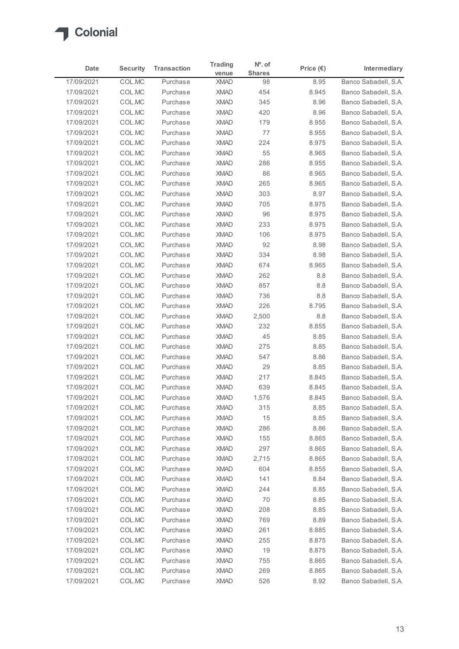

|                          |                  |                      | <b>Trading</b>                              | $No$ . of     |                    |                                              |
|--------------------------|------------------|----------------------|---------------------------------------------|---------------|--------------------|----------------------------------------------|
| Date                     | <b>Security</b>  | <b>Transaction</b>   | venue                                       | <b>Shares</b> | Price $(\epsilon)$ | Intermediary                                 |
| 17/09/2021               | COL.MC           | Purchase             | <b>XMAD</b>                                 | 98            | 8.95               | Banco Sabadell, S.A.                         |
| 17/09/2021               | COL.MC           | Purchase             | <b>XMAD</b>                                 | 454           | 8.945              | Banco Sabadell, S.A.                         |
| 17/09/2021<br>17/09/2021 | COL.MC<br>COL.MC | Purchase<br>Purchase | <b>XMAD</b><br><b>XMAD</b>                  | 345<br>420    | 8.96<br>8.96       | Banco Sabadell, S.A.<br>Banco Sabadell, S.A. |
| 17/09/2021               | COL.MC           | Purchase             | <b>XMAD</b>                                 | 179           | 8.955              | Banco Sabadell, S.A.                         |
| 17/09/2021               | COL.MC           | Purchase             | <b>XMAD</b>                                 | 77            | 8.955              | Banco Sabadell, S.A.                         |
| 17/09/2021               | COL.MC           | Purchase             | <b>XMAD</b>                                 | 224           | 8.975              | Banco Sabadell, S.A.                         |
| 17/09/2021               | COL.MC           | Purchase             | <b>XMAD</b>                                 | 55            | 8.965              | Banco Sabadell, S.A.                         |
| 17/09/2021               | COL.MC           | Purchase             | <b>XMAD</b>                                 | 286           | 8.955              | Banco Sabadell, S.A.                         |
| 17/09/2021               | COL.MC           | Purchase             | <b>XMAD</b>                                 | 86            | 8.965              | Banco Sabadell, S.A.                         |
| 17/09/2021               | COL.MC           | Purchase             | <b>XMAD</b>                                 | 265           | 8.965              | Banco Sabadell, S.A.                         |
| 17/09/2021               | COL.MC           | Purchase             | <b>XMAD</b>                                 | 303           | 8.97               | Banco Sabadell, S.A.                         |
| 17/09/2021<br>17/09/2021 | COL.MC<br>COL.MC | Purchase<br>Purchase | <b>XMAD</b><br>XMAD                         | 705<br>96     | 8.975<br>8.975     | Banco Sabadell, S.A.<br>Banco Sabadell, S.A. |
| 17/09/2021               | COL.MC           | Purchase             | <b>XMAD</b>                                 | 233           | 8.975              | Banco Sabadell, S.A.                         |
| 17/09/2021               | COL.MC           | Purchase             | <b>XMAD</b>                                 | 106           | 8.975              | Banco Sabadell, S.A.                         |
| 17/09/2021               | COL.MC           | Purchase             | <b>XMAD</b>                                 | 92            | 8.98               | Banco Sabadell, S.A.                         |
| 17/09/2021               | COL.MC           | Purchase             | <b>XMAD</b>                                 | 334           | 8.98               | Banco Sabadell, S.A.                         |
| 17/09/2021               | COL.MC           | Purchase             | <b>XMAD</b>                                 | 674           | 8.965              | Banco Sabadell, S.A.                         |
| 17/09/2021               | COL.MC           | Purchase             | <b>XMAD</b>                                 | 262           | 8.8                | Banco Sabadell, S.A.                         |
| 17/09/2021               | COL.MC           | Purchase             | <b>XMAD</b>                                 | 857           | 8.8                | Banco Sabadell, S.A.                         |
| 17/09/2021               | COL.MC           | Purchase             | <b>XMAD</b>                                 | 736           | $8.8\,$            | Banco Sabadell, S.A.                         |
| 17/09/2021               | COL.MC           | Purchase             | <b>XMAD</b>                                 | 226           | 8.795              | Banco Sabadell, S.A.                         |
| 17/09/2021<br>17/09/2021 | COL.MC<br>COL.MC | Purchase<br>Purchase | <b>XMAD</b><br><b>XMAD</b>                  | 2,500<br>232  | $8.8\,$<br>8.855   | Banco Sabadell, S.A.<br>Banco Sabadell, S.A. |
| 17/09/2021               | COL.MC           | Purchase             | <b>XMAD</b>                                 | 45            | 8.85               | Banco Sabadell, S.A.                         |
| 17/09/2021               | COL.MC           | Purchase             | <b>XMAD</b>                                 | 275           | 8.85               | Banco Sabadell, S.A.                         |
| 17/09/2021               | COL.MC           | Purchase             | <b>XMAD</b>                                 | 547           | 8.86               | Banco Sabadell, S.A.                         |
| 17/09/2021               | COL.MC           | Purchase             | <b>XMAD</b>                                 | 29            | 8.85               | Banco Sabadell, S.A.                         |
| 17/09/2021               | COL.MC           | Purchase             | <b>XMAD</b>                                 | 217           | 8.845              | Banco Sabadell, S.A.                         |
| 17/09/2021               | COL.MC           | Purchase             | <b>XMAD</b>                                 | 639           | 8.845              | Banco Sabadell, S.A.                         |
| 17/09/2021               | COL.MC           | Purchase             | <b>XMAD</b>                                 | 1,576         | 8.845              | Banco Sabadell, S.A.                         |
| 17/09/2021               | COL.MC           | Purchase             | <b>XMAD</b>                                 | 315           | 8.85               | Banco Sabadell, S.A.                         |
| 17/09/2021               | COL.MC           | Purchase             | <b>XMAD</b>                                 | 15            | 8.85               | Banco Sabadell, S.A.                         |
| 17/09/2021<br>17/09/2021 | COL.MC<br>COL.MC | Purchase<br>Purchase | <b>XMAD</b><br><b>XMAD</b>                  | 286<br>155    | 8.86<br>8.865      | Banco Sabadell, S.A.<br>Banco Sabadell, S.A. |
| 17/09/2021               | COL.MC           | Purchase             | <b>XMAD</b>                                 | 297           | 8.865              | Banco Sabadell, S.A.                         |
| 17/09/2021               | COL.MC           | Purchase             | <b>XMAD</b>                                 | 2,715         | 8.865              | Banco Sabadell, S.A.                         |
| 17/09/2021               | COL.MC           | Purchase             | <b>XMAD</b>                                 | 604           | 8.855              | Banco Sabadell, S.A.                         |
| 17/09/2021               | COL.MC           | Purchase             | <b>XMAD</b>                                 | 141           | 8.84               | Banco Sabadell, S.A.                         |
| 17/09/2021               | COL.MC           | Purchase             | <b>XMAD</b>                                 | 244           | 8.85               | Banco Sabadell, S.A.                         |
| 17/09/2021               | COL.MC           | Purchase             | <b>XMAD</b>                                 | 70            | 8.85               | Banco Sabadell, S.A.                         |
| 17/09/2021               | COL.MC           | Purchase             | <b>XMAD</b>                                 | 208           | 8.85               | Banco Sabadell, S.A.                         |
| 17/09/2021               | COL.MC           | Purchase             | <b>XMAD</b>                                 | 769           | 8.89               | Banco Sabadell, S.A.                         |
| 17/09/2021               | COL.MC           | Purchase             | <b>XMAD</b>                                 | 261           | 8.885              | Banco Sabadell, S.A.                         |
| 17/09/2021               | COL.MC           | Purchase             | <b>XMAD</b>                                 | 255           | 8.875              | Banco Sabadell, S.A.                         |
| 17/09/2021<br>17/09/2021 | COL.MC<br>COL.MC | Purchase<br>Purchase | <b>XMAD</b><br>$\boldsymbol{\mathsf{XMAD}}$ | 19<br>755     | 8.875<br>8.865     | Banco Sabadell, S.A.<br>Banco Sabadell, S.A. |
|                          | COL.MC           | Purchase             | <b>XMAD</b>                                 | 269           | 8.865              | Banco Sabadell, S.A.                         |
| 17/09/2021               |                  |                      |                                             |               |                    |                                              |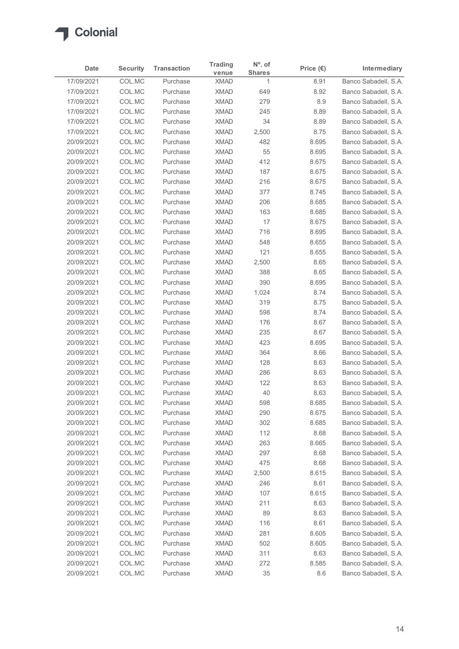

| Date                     | <b>Security</b>  | <b>Transaction</b>   | <b>Trading</b><br>venue    | N°. of<br><b>Shares</b> | Price $(\epsilon)$ | Intermediary                                 |
|--------------------------|------------------|----------------------|----------------------------|-------------------------|--------------------|----------------------------------------------|
| 17/09/2021               | COL.MC           | Purchase             | <b>XMAD</b>                | $\overline{1}$          | 8.91               | Banco Sabadell, S.A.                         |
| 17/09/2021               | COL.MC           | Purchase             | <b>XMAD</b>                | 649                     | 8.92               | Banco Sabadell, S.A.                         |
| 17/09/2021               | COL.MC           | Purchase             | <b>XMAD</b>                | 279                     | 8.9                | Banco Sabadell, S.A.                         |
| 17/09/2021               | COL.MC           | Purchase             | <b>XMAD</b>                | 245                     | 8.89               | Banco Sabadell, S.A.                         |
| 17/09/2021               | COL.MC           | Purchase             | <b>XMAD</b>                | 34                      | 8.89               | Banco Sabadell, S.A.                         |
| 17/09/2021               | COL.MC           | Purchase             | <b>XMAD</b>                | 2,500                   | 8.75               | Banco Sabadell, S.A.                         |
| 20/09/2021<br>20/09/2021 | COL.MC<br>COL.MC | Purchase<br>Purchase | <b>XMAD</b><br><b>XMAD</b> | 482<br>55               | 8.695<br>8.695     | Banco Sabadell, S.A.<br>Banco Sabadell, S.A. |
| 20/09/2021               | COL.MC           | Purchase             | <b>XMAD</b>                | 412                     | 8.675              | Banco Sabadell, S.A.                         |
| 20/09/2021               | COL.MC           | Purchase             | <b>XMAD</b>                | 187                     | 8.675              | Banco Sabadell, S.A.                         |
| 20/09/2021               | COL.MC           | Purchase             | <b>XMAD</b>                | 216                     | 8.675              | Banco Sabadell, S.A.                         |
| 20/09/2021               | COL.MC           | Purchase             | <b>XMAD</b>                | 377                     | 8.745              | Banco Sabadell, S.A.                         |
| 20/09/2021               | COL.MC           | Purchase             | <b>XMAD</b>                | 206                     | 8.685              | Banco Sabadell, S.A.                         |
| 20/09/2021               | COL.MC           | Purchase             | <b>XMAD</b>                | 163                     | 8.685              | Banco Sabadell, S.A.                         |
| 20/09/2021               | COL.MC           | Purchase             | <b>XMAD</b>                | 17                      | 8.675              | Banco Sabadell, S.A.                         |
| 20/09/2021               | COL.MC           | Purchase             | <b>XMAD</b>                | 716                     | 8.695              | Banco Sabadell, S.A.                         |
| 20/09/2021               | COL.MC           | Purchase             | <b>XMAD</b>                | 548                     | 8.655              | Banco Sabadell, S.A.                         |
| 20/09/2021<br>20/09/2021 | COL.MC<br>COL.MC | Purchase<br>Purchase | <b>XMAD</b><br><b>XMAD</b> | 121<br>2,500            | 8.655<br>8.65      | Banco Sabadell, S.A.<br>Banco Sabadell, S.A. |
| 20/09/2021               | COL.MC           | Purchase             | <b>XMAD</b>                | 388                     | 8.65               | Banco Sabadell, S.A.                         |
| 20/09/2021               | COL.MC           | Purchase             | <b>XMAD</b>                | 390                     | 8.695              | Banco Sabadell, S.A.                         |
| 20/09/2021               | COL.MC           | Purchase             | <b>XMAD</b>                | 1,024                   | 8.74               | Banco Sabadell, S.A.                         |
| 20/09/2021               | COL.MC           | Purchase             | <b>XMAD</b>                | 319                     | 8.75               | Banco Sabadell, S.A.                         |
| 20/09/2021               | COL.MC           | Purchase             | <b>XMAD</b>                | 598                     | 8.74               | Banco Sabadell, S.A.                         |
| 20/09/2021               | COL.MC           | Purchase             | <b>XMAD</b>                | 176                     | 8.67               | Banco Sabadell, S.A.                         |
| 20/09/2021               | COL.MC           | Purchase             | <b>XMAD</b>                | 235                     | 8.67               | Banco Sabadell, S.A.                         |
| 20/09/2021               | COL.MC           | Purchase             | <b>XMAD</b>                | 423                     | 8.695              | Banco Sabadell, S.A.                         |
| 20/09/2021               | COL.MC           | Purchase             | <b>XMAD</b>                | 364                     | 8.66               | Banco Sabadell, S.A.                         |
| 20/09/2021<br>20/09/2021 | COL.MC<br>COL.MC | Purchase<br>Purchase | <b>XMAD</b><br><b>XMAD</b> | 128<br>286              | 8.63<br>8.63       | Banco Sabadell, S.A.<br>Banco Sabadell, S.A. |
| 20/09/2021               | COL.MC           | Purchase             | <b>XMAD</b>                | 122                     | 8.63               | Banco Sabadell, S.A.                         |
| 20/09/2021               | COL.MC           | Purchase             | <b>XMAD</b>                | 40                      | 8.63               | Banco Sabadell, S.A.                         |
| 20/09/2021               | COL.MC           | Purchase             | <b>XMAD</b>                | 598                     | 8.685              | Banco Sabadell, S.A.                         |
| 20/09/2021               | COL.MC           | Purchase             | <b>XMAD</b>                | 290                     | 8.675              | Banco Sabadell, S.A.                         |
| 20/09/2021               | COL.MC           | Purchase             | <b>XMAD</b>                | 302                     | 8.685              | Banco Sabadell, S.A.                         |
| 20/09/2021               | COL.MC           | Purchase             | <b>XMAD</b>                | 112                     | 8.68               | Banco Sabadell, S.A.                         |
| 20/09/2021               | COL.MC           | Purchase             | <b>XMAD</b>                | 263                     | 8.665              | Banco Sabadell, S.A.                         |
| 20/09/2021               | COL.MC           | Purchase             | <b>XMAD</b>                | 297                     | 8.68               | Banco Sabadell, S.A.                         |
| 20/09/2021               | COL.MC           | Purchase             | <b>XMAD</b>                | 475                     | 8.68               | Banco Sabadell, S.A.                         |
| 20/09/2021<br>20/09/2021 | COL.MC<br>COL.MC | Purchase             | <b>XMAD</b><br><b>XMAD</b> | 2,500<br>246            | 8.615              | Banco Sabadell, S.A.<br>Banco Sabadell, S.A. |
| 20/09/2021               | COL.MC           | Purchase<br>Purchase | <b>XMAD</b>                | 107                     | 8.61<br>8.615      | Banco Sabadell, S.A.                         |
| 20/09/2021               | COL.MC           | Purchase             | <b>XMAD</b>                | 211                     | 8.63               | Banco Sabadell, S.A.                         |
| 20/09/2021               | COL.MC           | Purchase             | <b>XMAD</b>                | 89                      | 8.63               | Banco Sabadell, S.A.                         |
| 20/09/2021               | COL.MC           | Purchase             | <b>XMAD</b>                | 116                     | 8.61               | Banco Sabadell, S.A.                         |
| 20/09/2021               | COL.MC           | Purchase             | <b>XMAD</b>                | 281                     | 8.605              | Banco Sabadell, S.A.                         |
| 20/09/2021               | COL.MC           | Purchase             | <b>XMAD</b>                | 502                     | 8.605              | Banco Sabadell, S.A.                         |
| 20/09/2021               | COL.MC           | Purchase             | <b>XMAD</b>                | 311                     | 8.63               | Banco Sabadell, S.A.                         |
| 20/09/2021               | COL.MC           | Purchase             | <b>XMAD</b>                | 272                     | 8.585              | Banco Sabadell, S.A.                         |
| 20/09/2021               | COL.MC           | Purchase             | <b>XMAD</b>                | 35                      | 8.6                | Banco Sabadell, S.A.                         |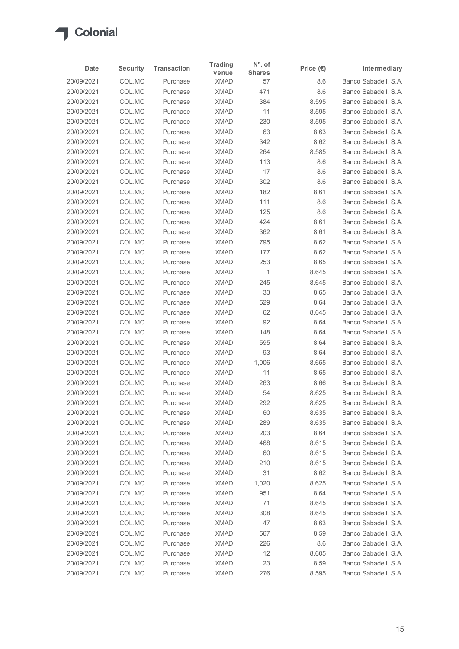

| Date                     | <b>Security</b>  | <b>Transaction</b>   | <b>Trading</b><br>venue    | $No$ . of<br><b>Shares</b> | Price $(\epsilon)$ | Intermediary                                 |
|--------------------------|------------------|----------------------|----------------------------|----------------------------|--------------------|----------------------------------------------|
| 20/09/2021               | COL.MC           | Purchase             | <b>XMAD</b>                | 57                         | 8.6                | Banco Sabadell, S.A.                         |
| 20/09/2021               | COL.MC           | Purchase             | <b>XMAD</b>                | 471                        | 8.6                | Banco Sabadell, S.A.                         |
| 20/09/2021               | COL.MC           | Purchase             | <b>XMAD</b>                | 384                        | 8.595              | Banco Sabadell, S.A.                         |
| 20/09/2021               | COL.MC           | Purchase             | <b>XMAD</b>                | 11                         | 8.595              | Banco Sabadell, S.A.                         |
| 20/09/2021               | COL.MC           | Purchase             | <b>XMAD</b>                | 230                        | 8.595              | Banco Sabadell, S.A.                         |
| 20/09/2021               | COL.MC           | Purchase             | <b>XMAD</b>                | 63                         | 8.63               | Banco Sabadell, S.A.                         |
| 20/09/2021               | COL.MC           | Purchase             | <b>XMAD</b>                | 342                        | 8.62               | Banco Sabadell, S.A.                         |
| 20/09/2021               | COL.MC           | Purchase             | <b>XMAD</b><br><b>XMAD</b> | 264                        | 8.585              | Banco Sabadell, S.A.                         |
| 20/09/2021<br>20/09/2021 | COL.MC<br>COL.MC | Purchase<br>Purchase | <b>XMAD</b>                | 113<br>17                  | 8.6<br>8.6         | Banco Sabadell, S.A.<br>Banco Sabadell, S.A. |
| 20/09/2021               | COL.MC           | Purchase             | <b>XMAD</b>                | 302                        | 8.6                | Banco Sabadell, S.A.                         |
| 20/09/2021               | COL.MC           | Purchase             | <b>XMAD</b>                | 182                        | 8.61               | Banco Sabadell, S.A.                         |
| 20/09/2021               | COL.MC           | Purchase             | <b>XMAD</b>                | 111                        | 8.6                | Banco Sabadell, S.A.                         |
| 20/09/2021               | COL.MC           | Purchase             | <b>XMAD</b>                | 125                        | 8.6                | Banco Sabadell, S.A.                         |
| 20/09/2021               | COL.MC           | Purchase             | <b>XMAD</b>                | 424                        | 8.61               | Banco Sabadell, S.A.                         |
| 20/09/2021               | COL.MC           | Purchase             | <b>XMAD</b>                | 362                        | 8.61               | Banco Sabadell, S.A.                         |
| 20/09/2021               | COL.MC           | Purchase             | <b>XMAD</b>                | 795                        | 8.62               | Banco Sabadell, S.A.                         |
| 20/09/2021               | COL.MC           | Purchase             | <b>XMAD</b>                | 177                        | 8.62               | Banco Sabadell, S.A.                         |
| 20/09/2021               | COL.MC           | Purchase             | <b>XMAD</b>                | 253                        | 8.65               | Banco Sabadell, S.A.                         |
| 20/09/2021               | COL.MC           | Purchase             | <b>XMAD</b>                | $\overline{1}$             | 8.645              | Banco Sabadell, S.A.                         |
| 20/09/2021               | COL.MC           | Purchase             | <b>XMAD</b>                | 245                        | 8.645              | Banco Sabadell, S.A.                         |
| 20/09/2021               | COL.MC           | Purchase             | <b>XMAD</b>                | 33                         | 8.65               | Banco Sabadell, S.A.                         |
| 20/09/2021<br>20/09/2021 | COL.MC           | Purchase             | <b>XMAD</b><br><b>XMAD</b> | 529                        | 8.64               | Banco Sabadell, S.A.<br>Banco Sabadell, S.A. |
| 20/09/2021               | COL.MC<br>COL.MC | Purchase<br>Purchase | <b>XMAD</b>                | 62<br>92                   | 8.645<br>8.64      | Banco Sabadell, S.A.                         |
| 20/09/2021               | COL.MC           | Purchase             | <b>XMAD</b>                | 148                        | 8.64               | Banco Sabadell, S.A.                         |
| 20/09/2021               | COL.MC           | Purchase             | <b>XMAD</b>                | 595                        | 8.64               | Banco Sabadell, S.A.                         |
| 20/09/2021               | COL.MC           | Purchase             | <b>XMAD</b>                | 93                         | 8.64               | Banco Sabadell, S.A.                         |
| 20/09/2021               | COL.MC           | Purchase             | <b>XMAD</b>                | 1,006                      | 8.655              | Banco Sabadell, S.A.                         |
| 20/09/2021               | COL.MC           | Purchase             | <b>XMAD</b>                | 11                         | 8.65               | Banco Sabadell, S.A.                         |
| 20/09/2021               | COL.MC           | Purchase             | <b>XMAD</b>                | 263                        | 8.66               | Banco Sabadell, S.A.                         |
| 20/09/2021               | COL.MC           | Purchase             | <b>XMAD</b>                | 54                         | 8.625              | Banco Sabadell, S.A.                         |
| 20/09/2021               | COL.MC           | Purchase             | <b>XMAD</b>                | 292                        | 8.625              | Banco Sabadell, S.A.                         |
| 20/09/2021               | COL.MC           | Purchase             | <b>XMAD</b>                | 60                         | 8.635              | Banco Sabadell, S.A.                         |
| 20/09/2021               | COL.MC           | Purchase             | <b>XMAD</b>                | 289                        | 8.635              | Banco Sabadell, S.A.                         |
| 20/09/2021               | COL.MC           | Purchase             | <b>XMAD</b>                | 203                        | 8.64               | Banco Sabadell, S.A.                         |
| 20/09/2021               | COL.MC           | Purchase             | <b>XMAD</b>                | 468                        | 8.615              | Banco Sabadell, S.A.                         |
| 20/09/2021               | COL.MC           | Purchase             | <b>XMAD</b>                | 60                         | 8.615              | Banco Sabadell, S.A.                         |
| 20/09/2021               | COL.MC           | Purchase             | <b>XMAD</b>                | 210                        | 8.615              | Banco Sabadell, S.A.                         |
| 20/09/2021               | COL.MC           | Purchase             | <b>XMAD</b>                | 31                         | 8.62               | Banco Sabadell, S.A.                         |
| 20/09/2021               | COL.MC           | Purchase             | <b>XMAD</b>                | 1,020                      | 8.625              | Banco Sabadell, S.A.                         |
| 20/09/2021               | COL.MC           | Purchase             | <b>XMAD</b>                | 951                        | 8.64               | Banco Sabadell, S.A.                         |
| 20/09/2021               | COL.MC           | Purchase             | <b>XMAD</b>                | 71                         | 8.645              | Banco Sabadell, S.A.                         |
| 20/09/2021<br>20/09/2021 | COL.MC<br>COL.MC | Purchase<br>Purchase | <b>XMAD</b><br><b>XMAD</b> | 308<br>47                  | 8.645<br>8.63      | Banco Sabadell, S.A.<br>Banco Sabadell, S.A. |
| 20/09/2021               | COL.MC           | Purchase             | <b>XMAD</b>                | 567                        | 8.59               | Banco Sabadell, S.A.                         |
| 20/09/2021               | COL.MC           | Purchase             | <b>XMAD</b>                | 226                        | 8.6                | Banco Sabadell, S.A.                         |
| 20/09/2021               | COL.MC           | Purchase             | <b>XMAD</b>                | 12                         | 8.605              | Banco Sabadell, S.A.                         |
| 20/09/2021               | COLMC            | Purchase             | <b>XMAD</b>                | 23                         | 8.59               | Banco Sabadell, S.A.                         |
|                          | COLMC            | Purchase             | <b>XMAD</b>                | 276                        | 8.595              | Banco Sabadell, S.A.                         |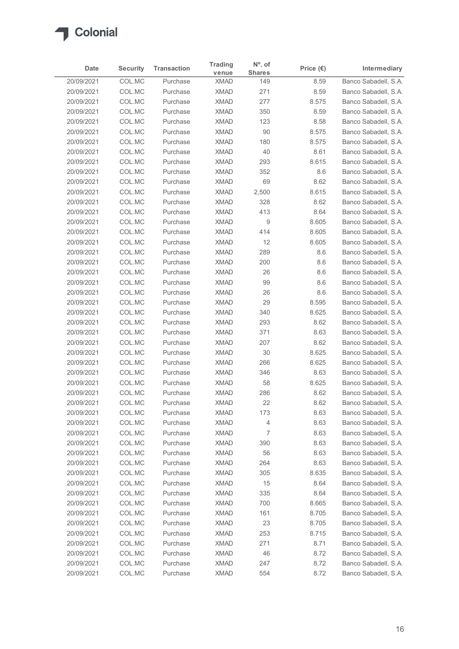

| venue<br>COL.MC<br>Banco Sabadell, S.A.<br>20/09/2021<br>8.59<br>Purchase<br><b>XMAD</b><br>149<br>COL.MC<br>271<br>8.59<br>Banco Sabadell, S.A.<br>20/09/2021<br>Purchase<br><b>XMAD</b><br>COL.MC<br>277<br>Banco Sabadell, S.A.<br>20/09/2021<br>Purchase<br><b>XMAD</b><br>8.575<br>350<br>20/09/2021<br>COL.MC<br>Purchase<br><b>XMAD</b><br>8.59<br>Banco Sabadell, S.A.<br>COL.MC<br>123<br>20/09/2021<br>Purchase<br><b>XMAD</b><br>8.58<br>Banco Sabadell, S.A.<br>COL.MC<br>90<br>20/09/2021<br>Purchase<br><b>XMAD</b><br>8.575<br>COL.MC<br>20/09/2021<br>Purchase<br><b>XMAD</b><br>180<br>8.575<br>COL.MC<br>40<br>20/09/2021<br>Purchase<br><b>XMAD</b><br>8.61<br>Banco Sabadell, S.A.<br>293<br>COL.MC<br><b>XMAD</b><br>8.615<br>Banco Sabadell, S.A.<br>20/09/2021<br>Purchase<br>COL.MC<br>352<br>20/09/2021<br>Purchase<br><b>XMAD</b><br>8.6<br>Banco Sabadell, S.A.<br>COL.MC<br>69<br>20/09/2021<br>Purchase<br><b>XMAD</b><br>8.62<br>Banco Sabadell, S.A.<br>COL.MC<br>Banco Sabadell, S.A.<br>20/09/2021<br>Purchase<br><b>XMAD</b><br>2,500<br>8.615<br>328<br>20/09/2021<br>COL.MC<br>Purchase<br><b>XMAD</b><br>8.62<br>Banco Sabadell, S.A.<br>20/09/2021<br>COL.MC<br><b>XMAD</b><br>413<br>8.64<br>Purchase<br>9<br>20/09/2021<br>COL.MC<br>Purchase<br><b>XMAD</b><br>8.605<br>COL.MC<br>414<br>8.605<br>20/09/2021<br>Purchase<br><b>XMAD</b><br>20/09/2021<br>COL.MC<br><b>XMAD</b><br>12<br>8.605<br>Purchase<br>20/09/2021<br>COL.MC<br><b>XMAD</b><br>289<br>8.6<br>Purchase<br>COL.MC<br>200<br>8.6<br>20/09/2021<br>Purchase<br><b>XMAD</b><br>26<br>20/09/2021<br>COL.MC<br>Purchase<br><b>XMAD</b><br>8.6<br>99<br>COL.MC<br><b>XMAD</b><br>8.6<br>20/09/2021<br>Purchase<br>COL.MC<br>$26\,$<br>20/09/2021<br>Purchase<br><b>XMAD</b><br>8.6<br>COL.MC<br>29<br>20/09/2021<br>Purchase<br><b>XMAD</b><br>8.595<br>20/09/2021<br>COL.MC<br><b>XMAD</b><br>340<br>8.625<br>Purchase<br>20/09/2021<br>COL.MC<br><b>XMAD</b><br>293<br>8.62<br>Purchase<br>20/09/2021<br>COL.MC<br><b>XMAD</b><br>371<br>8.63<br>Purchase<br>20/09/2021<br>COL.MC<br><b>XMAD</b><br>207<br>8.62<br>Purchase<br>$30\,$<br>20/09/2021<br>COL.MC<br><b>XMAD</b><br>8.625<br>Purchase<br>20/09/2021<br>COL.MC<br><b>XMAD</b><br>266<br>8.625<br>Purchase<br>20/09/2021<br>COL.MC<br>Purchase<br><b>XMAD</b><br>346<br>8.63<br>58<br>20/09/2021<br>COL.MC<br>Purchase<br><b>XMAD</b><br>8.625<br>20/09/2021<br>COL.MC<br>286<br>8.62<br>Purchase<br><b>XMAD</b><br>COL.MC<br><b>XMAD</b><br>22<br>8.62<br>20/09/2021<br>Purchase<br>173<br>20/09/2021<br>COL.MC<br><b>XMAD</b><br>8.63<br>Purchase<br>COL.MC<br>20/09/2021<br><b>XMAD</b><br>4<br>8.63<br>Purchase<br>COL.MC<br>7<br>20/09/2021<br>Purchase<br><b>XMAD</b><br>8.63<br>20/09/2021<br>COL.MC<br><b>XMAD</b><br>390<br>8.63<br>Purchase<br>56<br>8.63<br>COL.MC<br><b>XMAD</b><br>20/09/2021<br>Purchase<br>COL.MC<br>20/09/2021<br>Purchase<br><b>XMAD</b><br>264<br>8.63<br>20/09/2021<br>COL.MC<br><b>XMAD</b><br>305<br>8.635<br>Purchase<br>20/09/2021<br>COL.MC<br><b>XMAD</b><br>15<br>8.64<br>Purchase<br>COL.MC<br>20/09/2021<br>Purchase<br><b>XMAD</b><br>335<br>8.64<br>20/09/2021<br>COL.MC<br>Purchase<br><b>XMAD</b><br>700<br>8.665<br>COL.MC<br>161<br>8.705<br>20/09/2021<br>Purchase<br><b>XMAD</b><br>20/09/2021<br>COL.MC<br>Purchase<br><b>XMAD</b><br>23<br>8.705<br>20/09/2021<br>COL.MC<br>Purchase<br><b>XMAD</b><br>253<br>8.715<br>271<br>20/09/2021<br>COL.MC<br><b>XMAD</b><br>8.71<br>Purchase<br>46<br>8.72<br>20/09/2021<br>COL.MC<br>Purchase<br><b>XMAD</b><br>COLMC<br>20/09/2021<br>Purchase<br><b>XMAD</b><br>247<br>8.72<br>Banco Sabadell, S.A. | Date       | <b>Security</b> | <b>Transaction</b> | <b>Trading</b> | $No$ . of<br><b>Shares</b> | Price $(\epsilon)$ | Intermediary         |
|-------------------------------------------------------------------------------------------------------------------------------------------------------------------------------------------------------------------------------------------------------------------------------------------------------------------------------------------------------------------------------------------------------------------------------------------------------------------------------------------------------------------------------------------------------------------------------------------------------------------------------------------------------------------------------------------------------------------------------------------------------------------------------------------------------------------------------------------------------------------------------------------------------------------------------------------------------------------------------------------------------------------------------------------------------------------------------------------------------------------------------------------------------------------------------------------------------------------------------------------------------------------------------------------------------------------------------------------------------------------------------------------------------------------------------------------------------------------------------------------------------------------------------------------------------------------------------------------------------------------------------------------------------------------------------------------------------------------------------------------------------------------------------------------------------------------------------------------------------------------------------------------------------------------------------------------------------------------------------------------------------------------------------------------------------------------------------------------------------------------------------------------------------------------------------------------------------------------------------------------------------------------------------------------------------------------------------------------------------------------------------------------------------------------------------------------------------------------------------------------------------------------------------------------------------------------------------------------------------------------------------------------------------------------------------------------------------------------------------------------------------------------------------------------------------------------------------------------------------------------------------------------------------------------------------------------------------------------------------------------------------------------------------------------------------------------------------------------------------------------------------------------------------------------------------------------------------------------------------------------------------------------------------------------------------------------------------------------------------------------------------------------------------------------------------------------------------------------------------------------------------------------------------------------------------------------------------------------------------------------------------------------------------------------------|------------|-----------------|--------------------|----------------|----------------------------|--------------------|----------------------|
| Banco Sabadell, S.A.<br>Banco Sabadell, S.A.<br>Banco Sabadell, S.A.<br>Banco Sabadell, S.A.<br>Banco Sabadell, S.A.<br>Banco Sabadell, S.A.<br>Banco Sabadell, S.A.<br>Banco Sabadell, S.A.<br>Banco Sabadell, S.A.<br>Banco Sabadell, S.A.<br>Banco Sabadell, S.A.<br>Banco Sabadell, S.A.<br>Banco Sabadell, S.A.<br>Banco Sabadell, S.A.<br>Banco Sabadell, S.A.<br>Banco Sabadell, S.A.<br>Banco Sabadell, S.A.<br>Banco Sabadell, S.A.<br>Banco Sabadell, S.A.<br>Banco Sabadell, S.A.<br>Banco Sabadell, S.A.<br>Banco Sabadell, S.A.<br>Banco Sabadell, S.A.<br>Banco Sabadell, S.A.<br>Banco Sabadell, S.A.<br>Banco Sabadell, S.A.<br>Banco Sabadell, S.A.<br>Banco Sabadell, S.A.<br>Banco Sabadell, S.A.<br>Banco Sabadell, S.A.<br>Banco Sabadell, S.A.<br>Banco Sabadell, S.A.<br>Banco Sabadell, S.A.<br>Banco Sabadell, S.A.<br>Banco Sabadell, S.A.<br>Banco Sabadell, S.A.<br>Banco Sabadell, S.A.                                                                                                                                                                                                                                                                                                                                                                                                                                                                                                                                                                                                                                                                                                                                                                                                                                                                                                                                                                                                                                                                                                                                                                                                                                                                                                                                                                                                                                                                                                                                                                                                                                                                                                                                                                                                                                                                                                                                                                                                                                                                                                                                                                                                                                                                                                                                                                                                                                                                                                                                                                                                                                                                                                                                                    |            |                 |                    |                |                            |                    |                      |
|                                                                                                                                                                                                                                                                                                                                                                                                                                                                                                                                                                                                                                                                                                                                                                                                                                                                                                                                                                                                                                                                                                                                                                                                                                                                                                                                                                                                                                                                                                                                                                                                                                                                                                                                                                                                                                                                                                                                                                                                                                                                                                                                                                                                                                                                                                                                                                                                                                                                                                                                                                                                                                                                                                                                                                                                                                                                                                                                                                                                                                                                                                                                                                                                                                                                                                                                                                                                                                                                                                                                                                                                                                                                         |            |                 |                    |                |                            |                    |                      |
|                                                                                                                                                                                                                                                                                                                                                                                                                                                                                                                                                                                                                                                                                                                                                                                                                                                                                                                                                                                                                                                                                                                                                                                                                                                                                                                                                                                                                                                                                                                                                                                                                                                                                                                                                                                                                                                                                                                                                                                                                                                                                                                                                                                                                                                                                                                                                                                                                                                                                                                                                                                                                                                                                                                                                                                                                                                                                                                                                                                                                                                                                                                                                                                                                                                                                                                                                                                                                                                                                                                                                                                                                                                                         |            |                 |                    |                |                            |                    |                      |
|                                                                                                                                                                                                                                                                                                                                                                                                                                                                                                                                                                                                                                                                                                                                                                                                                                                                                                                                                                                                                                                                                                                                                                                                                                                                                                                                                                                                                                                                                                                                                                                                                                                                                                                                                                                                                                                                                                                                                                                                                                                                                                                                                                                                                                                                                                                                                                                                                                                                                                                                                                                                                                                                                                                                                                                                                                                                                                                                                                                                                                                                                                                                                                                                                                                                                                                                                                                                                                                                                                                                                                                                                                                                         |            |                 |                    |                |                            |                    |                      |
|                                                                                                                                                                                                                                                                                                                                                                                                                                                                                                                                                                                                                                                                                                                                                                                                                                                                                                                                                                                                                                                                                                                                                                                                                                                                                                                                                                                                                                                                                                                                                                                                                                                                                                                                                                                                                                                                                                                                                                                                                                                                                                                                                                                                                                                                                                                                                                                                                                                                                                                                                                                                                                                                                                                                                                                                                                                                                                                                                                                                                                                                                                                                                                                                                                                                                                                                                                                                                                                                                                                                                                                                                                                                         |            |                 |                    |                |                            |                    |                      |
|                                                                                                                                                                                                                                                                                                                                                                                                                                                                                                                                                                                                                                                                                                                                                                                                                                                                                                                                                                                                                                                                                                                                                                                                                                                                                                                                                                                                                                                                                                                                                                                                                                                                                                                                                                                                                                                                                                                                                                                                                                                                                                                                                                                                                                                                                                                                                                                                                                                                                                                                                                                                                                                                                                                                                                                                                                                                                                                                                                                                                                                                                                                                                                                                                                                                                                                                                                                                                                                                                                                                                                                                                                                                         |            |                 |                    |                |                            |                    |                      |
|                                                                                                                                                                                                                                                                                                                                                                                                                                                                                                                                                                                                                                                                                                                                                                                                                                                                                                                                                                                                                                                                                                                                                                                                                                                                                                                                                                                                                                                                                                                                                                                                                                                                                                                                                                                                                                                                                                                                                                                                                                                                                                                                                                                                                                                                                                                                                                                                                                                                                                                                                                                                                                                                                                                                                                                                                                                                                                                                                                                                                                                                                                                                                                                                                                                                                                                                                                                                                                                                                                                                                                                                                                                                         |            |                 |                    |                |                            |                    |                      |
|                                                                                                                                                                                                                                                                                                                                                                                                                                                                                                                                                                                                                                                                                                                                                                                                                                                                                                                                                                                                                                                                                                                                                                                                                                                                                                                                                                                                                                                                                                                                                                                                                                                                                                                                                                                                                                                                                                                                                                                                                                                                                                                                                                                                                                                                                                                                                                                                                                                                                                                                                                                                                                                                                                                                                                                                                                                                                                                                                                                                                                                                                                                                                                                                                                                                                                                                                                                                                                                                                                                                                                                                                                                                         |            |                 |                    |                |                            |                    |                      |
|                                                                                                                                                                                                                                                                                                                                                                                                                                                                                                                                                                                                                                                                                                                                                                                                                                                                                                                                                                                                                                                                                                                                                                                                                                                                                                                                                                                                                                                                                                                                                                                                                                                                                                                                                                                                                                                                                                                                                                                                                                                                                                                                                                                                                                                                                                                                                                                                                                                                                                                                                                                                                                                                                                                                                                                                                                                                                                                                                                                                                                                                                                                                                                                                                                                                                                                                                                                                                                                                                                                                                                                                                                                                         |            |                 |                    |                |                            |                    |                      |
|                                                                                                                                                                                                                                                                                                                                                                                                                                                                                                                                                                                                                                                                                                                                                                                                                                                                                                                                                                                                                                                                                                                                                                                                                                                                                                                                                                                                                                                                                                                                                                                                                                                                                                                                                                                                                                                                                                                                                                                                                                                                                                                                                                                                                                                                                                                                                                                                                                                                                                                                                                                                                                                                                                                                                                                                                                                                                                                                                                                                                                                                                                                                                                                                                                                                                                                                                                                                                                                                                                                                                                                                                                                                         |            |                 |                    |                |                            |                    |                      |
|                                                                                                                                                                                                                                                                                                                                                                                                                                                                                                                                                                                                                                                                                                                                                                                                                                                                                                                                                                                                                                                                                                                                                                                                                                                                                                                                                                                                                                                                                                                                                                                                                                                                                                                                                                                                                                                                                                                                                                                                                                                                                                                                                                                                                                                                                                                                                                                                                                                                                                                                                                                                                                                                                                                                                                                                                                                                                                                                                                                                                                                                                                                                                                                                                                                                                                                                                                                                                                                                                                                                                                                                                                                                         |            |                 |                    |                |                            |                    |                      |
|                                                                                                                                                                                                                                                                                                                                                                                                                                                                                                                                                                                                                                                                                                                                                                                                                                                                                                                                                                                                                                                                                                                                                                                                                                                                                                                                                                                                                                                                                                                                                                                                                                                                                                                                                                                                                                                                                                                                                                                                                                                                                                                                                                                                                                                                                                                                                                                                                                                                                                                                                                                                                                                                                                                                                                                                                                                                                                                                                                                                                                                                                                                                                                                                                                                                                                                                                                                                                                                                                                                                                                                                                                                                         |            |                 |                    |                |                            |                    |                      |
|                                                                                                                                                                                                                                                                                                                                                                                                                                                                                                                                                                                                                                                                                                                                                                                                                                                                                                                                                                                                                                                                                                                                                                                                                                                                                                                                                                                                                                                                                                                                                                                                                                                                                                                                                                                                                                                                                                                                                                                                                                                                                                                                                                                                                                                                                                                                                                                                                                                                                                                                                                                                                                                                                                                                                                                                                                                                                                                                                                                                                                                                                                                                                                                                                                                                                                                                                                                                                                                                                                                                                                                                                                                                         |            |                 |                    |                |                            |                    |                      |
|                                                                                                                                                                                                                                                                                                                                                                                                                                                                                                                                                                                                                                                                                                                                                                                                                                                                                                                                                                                                                                                                                                                                                                                                                                                                                                                                                                                                                                                                                                                                                                                                                                                                                                                                                                                                                                                                                                                                                                                                                                                                                                                                                                                                                                                                                                                                                                                                                                                                                                                                                                                                                                                                                                                                                                                                                                                                                                                                                                                                                                                                                                                                                                                                                                                                                                                                                                                                                                                                                                                                                                                                                                                                         |            |                 |                    |                |                            |                    |                      |
|                                                                                                                                                                                                                                                                                                                                                                                                                                                                                                                                                                                                                                                                                                                                                                                                                                                                                                                                                                                                                                                                                                                                                                                                                                                                                                                                                                                                                                                                                                                                                                                                                                                                                                                                                                                                                                                                                                                                                                                                                                                                                                                                                                                                                                                                                                                                                                                                                                                                                                                                                                                                                                                                                                                                                                                                                                                                                                                                                                                                                                                                                                                                                                                                                                                                                                                                                                                                                                                                                                                                                                                                                                                                         |            |                 |                    |                |                            |                    |                      |
|                                                                                                                                                                                                                                                                                                                                                                                                                                                                                                                                                                                                                                                                                                                                                                                                                                                                                                                                                                                                                                                                                                                                                                                                                                                                                                                                                                                                                                                                                                                                                                                                                                                                                                                                                                                                                                                                                                                                                                                                                                                                                                                                                                                                                                                                                                                                                                                                                                                                                                                                                                                                                                                                                                                                                                                                                                                                                                                                                                                                                                                                                                                                                                                                                                                                                                                                                                                                                                                                                                                                                                                                                                                                         |            |                 |                    |                |                            |                    |                      |
|                                                                                                                                                                                                                                                                                                                                                                                                                                                                                                                                                                                                                                                                                                                                                                                                                                                                                                                                                                                                                                                                                                                                                                                                                                                                                                                                                                                                                                                                                                                                                                                                                                                                                                                                                                                                                                                                                                                                                                                                                                                                                                                                                                                                                                                                                                                                                                                                                                                                                                                                                                                                                                                                                                                                                                                                                                                                                                                                                                                                                                                                                                                                                                                                                                                                                                                                                                                                                                                                                                                                                                                                                                                                         |            |                 |                    |                |                            |                    |                      |
|                                                                                                                                                                                                                                                                                                                                                                                                                                                                                                                                                                                                                                                                                                                                                                                                                                                                                                                                                                                                                                                                                                                                                                                                                                                                                                                                                                                                                                                                                                                                                                                                                                                                                                                                                                                                                                                                                                                                                                                                                                                                                                                                                                                                                                                                                                                                                                                                                                                                                                                                                                                                                                                                                                                                                                                                                                                                                                                                                                                                                                                                                                                                                                                                                                                                                                                                                                                                                                                                                                                                                                                                                                                                         |            |                 |                    |                |                            |                    |                      |
|                                                                                                                                                                                                                                                                                                                                                                                                                                                                                                                                                                                                                                                                                                                                                                                                                                                                                                                                                                                                                                                                                                                                                                                                                                                                                                                                                                                                                                                                                                                                                                                                                                                                                                                                                                                                                                                                                                                                                                                                                                                                                                                                                                                                                                                                                                                                                                                                                                                                                                                                                                                                                                                                                                                                                                                                                                                                                                                                                                                                                                                                                                                                                                                                                                                                                                                                                                                                                                                                                                                                                                                                                                                                         |            |                 |                    |                |                            |                    |                      |
|                                                                                                                                                                                                                                                                                                                                                                                                                                                                                                                                                                                                                                                                                                                                                                                                                                                                                                                                                                                                                                                                                                                                                                                                                                                                                                                                                                                                                                                                                                                                                                                                                                                                                                                                                                                                                                                                                                                                                                                                                                                                                                                                                                                                                                                                                                                                                                                                                                                                                                                                                                                                                                                                                                                                                                                                                                                                                                                                                                                                                                                                                                                                                                                                                                                                                                                                                                                                                                                                                                                                                                                                                                                                         |            |                 |                    |                |                            |                    |                      |
|                                                                                                                                                                                                                                                                                                                                                                                                                                                                                                                                                                                                                                                                                                                                                                                                                                                                                                                                                                                                                                                                                                                                                                                                                                                                                                                                                                                                                                                                                                                                                                                                                                                                                                                                                                                                                                                                                                                                                                                                                                                                                                                                                                                                                                                                                                                                                                                                                                                                                                                                                                                                                                                                                                                                                                                                                                                                                                                                                                                                                                                                                                                                                                                                                                                                                                                                                                                                                                                                                                                                                                                                                                                                         |            |                 |                    |                |                            |                    |                      |
|                                                                                                                                                                                                                                                                                                                                                                                                                                                                                                                                                                                                                                                                                                                                                                                                                                                                                                                                                                                                                                                                                                                                                                                                                                                                                                                                                                                                                                                                                                                                                                                                                                                                                                                                                                                                                                                                                                                                                                                                                                                                                                                                                                                                                                                                                                                                                                                                                                                                                                                                                                                                                                                                                                                                                                                                                                                                                                                                                                                                                                                                                                                                                                                                                                                                                                                                                                                                                                                                                                                                                                                                                                                                         |            |                 |                    |                |                            |                    |                      |
|                                                                                                                                                                                                                                                                                                                                                                                                                                                                                                                                                                                                                                                                                                                                                                                                                                                                                                                                                                                                                                                                                                                                                                                                                                                                                                                                                                                                                                                                                                                                                                                                                                                                                                                                                                                                                                                                                                                                                                                                                                                                                                                                                                                                                                                                                                                                                                                                                                                                                                                                                                                                                                                                                                                                                                                                                                                                                                                                                                                                                                                                                                                                                                                                                                                                                                                                                                                                                                                                                                                                                                                                                                                                         |            |                 |                    |                |                            |                    |                      |
|                                                                                                                                                                                                                                                                                                                                                                                                                                                                                                                                                                                                                                                                                                                                                                                                                                                                                                                                                                                                                                                                                                                                                                                                                                                                                                                                                                                                                                                                                                                                                                                                                                                                                                                                                                                                                                                                                                                                                                                                                                                                                                                                                                                                                                                                                                                                                                                                                                                                                                                                                                                                                                                                                                                                                                                                                                                                                                                                                                                                                                                                                                                                                                                                                                                                                                                                                                                                                                                                                                                                                                                                                                                                         |            |                 |                    |                |                            |                    |                      |
|                                                                                                                                                                                                                                                                                                                                                                                                                                                                                                                                                                                                                                                                                                                                                                                                                                                                                                                                                                                                                                                                                                                                                                                                                                                                                                                                                                                                                                                                                                                                                                                                                                                                                                                                                                                                                                                                                                                                                                                                                                                                                                                                                                                                                                                                                                                                                                                                                                                                                                                                                                                                                                                                                                                                                                                                                                                                                                                                                                                                                                                                                                                                                                                                                                                                                                                                                                                                                                                                                                                                                                                                                                                                         |            |                 |                    |                |                            |                    |                      |
|                                                                                                                                                                                                                                                                                                                                                                                                                                                                                                                                                                                                                                                                                                                                                                                                                                                                                                                                                                                                                                                                                                                                                                                                                                                                                                                                                                                                                                                                                                                                                                                                                                                                                                                                                                                                                                                                                                                                                                                                                                                                                                                                                                                                                                                                                                                                                                                                                                                                                                                                                                                                                                                                                                                                                                                                                                                                                                                                                                                                                                                                                                                                                                                                                                                                                                                                                                                                                                                                                                                                                                                                                                                                         |            |                 |                    |                |                            |                    |                      |
|                                                                                                                                                                                                                                                                                                                                                                                                                                                                                                                                                                                                                                                                                                                                                                                                                                                                                                                                                                                                                                                                                                                                                                                                                                                                                                                                                                                                                                                                                                                                                                                                                                                                                                                                                                                                                                                                                                                                                                                                                                                                                                                                                                                                                                                                                                                                                                                                                                                                                                                                                                                                                                                                                                                                                                                                                                                                                                                                                                                                                                                                                                                                                                                                                                                                                                                                                                                                                                                                                                                                                                                                                                                                         |            |                 |                    |                |                            |                    |                      |
|                                                                                                                                                                                                                                                                                                                                                                                                                                                                                                                                                                                                                                                                                                                                                                                                                                                                                                                                                                                                                                                                                                                                                                                                                                                                                                                                                                                                                                                                                                                                                                                                                                                                                                                                                                                                                                                                                                                                                                                                                                                                                                                                                                                                                                                                                                                                                                                                                                                                                                                                                                                                                                                                                                                                                                                                                                                                                                                                                                                                                                                                                                                                                                                                                                                                                                                                                                                                                                                                                                                                                                                                                                                                         |            |                 |                    |                |                            |                    |                      |
|                                                                                                                                                                                                                                                                                                                                                                                                                                                                                                                                                                                                                                                                                                                                                                                                                                                                                                                                                                                                                                                                                                                                                                                                                                                                                                                                                                                                                                                                                                                                                                                                                                                                                                                                                                                                                                                                                                                                                                                                                                                                                                                                                                                                                                                                                                                                                                                                                                                                                                                                                                                                                                                                                                                                                                                                                                                                                                                                                                                                                                                                                                                                                                                                                                                                                                                                                                                                                                                                                                                                                                                                                                                                         |            |                 |                    |                |                            |                    |                      |
|                                                                                                                                                                                                                                                                                                                                                                                                                                                                                                                                                                                                                                                                                                                                                                                                                                                                                                                                                                                                                                                                                                                                                                                                                                                                                                                                                                                                                                                                                                                                                                                                                                                                                                                                                                                                                                                                                                                                                                                                                                                                                                                                                                                                                                                                                                                                                                                                                                                                                                                                                                                                                                                                                                                                                                                                                                                                                                                                                                                                                                                                                                                                                                                                                                                                                                                                                                                                                                                                                                                                                                                                                                                                         |            |                 |                    |                |                            |                    |                      |
|                                                                                                                                                                                                                                                                                                                                                                                                                                                                                                                                                                                                                                                                                                                                                                                                                                                                                                                                                                                                                                                                                                                                                                                                                                                                                                                                                                                                                                                                                                                                                                                                                                                                                                                                                                                                                                                                                                                                                                                                                                                                                                                                                                                                                                                                                                                                                                                                                                                                                                                                                                                                                                                                                                                                                                                                                                                                                                                                                                                                                                                                                                                                                                                                                                                                                                                                                                                                                                                                                                                                                                                                                                                                         |            |                 |                    |                |                            |                    |                      |
|                                                                                                                                                                                                                                                                                                                                                                                                                                                                                                                                                                                                                                                                                                                                                                                                                                                                                                                                                                                                                                                                                                                                                                                                                                                                                                                                                                                                                                                                                                                                                                                                                                                                                                                                                                                                                                                                                                                                                                                                                                                                                                                                                                                                                                                                                                                                                                                                                                                                                                                                                                                                                                                                                                                                                                                                                                                                                                                                                                                                                                                                                                                                                                                                                                                                                                                                                                                                                                                                                                                                                                                                                                                                         |            |                 |                    |                |                            |                    |                      |
|                                                                                                                                                                                                                                                                                                                                                                                                                                                                                                                                                                                                                                                                                                                                                                                                                                                                                                                                                                                                                                                                                                                                                                                                                                                                                                                                                                                                                                                                                                                                                                                                                                                                                                                                                                                                                                                                                                                                                                                                                                                                                                                                                                                                                                                                                                                                                                                                                                                                                                                                                                                                                                                                                                                                                                                                                                                                                                                                                                                                                                                                                                                                                                                                                                                                                                                                                                                                                                                                                                                                                                                                                                                                         |            |                 |                    |                |                            |                    |                      |
|                                                                                                                                                                                                                                                                                                                                                                                                                                                                                                                                                                                                                                                                                                                                                                                                                                                                                                                                                                                                                                                                                                                                                                                                                                                                                                                                                                                                                                                                                                                                                                                                                                                                                                                                                                                                                                                                                                                                                                                                                                                                                                                                                                                                                                                                                                                                                                                                                                                                                                                                                                                                                                                                                                                                                                                                                                                                                                                                                                                                                                                                                                                                                                                                                                                                                                                                                                                                                                                                                                                                                                                                                                                                         |            |                 |                    |                |                            |                    |                      |
|                                                                                                                                                                                                                                                                                                                                                                                                                                                                                                                                                                                                                                                                                                                                                                                                                                                                                                                                                                                                                                                                                                                                                                                                                                                                                                                                                                                                                                                                                                                                                                                                                                                                                                                                                                                                                                                                                                                                                                                                                                                                                                                                                                                                                                                                                                                                                                                                                                                                                                                                                                                                                                                                                                                                                                                                                                                                                                                                                                                                                                                                                                                                                                                                                                                                                                                                                                                                                                                                                                                                                                                                                                                                         |            |                 |                    |                |                            |                    |                      |
|                                                                                                                                                                                                                                                                                                                                                                                                                                                                                                                                                                                                                                                                                                                                                                                                                                                                                                                                                                                                                                                                                                                                                                                                                                                                                                                                                                                                                                                                                                                                                                                                                                                                                                                                                                                                                                                                                                                                                                                                                                                                                                                                                                                                                                                                                                                                                                                                                                                                                                                                                                                                                                                                                                                                                                                                                                                                                                                                                                                                                                                                                                                                                                                                                                                                                                                                                                                                                                                                                                                                                                                                                                                                         |            |                 |                    |                |                            |                    |                      |
|                                                                                                                                                                                                                                                                                                                                                                                                                                                                                                                                                                                                                                                                                                                                                                                                                                                                                                                                                                                                                                                                                                                                                                                                                                                                                                                                                                                                                                                                                                                                                                                                                                                                                                                                                                                                                                                                                                                                                                                                                                                                                                                                                                                                                                                                                                                                                                                                                                                                                                                                                                                                                                                                                                                                                                                                                                                                                                                                                                                                                                                                                                                                                                                                                                                                                                                                                                                                                                                                                                                                                                                                                                                                         |            |                 |                    |                |                            |                    |                      |
|                                                                                                                                                                                                                                                                                                                                                                                                                                                                                                                                                                                                                                                                                                                                                                                                                                                                                                                                                                                                                                                                                                                                                                                                                                                                                                                                                                                                                                                                                                                                                                                                                                                                                                                                                                                                                                                                                                                                                                                                                                                                                                                                                                                                                                                                                                                                                                                                                                                                                                                                                                                                                                                                                                                                                                                                                                                                                                                                                                                                                                                                                                                                                                                                                                                                                                                                                                                                                                                                                                                                                                                                                                                                         |            |                 |                    |                |                            |                    |                      |
|                                                                                                                                                                                                                                                                                                                                                                                                                                                                                                                                                                                                                                                                                                                                                                                                                                                                                                                                                                                                                                                                                                                                                                                                                                                                                                                                                                                                                                                                                                                                                                                                                                                                                                                                                                                                                                                                                                                                                                                                                                                                                                                                                                                                                                                                                                                                                                                                                                                                                                                                                                                                                                                                                                                                                                                                                                                                                                                                                                                                                                                                                                                                                                                                                                                                                                                                                                                                                                                                                                                                                                                                                                                                         |            |                 |                    |                |                            |                    |                      |
|                                                                                                                                                                                                                                                                                                                                                                                                                                                                                                                                                                                                                                                                                                                                                                                                                                                                                                                                                                                                                                                                                                                                                                                                                                                                                                                                                                                                                                                                                                                                                                                                                                                                                                                                                                                                                                                                                                                                                                                                                                                                                                                                                                                                                                                                                                                                                                                                                                                                                                                                                                                                                                                                                                                                                                                                                                                                                                                                                                                                                                                                                                                                                                                                                                                                                                                                                                                                                                                                                                                                                                                                                                                                         |            |                 |                    |                |                            |                    |                      |
|                                                                                                                                                                                                                                                                                                                                                                                                                                                                                                                                                                                                                                                                                                                                                                                                                                                                                                                                                                                                                                                                                                                                                                                                                                                                                                                                                                                                                                                                                                                                                                                                                                                                                                                                                                                                                                                                                                                                                                                                                                                                                                                                                                                                                                                                                                                                                                                                                                                                                                                                                                                                                                                                                                                                                                                                                                                                                                                                                                                                                                                                                                                                                                                                                                                                                                                                                                                                                                                                                                                                                                                                                                                                         |            |                 |                    |                |                            |                    |                      |
|                                                                                                                                                                                                                                                                                                                                                                                                                                                                                                                                                                                                                                                                                                                                                                                                                                                                                                                                                                                                                                                                                                                                                                                                                                                                                                                                                                                                                                                                                                                                                                                                                                                                                                                                                                                                                                                                                                                                                                                                                                                                                                                                                                                                                                                                                                                                                                                                                                                                                                                                                                                                                                                                                                                                                                                                                                                                                                                                                                                                                                                                                                                                                                                                                                                                                                                                                                                                                                                                                                                                                                                                                                                                         |            |                 |                    |                |                            |                    |                      |
|                                                                                                                                                                                                                                                                                                                                                                                                                                                                                                                                                                                                                                                                                                                                                                                                                                                                                                                                                                                                                                                                                                                                                                                                                                                                                                                                                                                                                                                                                                                                                                                                                                                                                                                                                                                                                                                                                                                                                                                                                                                                                                                                                                                                                                                                                                                                                                                                                                                                                                                                                                                                                                                                                                                                                                                                                                                                                                                                                                                                                                                                                                                                                                                                                                                                                                                                                                                                                                                                                                                                                                                                                                                                         |            |                 |                    |                |                            |                    |                      |
|                                                                                                                                                                                                                                                                                                                                                                                                                                                                                                                                                                                                                                                                                                                                                                                                                                                                                                                                                                                                                                                                                                                                                                                                                                                                                                                                                                                                                                                                                                                                                                                                                                                                                                                                                                                                                                                                                                                                                                                                                                                                                                                                                                                                                                                                                                                                                                                                                                                                                                                                                                                                                                                                                                                                                                                                                                                                                                                                                                                                                                                                                                                                                                                                                                                                                                                                                                                                                                                                                                                                                                                                                                                                         |            |                 |                    |                |                            |                    |                      |
|                                                                                                                                                                                                                                                                                                                                                                                                                                                                                                                                                                                                                                                                                                                                                                                                                                                                                                                                                                                                                                                                                                                                                                                                                                                                                                                                                                                                                                                                                                                                                                                                                                                                                                                                                                                                                                                                                                                                                                                                                                                                                                                                                                                                                                                                                                                                                                                                                                                                                                                                                                                                                                                                                                                                                                                                                                                                                                                                                                                                                                                                                                                                                                                                                                                                                                                                                                                                                                                                                                                                                                                                                                                                         |            |                 |                    |                |                            |                    |                      |
|                                                                                                                                                                                                                                                                                                                                                                                                                                                                                                                                                                                                                                                                                                                                                                                                                                                                                                                                                                                                                                                                                                                                                                                                                                                                                                                                                                                                                                                                                                                                                                                                                                                                                                                                                                                                                                                                                                                                                                                                                                                                                                                                                                                                                                                                                                                                                                                                                                                                                                                                                                                                                                                                                                                                                                                                                                                                                                                                                                                                                                                                                                                                                                                                                                                                                                                                                                                                                                                                                                                                                                                                                                                                         |            |                 |                    |                |                            |                    |                      |
|                                                                                                                                                                                                                                                                                                                                                                                                                                                                                                                                                                                                                                                                                                                                                                                                                                                                                                                                                                                                                                                                                                                                                                                                                                                                                                                                                                                                                                                                                                                                                                                                                                                                                                                                                                                                                                                                                                                                                                                                                                                                                                                                                                                                                                                                                                                                                                                                                                                                                                                                                                                                                                                                                                                                                                                                                                                                                                                                                                                                                                                                                                                                                                                                                                                                                                                                                                                                                                                                                                                                                                                                                                                                         |            |                 |                    |                |                            |                    |                      |
|                                                                                                                                                                                                                                                                                                                                                                                                                                                                                                                                                                                                                                                                                                                                                                                                                                                                                                                                                                                                                                                                                                                                                                                                                                                                                                                                                                                                                                                                                                                                                                                                                                                                                                                                                                                                                                                                                                                                                                                                                                                                                                                                                                                                                                                                                                                                                                                                                                                                                                                                                                                                                                                                                                                                                                                                                                                                                                                                                                                                                                                                                                                                                                                                                                                                                                                                                                                                                                                                                                                                                                                                                                                                         | 20/09/2021 | COLMC           | Purchase           | <b>XMAD</b>    | 554                        | 8.72               | Banco Sabadell, S.A. |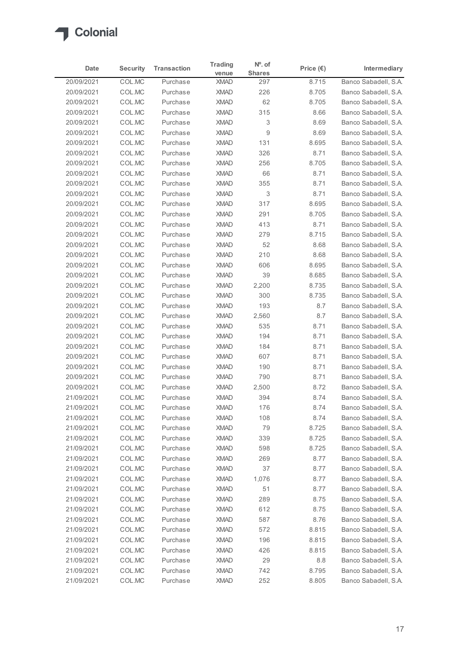

|                          |                  |                      | <b>Trading</b>             | $No$ . of     |                    |                                              |
|--------------------------|------------------|----------------------|----------------------------|---------------|--------------------|----------------------------------------------|
| Date                     | <b>Security</b>  | <b>Transaction</b>   | venue                      | <b>Shares</b> | Price $(\epsilon)$ | Intermediary                                 |
| 20/09/2021               | COL.MC           | Purchase             | <b>XMAD</b>                | 297           | 8.715              | Banco Sabadell, S.A.                         |
| 20/09/2021               | COL.MC           | Purchase             | <b>XMAD</b>                | 226           | 8.705              | Banco Sabadell, S.A.                         |
| 20/09/2021               | COL.MC           | Purchase             | <b>XMAD</b>                | 62            | 8.705              | Banco Sabadell, S.A.                         |
| 20/09/2021               | COL.MC           | Purchase             | <b>XMAD</b>                | 315           | 8.66               | Banco Sabadell, S.A.                         |
| 20/09/2021<br>20/09/2021 | COL.MC<br>COL.MC | Purchase<br>Purchase | <b>XMAD</b><br><b>XMAD</b> | 3<br>9        | 8.69<br>8.69       | Banco Sabadell, S.A.<br>Banco Sabadell, S.A. |
| 20/09/2021               | COL.MC           | Purchase             | <b>XMAD</b>                | 131           | 8.695              | Banco Sabadell, S.A.                         |
| 20/09/2021               | COL.MC           | Purchase             | <b>XMAD</b>                | 326           | 8.71               | Banco Sabadell, S.A.                         |
| 20/09/2021               | COL.MC           | Purchase             | <b>XMAD</b>                | 256           | 8.705              | Banco Sabadell, S.A.                         |
| 20/09/2021               | COL.MC           | Purchase             | <b>XMAD</b>                | 66            | 8.71               | Banco Sabadell, S.A.                         |
| 20/09/2021               | COL.MC           | Purchase             | <b>XMAD</b>                | 355           | 8.71               | Banco Sabadell, S.A.                         |
| 20/09/2021               | COL.MC           | Purchase             | <b>XMAD</b>                | 3             | 8.71               | Banco Sabadell, S.A.                         |
| 20/09/2021               | COL.MC           | Purchase             | <b>XMAD</b>                | 317           | 8.695              | Banco Sabadell, S.A.                         |
| 20/09/2021               | COL.MC           | Purchase             | XMAD                       | 291           | 8.705              | Banco Sabadell, S.A.                         |
| 20/09/2021               | COL.MC<br>COL.MC | Purchase<br>Purchase | <b>XMAD</b><br><b>XMAD</b> | 413<br>279    | 8.71<br>8.715      | Banco Sabadell, S.A.<br>Banco Sabadell, S.A. |
| 20/09/2021<br>20/09/2021 | COL.MC           | Purchase             | <b>XMAD</b>                | 52            | 8.68               | Banco Sabadell, S.A.                         |
| 20/09/2021               | COL.MC           | Purchase             | <b>XMAD</b>                | 210           | 8.68               | Banco Sabadell, S.A.                         |
| 20/09/2021               | COL.MC           | Purchase             | <b>XMAD</b>                | 606           | 8.695              | Banco Sabadell, S.A.                         |
| 20/09/2021               | COL.MC           | Purchase             | <b>XMAD</b>                | 39            | 8.685              | Banco Sabadell, S.A.                         |
| 20/09/2021               | COL.MC           | Purchase             | <b>XMAD</b>                | 2,200         | 8.735              | Banco Sabadell, S.A.                         |
| 20/09/2021               | COL.MC           | Purchase             | <b>XMAD</b>                | 300           | 8.735              | Banco Sabadell, S.A.                         |
| 20/09/2021               | COL.MC           | Purchase             | <b>XMAD</b>                | 193           | $8.7\,$            | Banco Sabadell, S.A.                         |
| 20/09/2021               | COL.MC           | Purchase             | <b>XMAD</b>                | 2,560         | 8.7                | Banco Sabadell, S.A.                         |
| 20/09/2021               | COL.MC           | Purchase             | <b>XMAD</b>                | 535           | 8.71               | Banco Sabadell, S.A.                         |
| 20/09/2021               | COL.MC           | Purchase             | <b>XMAD</b>                | 194           | 8.71               | Banco Sabadell, S.A.                         |
| 20/09/2021<br>20/09/2021 | COL.MC<br>COL.MC | Purchase<br>Purchase | <b>XMAD</b><br><b>XMAD</b> | 184<br>607    | 8.71<br>8.71       | Banco Sabadell, S.A.<br>Banco Sabadell, S.A. |
| 20/09/2021               | COL.MC           | Purchase             | <b>XMAD</b>                | 190           | 8.71               | Banco Sabadell, S.A.                         |
| 20/09/2021               | COL.MC           | Purchase             | <b>XMAD</b>                | 790           | 8.71               | Banco Sabadell, S.A.                         |
| 20/09/2021               | COL.MC           | Purchase             | <b>XMAD</b>                | 2,500         | 8.72               | Banco Sabadell, S.A.                         |
| 21/09/2021               | COL.MC           | Purchase             | <b>XMAD</b>                | 394           | 8.74               | Banco Sabadell, S.A.                         |
| 21/09/2021               | COL.MC           | Purchase             | <b>XMAD</b>                | 176           | 8.74               | Banco Sabadell, S.A.                         |
| 21/09/2021               | COL.MC           | Purchase             | <b>XMAD</b>                | 108           | 8.74               | Banco Sabadell, S.A.                         |
| 21/09/2021               | COL.MC           | Purchase             | <b>XMAD</b>                | 79            | 8.725              | Banco Sabadell, S.A.                         |
| 21/09/2021               | COL.MC           | Purchase             | <b>XMAD</b>                | 339           | 8.725              | Banco Sabadell, S.A.                         |
| 21/09/2021               | COL.MC           | Purchase             | <b>XMAD</b>                | 598           | 8.725              | Banco Sabadell, S.A.                         |
| 21/09/2021               | COL.MC           | Purchase             | <b>XMAD</b>                | 269           | 8.77               | Banco Sabadell, S.A.                         |
| 21/09/2021<br>21/09/2021 | COL.MC<br>COL.MC | Purchase<br>Purchase | <b>XMAD</b><br><b>XMAD</b> | 37<br>1,076   | 8.77<br>8.77       | Banco Sabadell, S.A.<br>Banco Sabadell, S.A. |
| 21/09/2021               | COL.MC           | Purchase             | <b>XMAD</b>                | 51            | 8.77               | Banco Sabadell, S.A.                         |
| 21/09/2021               | COL.MC           | Purchase             | <b>XMAD</b>                | 289           | 8.75               | Banco Sabadell, S.A.                         |
| 21/09/2021               | COL.MC           | Purchase             | <b>XMAD</b>                | 612           | 8.75               | Banco Sabadell, S.A.                         |
| 21/09/2021               | COL.MC           | Purchase             | <b>XMAD</b>                | 587           | 8.76               | Banco Sabadell, S.A.                         |
| 21/09/2021               | COL.MC           | Purchase             | <b>XMAD</b>                | 572           | 8.815              | Banco Sabadell, S.A.                         |
| 21/09/2021               | COL.MC           | Purchase             | <b>XMAD</b>                | 196           | 8.815              | Banco Sabadell, S.A.                         |
| 21/09/2021               | COL.MC           | Purchase             | <b>XMAD</b>                | 426           | 8.815              | Banco Sabadell, S.A.                         |
| 21/09/2021               | COL.MC           | Purchase             | XMAD                       | 29            | 8.8                | Banco Sabadell, S.A.                         |
| 21/09/2021               | COL.MC           | Purchase             | <b>XMAD</b>                | 742           | 8.795              | Banco Sabadell, S.A.                         |
| 21/09/2021               | COL.MC           | Purchase             | XMAD                       | 252           | 8.805              | Banco Sabadell, S.A.                         |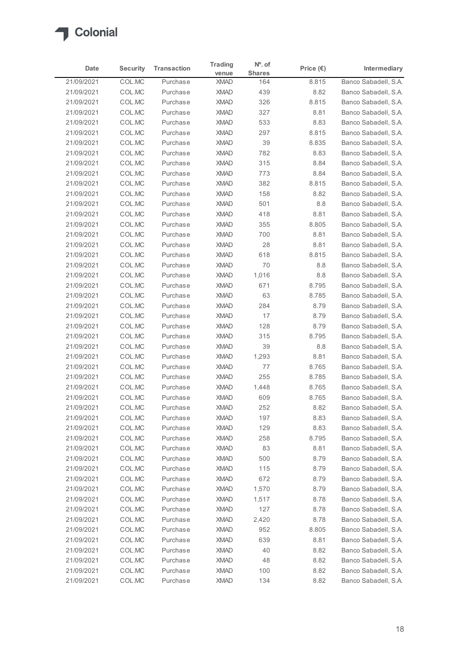

| Date<br>21/09/2021       |                  |                      | <b>Trading</b>             | $No$ . of     |                    |                                              |
|--------------------------|------------------|----------------------|----------------------------|---------------|--------------------|----------------------------------------------|
|                          | <b>Security</b>  | <b>Transaction</b>   | venue                      | <b>Shares</b> | Price $(\epsilon)$ | Intermediary                                 |
|                          | COL.MC           | Purchase             | <b>XMAD</b>                | 164           | 8.815              | Banco Sabadell, S.A.                         |
| 21/09/2021               | COL.MC           | Purchase             | <b>XMAD</b>                | 439           | 8.82               | Banco Sabadell, S.A.                         |
| 21/09/2021               | COL.MC           | Purchase             | <b>XMAD</b>                | 326           | 8.815              | Banco Sabadell, S.A.                         |
| 21/09/2021<br>21/09/2021 | COL.MC<br>COL.MC | Purchase<br>Purchase | <b>XMAD</b><br><b>XMAD</b> | 327<br>533    | 8.81<br>8.83       | Banco Sabadell, S.A.<br>Banco Sabadell, S.A. |
| 21/09/2021               | COL.MC           | Purchase             | <b>XMAD</b>                | 297           | 8.815              | Banco Sabadell, S.A.                         |
| 21/09/2021               | COL.MC           | Purchase             | <b>XMAD</b>                | 39            | 8.835              | Banco Sabadell, S.A.                         |
| 21/09/2021               | COL.MC           | Purchase             | <b>XMAD</b>                | 782           | 8.83               | Banco Sabadell, S.A.                         |
| 21/09/2021               | COL.MC           | Purchase             | <b>XMAD</b>                | 315           | 8.84               | Banco Sabadell, S.A.                         |
| 21/09/2021               | COL.MC           | Purchase             | <b>XMAD</b>                | 773           | 8.84               | Banco Sabadell, S.A.                         |
| 21/09/2021               | COL.MC           | Purchase             | <b>XMAD</b>                | 382           | 8.815              | Banco Sabadell, S.A.                         |
| 21/09/2021               | COL.MC           | Purchase             | <b>XMAD</b>                | 158           | 8.82               | Banco Sabadell, S.A.                         |
| 21/09/2021               | COL.MC           | Purchase             | <b>XMAD</b>                | 501           | 8.8                | Banco Sabadell, S.A.                         |
| 21/09/2021               | COL.MC           | Purchase             | <b>XMAD</b>                | 418           | 8.81               | Banco Sabadell, S.A.                         |
| 21/09/2021               | COL.MC           | Purchase             | <b>XMAD</b>                | 355           | 8.805              | Banco Sabadell, S.A.                         |
| 21/09/2021               | COL.MC           | Purchase             | <b>XMAD</b>                | 700           | 8.81               | Banco Sabadell, S.A.                         |
| 21/09/2021               | COL.MC           | Purchase<br>Purchase | <b>XMAD</b>                | 28            | 8.81               | Banco Sabadell, S.A.                         |
| 21/09/2021<br>21/09/2021 | COL.MC<br>COL.MC | Purchase             | <b>XMAD</b><br><b>XMAD</b> | 618<br>70     | 8.815<br>8.8       | Banco Sabadell, S.A.<br>Banco Sabadell, S.A. |
| 21/09/2021               | COL.MC           | Purchase             | <b>XMAD</b>                | 1,016         | $8.8\,$            | Banco Sabadell, S.A.                         |
| 21/09/2021               | COL.MC           | Purchase             | <b>XMAD</b>                | 671           | 8.795              | Banco Sabadell, S.A.                         |
| 21/09/2021               | COL.MC           | Purchase             | <b>XMAD</b>                | 63            | 8.785              | Banco Sabadell, S.A.                         |
| 21/09/2021               | COL.MC           | Purchase             | <b>XMAD</b>                | 284           | 8.79               | Banco Sabadell, S.A.                         |
| 21/09/2021               | COL.MC           | Purchase             | <b>XMAD</b>                | 17            | 8.79               | Banco Sabadell, S.A.                         |
| 21/09/2021               | COL.MC           | Purchase             | <b>XMAD</b>                | 128           | 8.79               | Banco Sabadell, S.A.                         |
| 21/09/2021               | COL.MC           | Purchase             | <b>XMAD</b>                | 315           | 8.795              | Banco Sabadell, S.A.                         |
| 21/09/2021               | COL.MC           | Purchase             | <b>XMAD</b>                | 39            | 8.8                | Banco Sabadell, S.A.                         |
| 21/09/2021               | COL.MC           | Purchase             | <b>XMAD</b>                | 1,293         | 8.81               | Banco Sabadell, S.A.                         |
| 21/09/2021               | COL.MC           | Purchase             | <b>XMAD</b>                | 77            | 8.765              | Banco Sabadell, S.A.                         |
| 21/09/2021               | COL.MC           | Purchase             | <b>XMAD</b>                | 255           | 8.785              | Banco Sabadell, S.A.                         |
| 21/09/2021               | COL.MC           | Purchase             | <b>XMAD</b>                | 1,448         | 8.765              | Banco Sabadell, S.A.                         |
| 21/09/2021               | COL.MC           | Purchase             | <b>XMAD</b>                | 609           | 8.765              | Banco Sabadell, S.A.                         |
| 21/09/2021               | COL.MC           | Purchase             | <b>XMAD</b>                | 252           | 8.82               | Banco Sabadell, S.A.                         |
| 21/09/2021               | COL.MC           | Purchase             | <b>XMAD</b>                | 197           | 8.83               | Banco Sabadell, S.A.                         |
| 21/09/2021               | COL.MC           | Purchase             | <b>XMAD</b>                | 129           | 8.83               | Banco Sabadell, S.A.                         |
| 21/09/2021               | COL.MC           | Purchase             | <b>XMAD</b>                | 258           | 8.795              | Banco Sabadell, S.A.                         |
| 21/09/2021               | COL.MC           | Purchase             | <b>XMAD</b>                | 83            | 8.81               | Banco Sabadell, S.A.                         |
| 21/09/2021               | COL.MC           | Purchase             | <b>XMAD</b>                | 500           | 8.79               | Banco Sabadell, S.A.                         |
| 21/09/2021               | COL.MC           | Purchase             | <b>XMAD</b>                | 115           | 8.79               | Banco Sabadell, S.A.                         |
| 21/09/2021               | COL.MC           | Purchase             | <b>XMAD</b>                | 672           | 8.79               | Banco Sabadell, S.A.                         |
| 21/09/2021               | COL.MC           | Purchase             | <b>XMAD</b>                | 1,570         | 8.79               | Banco Sabadell, S.A.                         |
| 21/09/2021               | COL.MC           | Purchase             | <b>XMAD</b>                | 1,517         | 8.78               | Banco Sabadell, S.A.                         |
| 21/09/2021               | COL.MC           | Purchase             | <b>XMAD</b>                | 127           | 8.78               | Banco Sabadell, S.A.                         |
| 21/09/2021               | COL.MC           | Purchase             | <b>XMAD</b>                | 2,420         | 8.78               | Banco Sabadell, S.A.                         |
| 21/09/2021               | COL.MC           | Purchase             | <b>XMAD</b>                | 952           | 8.805              | Banco Sabadell, S.A.                         |
| 21/09/2021<br>21/09/2021 | COL.MC           | Purchase<br>Purchase | <b>XMAD</b><br><b>XMAD</b> | 639<br>40     | 8.81<br>8.82       | Banco Sabadell, S.A.<br>Banco Sabadell, S.A. |
| 21/09/2021               | COL.MC<br>COL.MC |                      | <b>XMAD</b>                | 48            | 8.82               | Banco Sabadell, S.A.                         |
| 21/09/2021               | COL.MC           | Purchase<br>Purchase | <b>XMAD</b>                | 100           | 8.82               | Banco Sabadell, S.A.                         |
| 21/09/2021               | COL.MC           | Purchase             | <b>XMAD</b>                | 134           | 8.82               | Banco Sabadell, S.A.                         |